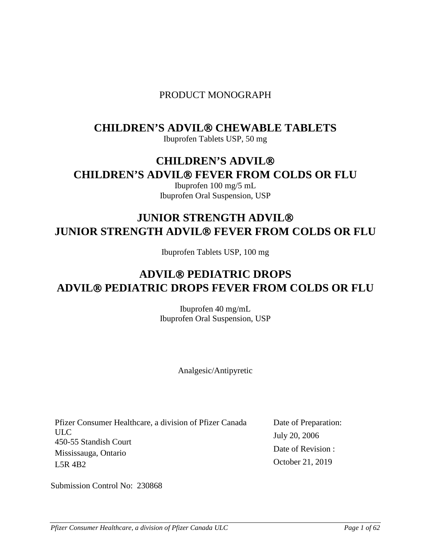## PRODUCT MONOGRAPH

## **CHILDREN'S ADVIL® CHEWABLE TABLETS**

Ibuprofen Tablets USP, 50 mg

## **CHILDREN'S ADVIL CHILDREN'S ADVIL® FEVER FROM COLDS OR FLU**

Ibuprofen 100 mg/5 mL Ibuprofen Oral Suspension, USP

## **JUNIOR STRENGTH ADVIL JUNIOR STRENGTH ADVIL® FEVER FROM COLDS OR FLU**

Ibuprofen Tablets USP, 100 mg

# **ADVIL PEDIATRIC DROPS ADVIL PEDIATRIC DROPS FEVER FROM COLDS OR FLU**

Ibuprofen 40 mg/mL Ibuprofen Oral Suspension, USP

Analgesic/Antipyretic

Pfizer Consumer Healthcare, a division of Pfizer Canada ULC 450-55 Standish Court Mississauga, Ontario L5R 4B2

Date of Preparation: July 20, 2006 Date of Revision : October 21, 2019

Submission Control No: 230868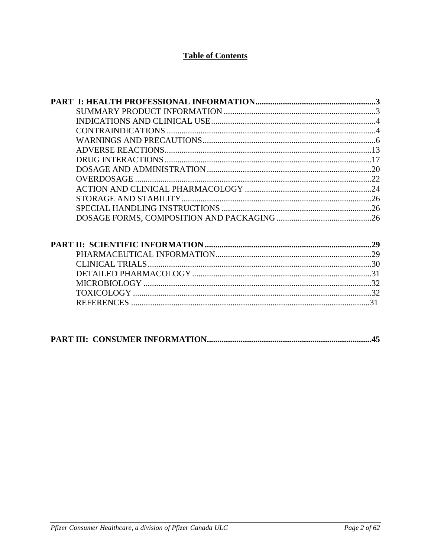## **Table of Contents**

|  | 31 |
|--|----|
|  |    |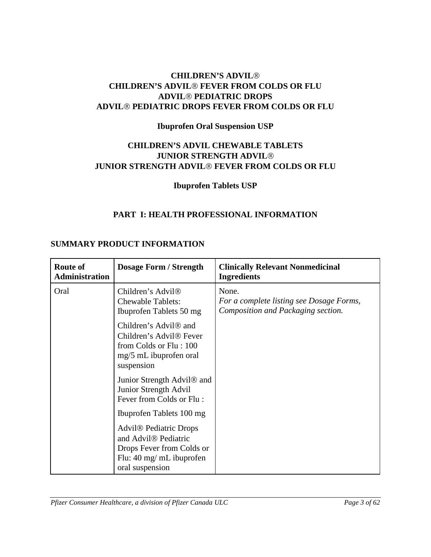## **CHILDREN'S ADVIL CHILDREN'S ADVIL<sup>®</sup> FEVER FROM COLDS OR FLU ADVIL PEDIATRIC DROPS ADVIL PEDIATRIC DROPS FEVER FROM COLDS OR FLU**

## **Ibuprofen Oral Suspension USP**

## **CHILDREN'S ADVIL CHEWABLE TABLETS JUNIOR STRENGTH ADVIL JUNIOR STRENGTH ADVIL<sup>®</sup> FEVER FROM COLDS OR FLU**

## <span id="page-2-1"></span><span id="page-2-0"></span>**Ibuprofen Tablets USP**

## **PART I: HEALTH PROFESSIONAL INFORMATION**

## **SUMMARY PRODUCT INFORMATION**

| <b>Route of</b><br><b>Administration</b> | <b>Dosage Form / Strength</b>                                                                                                                                                        | <b>Clinically Relevant Nonmedicinal</b><br><b>Ingredients</b>                           |
|------------------------------------------|--------------------------------------------------------------------------------------------------------------------------------------------------------------------------------------|-----------------------------------------------------------------------------------------|
| Oral                                     | Children's Advil <sup>®</sup><br><b>Chewable Tablets:</b><br>Ibuprofen Tablets 50 mg                                                                                                 | None.<br>For a complete listing see Dosage Forms,<br>Composition and Packaging section. |
|                                          | Children's Advil <sup>®</sup> and<br>Children's Advil <sup>®</sup> Fever<br>from Colds or Flu: 100<br>mg/5 mL ibuprofen oral<br>suspension                                           |                                                                                         |
|                                          | Junior Strength Advil <sup>®</sup> and<br>Junior Strength Advil<br>Fever from Colds or Flu:                                                                                          |                                                                                         |
|                                          | Ibuprofen Tablets 100 mg<br><b>Advil<sup>®</sup></b> Pediatric Drops<br>and Advil <sup>®</sup> Pediatric<br>Drops Fever from Colds or<br>Flu: 40 mg/ mL ibuprofen<br>oral suspension |                                                                                         |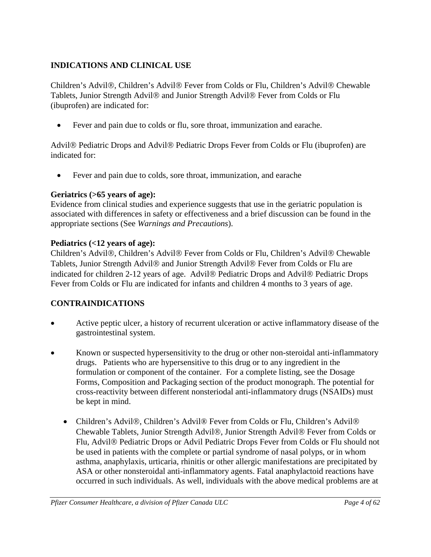## <span id="page-3-0"></span>**INDICATIONS AND CLINICAL USE**

Children's Advil®, Children's Advil® Fever from Colds or Flu, Children's Advil® Chewable Tablets, Junior Strength Advil<sup>®</sup> and Junior Strength Advil<sup>®</sup> Fever from Colds or Flu (ibuprofen) are indicated for:

• Fever and pain due to colds or flu, sore throat, immunization and earache.

Advil<sup>®</sup> Pediatric Drops and Advil<sup>®</sup> Pediatric Drops Fever from Colds or Flu (ibuprofen) are indicated for:

• Fever and pain due to colds, sore throat, immunization, and earache

## **Geriatrics (>65 years of age):**

Evidence from clinical studies and experience suggests that use in the geriatric population is associated with differences in safety or effectiveness and a brief discussion can be found in the appropriate sections (See *Warnings and Precautions*).

## **Pediatrics (<12 years of age):**

Children's Advil®, Children's Advil® Fever from Colds or Flu, Children's Advil® Chewable Tablets, Junior Strength Advil<sup>®</sup> and Junior Strength Advil<sup>®</sup> Fever from Colds or Flu are indicated for children 2-12 years of age. Advil<sup>®</sup> Pediatric Drops and Advil<sup>®</sup> Pediatric Drops Fever from Colds or Flu are indicated for infants and children 4 months to 3 years of age.

## <span id="page-3-1"></span>**CONTRAINDICATIONS**

- Active peptic ulcer, a history of recurrent ulceration or active inflammatory disease of the gastrointestinal system.
- Known or suspected hypersensitivity to the drug or other non-steroidal anti-inflammatory drugs. Patients who are hypersensitive to this drug or to any ingredient in the formulation or component of the container. For a complete listing, see the Dosage Forms, Composition and Packaging section of the product monograph. The potential for cross-reactivity between different nonsteriodal anti-inflammatory drugs (NSAIDs) must be kept in mind.
	- Children's Advil®, Children's Advil® Fever from Colds or Flu, Children's Advil® Chewable Tablets, Junior Strength Advil®, Junior Strength Advil® Fever from Colds or Flu, Advil<sup>®</sup> Pediatric Drops or Advil Pediatric Drops Fever from Colds or Flu should not be used in patients with the complete or partial syndrome of nasal polyps, or in whom asthma, anaphylaxis, urticaria, rhinitis or other allergic manifestations are precipitated by ASA or other nonsteroidal anti-inflammatory agents. Fatal anaphylactoid reactions have occurred in such individuals. As well, individuals with the above medical problems are at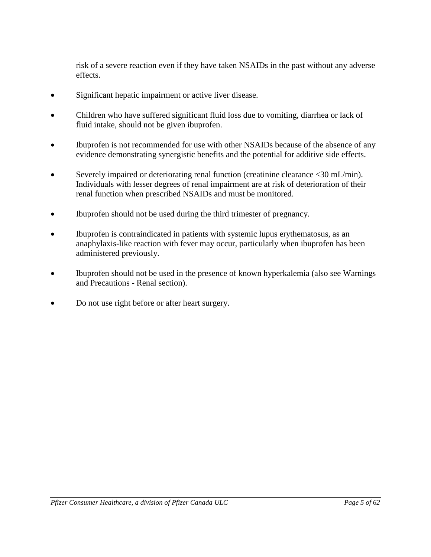risk of a severe reaction even if they have taken NSAIDs in the past without any adverse effects.

- Significant hepatic impairment or active liver disease.
- Children who have suffered significant fluid loss due to vomiting, diarrhea or lack of fluid intake, should not be given ibuprofen.
- Ibuprofen is not recommended for use with other NSAIDs because of the absence of any evidence demonstrating synergistic benefits and the potential for additive side effects.
- Severely impaired or deteriorating renal function (creatinine clearance <30 mL/min). Individuals with lesser degrees of renal impairment are at risk of deterioration of their renal function when prescribed NSAIDs and must be monitored.
- Ibuprofen should not be used during the third trimester of pregnancy.
- Ibuprofen is contraindicated in patients with systemic lupus erythematosus, as an anaphylaxis-like reaction with fever may occur, particularly when ibuprofen has been administered previously.
- Ibuprofen should not be used in the presence of known hyperkalemia (also see Warnings and Precautions - Renal section).
- Do not use right before or after heart surgery.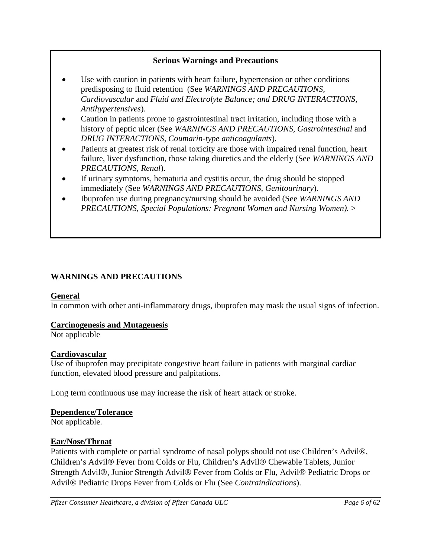## **Serious Warnings and Precautions**

- Use with caution in patients with heart failure, hypertension or other conditions predisposing to fluid retention (See *WARNINGS AND PRECAUTIONS, Cardiovascular* and *Fluid and Electrolyte Balance; and DRUG INTERACTIONS, Antihypertensives*).
- Caution in patients prone to gastrointestinal tract irritation, including those with a history of peptic ulcer (See *WARNINGS AND PRECAUTIONS, Gastrointestinal* and *DRUG INTERACTIONS, Coumarin-type anticoagulants*).
- Patients at greatest risk of renal toxicity are those with impaired renal function, heart failure, liver dysfunction, those taking diuretics and the elderly (See *WARNINGS AND PRECAUTIONS, Renal*).
- If urinary symptoms, hematuria and cystitis occur, the drug should be stopped immediately (See *WARNINGS AND PRECAUTIONS, Genitourinary*).
- Ibuprofen use during pregnancy/nursing should be avoided (See *WARNINGS AND PRECAUTIONS, Special Populations: Pregnant Women and Nursing Women).* >

## <span id="page-5-0"></span>**WARNINGS AND PRECAUTIONS**

## **General**

In common with other anti-inflammatory drugs, ibuprofen may mask the usual signs of infection.

## **Carcinogenesis and Mutagenesis**

Not applicable

## **Cardiovascular**

Use of ibuprofen may precipitate congestive heart failure in patients with marginal cardiac function, elevated blood pressure and palpitations.

Long term continuous use may increase the risk of heart attack or stroke.

## **Dependence/Tolerance**

Not applicable.

## **Ear/Nose/Throat**

Patients with complete or partial syndrome of nasal polyps should not use Children's Advil®, Children's Advil® Fever from Colds or Flu, Children's Advil Chewable Tablets, Junior Strength Advil®, Junior Strength Advil® Fever from Colds or Flu, Advil® Pediatric Drops or Advil Pediatric Drops Fever from Colds or Flu (See *Contraindications*).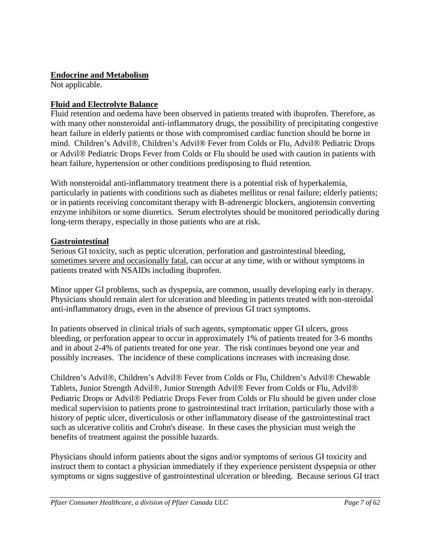## **Endocrine and Metabolism**

Not applicable.

## **Fluid and Electrolyte Balance**

Fluid retention and oedema have been observed in patients treated with ibuprofen. Therefore, as with many other nonsteroidal anti-inflammatory drugs, the possibility of precipitating congestive heart failure in elderly patients or those with compromised cardiac function should be borne in mind. Children's Advil®, Children's Advil® Fever from Colds or Flu, Advil® Pediatric Drops or Advil<sup>®</sup> Pediatric Drops Fever from Colds or Flu should be used with caution in patients with heart failure, hypertension or other conditions predisposing to fluid retention.

With nonsteroidal anti-inflammatory treatment there is a potential risk of hyperkalemia, particularly in patients with conditions such as diabetes mellitus or renal failure; elderly patients; or in patients receiving concomitant therapy with B-adrenergic blockers, angiotensin converting enzyme inhibitors or some diuretics. Serum electrolytes should be monitored periodically during long-term therapy, especially in those patients who are at risk.

## **Gastrointestinal**

Serious GI toxicity, such as peptic ulceration, perforation and gastrointestinal bleeding, sometimes severe and occasionally fatal, can occur at any time, with or without symptoms in patients treated with NSAIDs including ibuprofen.

Minor upper GI problems, such as dyspepsia, are common, usually developing early in therapy. Physicians should remain alert for ulceration and bleeding in patients treated with non-steroidal anti-inflammatory drugs, even in the absence of previous GI tract symptoms.

In patients observed in clinical trials of such agents, symptomatic upper GI ulcers, gross bleeding, or perforation appear to occur in approximately 1% of patients treated for 3-6 months and in about 2-4% of patients treated for one year. The risk continues beyond one year and possibly increases. The incidence of these complications increases with increasing dose.

Children's Advil®, Children's Advil® Fever from Colds or Flu, Children's Advil® Chewable Tablets, Junior Strength Advil®, Junior Strength Advil® Fever from Colds or Flu, Advil® Pediatric Drops or Advil<sup>®</sup> Pediatric Drops Fever from Colds or Flu should be given under close medical supervision to patients prone to gastrointestinal tract irritation, particularly those with a history of peptic ulcer, diverticulosis or other inflammatory disease of the gastrointestinal tract such as ulcerative colitis and Crohn's disease. In these cases the physician must weigh the benefits of treatment against the possible hazards.

Physicians should inform patients about the signs and/or symptoms of serious GI toxicity and instruct them to contact a physician immediately if they experience persistent dyspepsia or other symptoms or signs suggestive of gastrointestinal ulceration or bleeding. Because serious GI tract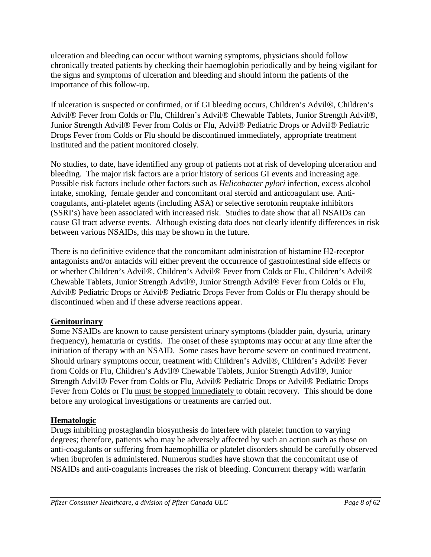ulceration and bleeding can occur without warning symptoms, physicians should follow chronically treated patients by checking their haemoglobin periodically and by being vigilant for the signs and symptoms of ulceration and bleeding and should inform the patients of the importance of this follow-up.

If ulceration is suspected or confirmed, or if GI bleeding occurs, Children's Advil®, Children's Advil® Fever from Colds or Flu, Children's Advil® Chewable Tablets, Junior Strength Advil®, Junior Strength Advil<sup>®</sup> Fever from Colds or Flu, Advil<sup>®</sup> Pediatric Drops or Advil<sup>®</sup> Pediatric Drops Fever from Colds or Flu should be discontinued immediately, appropriate treatment instituted and the patient monitored closely.

No studies, to date, have identified any group of patients not at risk of developing ulceration and bleeding. The major risk factors are a prior history of serious GI events and increasing age. Possible risk factors include other factors such as *Helicobacter pylori* infection, excess alcohol intake, smoking, female gender and concomitant oral steroid and anticoagulant use. Anticoagulants, anti-platelet agents (including ASA) or selective serotonin reuptake inhibitors (SSRI's) have been associated with increased risk. Studies to date show that all NSAIDs can cause GI tract adverse events. Although existing data does not clearly identify differences in risk between various NSAIDs, this may be shown in the future.

There is no definitive evidence that the concomitant administration of histamine H2-receptor antagonists and/or antacids will either prevent the occurrence of gastrointestinal side effects or or whether Children's Advil®, Children's Advil® Fever from Colds or Flu, Children's Advil® Chewable Tablets, Junior Strength Advil®, Junior Strength Advil® Fever from Colds or Flu, Advil<sup>®</sup> Pediatric Drops or Advil<sup>®</sup> Pediatric Drops Fever from Colds or Flu therapy should be discontinued when and if these adverse reactions appear.

## **Genitourinary**

Some NSAIDs are known to cause persistent urinary symptoms (bladder pain, dysuria, urinary frequency), hematuria or cystitis. The onset of these symptoms may occur at any time after the initiation of therapy with an NSAID. Some cases have become severe on continued treatment. Should urinary symptoms occur, treatment with Children's Advil®, Children's Advil® Fever from Colds or Flu, Children's Advil® Chewable Tablets, Junior Strength Advil®, Junior Strength Advil<sup>®</sup> Fever from Colds or Flu, Advil<sup>®</sup> Pediatric Drops or Advil<sup>®</sup> Pediatric Drops Fever from Colds or Flu must be stopped immediately to obtain recovery. This should be done before any urological investigations or treatments are carried out.

## **Hematologic**

Drugs inhibiting prostaglandin biosynthesis do interfere with platelet function to varying degrees; therefore, patients who may be adversely affected by such an action such as those on anti-coagulants or suffering from haemophillia or platelet disorders should be carefully observed when ibuprofen is administered. Numerous studies have shown that the concomitant use of NSAIDs and anti-coagulants increases the risk of bleeding. Concurrent therapy with warfarin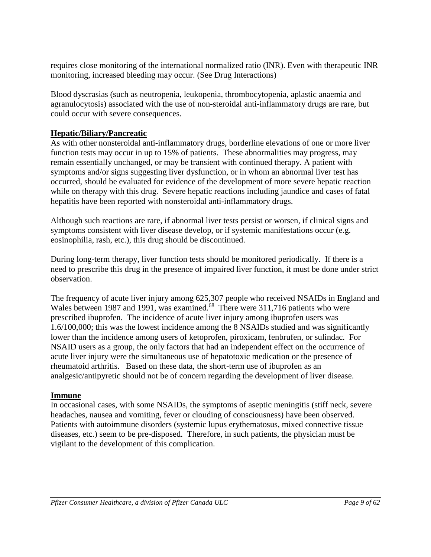requires close monitoring of the international normalized ratio (INR). Even with therapeutic INR monitoring, increased bleeding may occur. (See Drug Interactions)

Blood dyscrasias (such as neutropenia, leukopenia, thrombocytopenia, aplastic anaemia and agranulocytosis) associated with the use of non-steroidal anti-inflammatory drugs are rare, but could occur with severe consequences.

## **Hepatic/Biliary/Pancreatic**

As with other nonsteroidal anti-inflammatory drugs, borderline elevations of one or more liver function tests may occur in up to 15% of patients. These abnormalities may progress, may remain essentially unchanged, or may be transient with continued therapy. A patient with symptoms and/or signs suggesting liver dysfunction, or in whom an abnormal liver test has occurred, should be evaluated for evidence of the development of more severe hepatic reaction while on therapy with this drug. Severe hepatic reactions including jaundice and cases of fatal hepatitis have been reported with nonsteroidal anti-inflammatory drugs.

Although such reactions are rare, if abnormal liver tests persist or worsen, if clinical signs and symptoms consistent with liver disease develop, or if systemic manifestations occur (e.g. eosinophilia, rash, etc.), this drug should be discontinued.

During long-term therapy, liver function tests should be monitored periodically. If there is a need to prescribe this drug in the presence of impaired liver function, it must be done under strict observation.

The frequency of acute liver injury among 625,307 people who received NSAIDs in England and Wales between 1987 and 1991, was examined.<sup>68</sup> There were 311,716 patients who were prescribed ibuprofen. The incidence of acute liver injury among ibuprofen users was 1.6/100,000; this was the lowest incidence among the 8 NSAIDs studied and was significantly lower than the incidence among users of ketoprofen, piroxicam, fenbrufen, or sulindac. For NSAID users as a group, the only factors that had an independent effect on the occurrence of acute liver injury were the simultaneous use of hepatotoxic medication or the presence of rheumatoid arthritis. Based on these data, the short-term use of ibuprofen as an analgesic/antipyretic should not be of concern regarding the development of liver disease.

## **Immune**

In occasional cases, with some NSAIDs, the symptoms of aseptic meningitis (stiff neck, severe headaches, nausea and vomiting, fever or clouding of consciousness) have been observed. Patients with autoimmune disorders (systemic lupus erythematosus, mixed connective tissue diseases, etc.) seem to be pre-disposed. Therefore, in such patients, the physician must be vigilant to the development of this complication.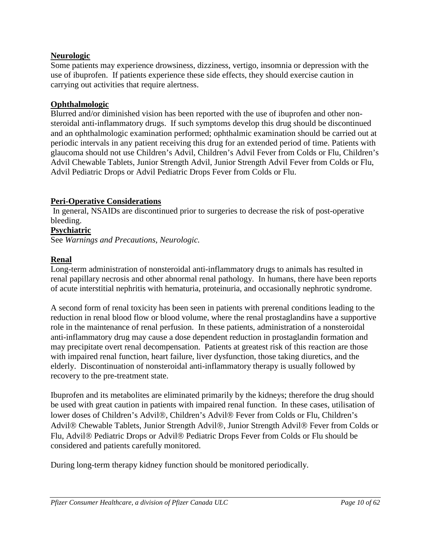## **Neurologic**

Some patients may experience drowsiness, dizziness, vertigo, insomnia or depression with the use of ibuprofen. If patients experience these side effects, they should exercise caution in carrying out activities that require alertness.

## **Ophthalmologic**

Blurred and/or diminished vision has been reported with the use of ibuprofen and other nonsteroidal anti-inflammatory drugs. If such symptoms develop this drug should be discontinued and an ophthalmologic examination performed; ophthalmic examination should be carried out at periodic intervals in any patient receiving this drug for an extended period of time. Patients with glaucoma should not use Children's Advil, Children's Advil Fever from Colds or Flu, Children's Advil Chewable Tablets, Junior Strength Advil, Junior Strength Advil Fever from Colds or Flu, Advil Pediatric Drops or Advil Pediatric Drops Fever from Colds or Flu.

## **Peri-Operative Considerations**

In general, NSAIDs are discontinued prior to surgeries to decrease the risk of post-operative bleeding.

## **Psychiatric**

See *Warnings and Precautions, Neurologic.*

## **Renal**

Long-term administration of nonsteroidal anti-inflammatory drugs to animals has resulted in renal papillary necrosis and other abnormal renal pathology. In humans, there have been reports of acute interstitial nephritis with hematuria, proteinuria, and occasionally nephrotic syndrome.

A second form of renal toxicity has been seen in patients with prerenal conditions leading to the reduction in renal blood flow or blood volume, where the renal prostaglandins have a supportive role in the maintenance of renal perfusion. In these patients, administration of a nonsteroidal anti-inflammatory drug may cause a dose dependent reduction in prostaglandin formation and may precipitate overt renal decompensation. Patients at greatest risk of this reaction are those with impaired renal function, heart failure, liver dysfunction, those taking diuretics, and the elderly. Discontinuation of nonsteroidal anti-inflammatory therapy is usually followed by recovery to the pre-treatment state.

Ibuprofen and its metabolites are eliminated primarily by the kidneys; therefore the drug should be used with great caution in patients with impaired renal function. In these cases, utilisation of lower doses of Children's Advil®, Children's Advil® Fever from Colds or Flu, Children's Advil® Chewable Tablets, Junior Strength Advil®, Junior Strength Advil® Fever from Colds or Flu, Advil® Pediatric Drops or Advil® Pediatric Drops Fever from Colds or Flu should be considered and patients carefully monitored.

During long-term therapy kidney function should be monitored periodically.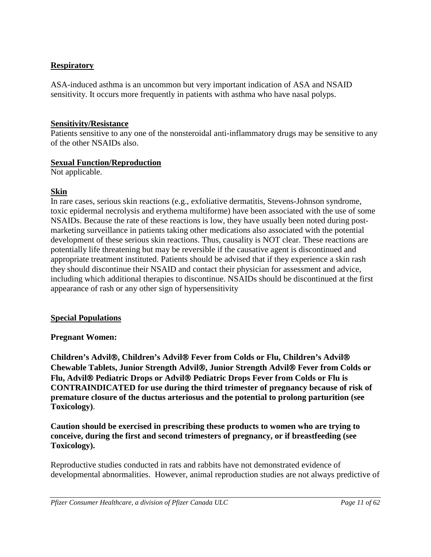## **Respiratory**

ASA-induced asthma is an uncommon but very important indication of ASA and NSAID sensitivity. It occurs more frequently in patients with asthma who have nasal polyps.

## **Sensitivity/Resistance**

Patients sensitive to any one of the nonsteroidal anti-inflammatory drugs may be sensitive to any of the other NSAIDs also.

## **Sexual Function/Reproduction**

Not applicable.

## **Skin**

In rare cases, serious skin reactions (e.g., exfoliative dermatitis, Stevens-Johnson syndrome, toxic epidermal necrolysis and erythema multiforme) have been associated with the use of some NSAIDs. Because the rate of these reactions is low, they have usually been noted during postmarketing surveillance in patients taking other medications also associated with the potential development of these serious skin reactions. Thus, causality is NOT clear. These reactions are potentially life threatening but may be reversible if the causative agent is discontinued and appropriate treatment instituted. Patients should be advised that if they experience a skin rash they should discontinue their NSAID and contact their physician for assessment and advice, including which additional therapies to discontinue. NSAIDs should be discontinued at the first appearance of rash or any other sign of hypersensitivity

## **Special Populations**

## **Pregnant Women:**

**Children's Advil, Children's Advil Fever from Colds or Flu, Children's Advil Chewable Tablets, Junior Strength Advil, Junior Strength Advil Fever from Colds or Flu, Advil Pediatric Drops or Advil Pediatric Drops Fever from Colds or Flu is CONTRAINDICATED for use during the third trimester of pregnancy because of risk of premature closure of the ductus arteriosus and the potential to prolong parturition (see Toxicology)**.

**Caution should be exercised in prescribing these products to women who are trying to conceive, during the first and second trimesters of pregnancy, or if breastfeeding (see Toxicology).**

Reproductive studies conducted in rats and rabbits have not demonstrated evidence of developmental abnormalities. However, animal reproduction studies are not always predictive of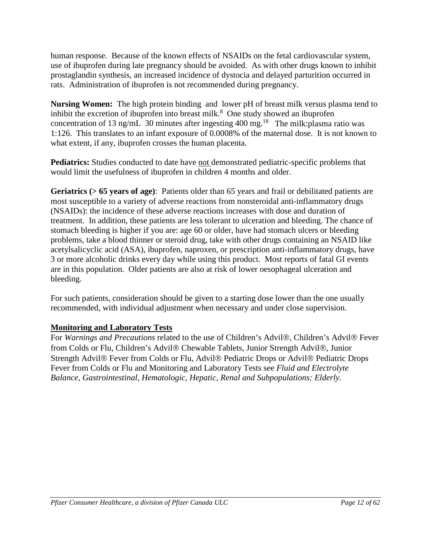human response. Because of the known effects of NSAIDs on the fetal cardiovascular system, use of ibuprofen during late pregnancy should be avoided. As with other drugs known to inhibit prostaglandin synthesis, an increased incidence of dystocia and delayed parturition occurred in rats. Administration of ibuprofen is not recommended during pregnancy.

**Nursing Women:** The high protein binding and lower pH of breast milk versus plasma tend to inhibit the excretion of ibuprofen into breast milk. $8$  One study showed an ibuprofen concentration of 13 ng/mL 30 minutes after ingesting 400 mg.<sup>18</sup> The milk:plasma ratio was 1:126. This translates to an infant exposure of 0.0008% of the maternal dose. It is not known to what extent, if any, ibuprofen crosses the human placenta.

Pediatrics: Studies conducted to date have not demonstrated pediatric-specific problems that would limit the usefulness of ibuprofen in children 4 months and older.

**Geriatrics (> 65 years of age)**: Patients older than 65 years and frail or debilitated patients are most susceptible to a variety of adverse reactions from nonsteroidal anti-inflammatory drugs (NSAIDs): the incidence of these adverse reactions increases with dose and duration of treatment. In addition, these patients are less tolerant to ulceration and bleeding. The chance of stomach bleeding is higher if you are: age 60 or older, have had stomach ulcers or bleeding problems, take a blood thinner or steroid drug, take with other drugs containing an NSAID like acetylsalicyclic acid (ASA), ibuprofen, naproxen, or prescription anti-inflammatory drugs, have 3 or more alcoholic drinks every day while using this product. Most reports of fatal GI events are in this population. Older patients are also at risk of lower oesophageal ulceration and bleeding.

For such patients, consideration should be given to a starting dose lower than the one usually recommended, with individual adjustment when necessary and under close supervision.

## **Monitoring and Laboratory Tests**

For *Warnings and Precautions* related to the use of Children's Advil®, Children's Advil® Fever from Colds or Flu, Children's Advil® Chewable Tablets, Junior Strength Advil®, Junior Strength Advil<sup>®</sup> Fever from Colds or Flu, Advil<sup>®</sup> Pediatric Drops or Advil<sup>®</sup> Pediatric Drops Fever from Colds or Flu and Monitoring and Laboratory Tests see *Fluid and Electrolyte Balance, Gastrointestinal, Hematologic, Hepatic, Renal and Subpopulations: Elderly*.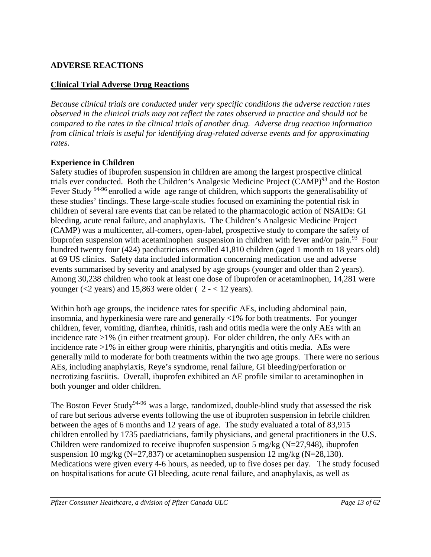## <span id="page-12-0"></span>**ADVERSE REACTIONS**

## **Clinical Trial Adverse Drug Reactions**

*Because clinical trials are conducted under very specific conditions the adverse reaction rates observed in the clinical trials may not reflect the rates observed in practice and should not be compared to the rates in the clinical trials of another drug. Adverse drug reaction information from clinical trials is useful for identifying drug-related adverse events and for approximating rates*.

## **Experience in Children**

Safety studies of ibuprofen suspension in children are among the largest prospective clinical trials ever conducted. Both the Children's Analgesic Medicine Project (CAMP)<sup>93</sup> and the Boston Fever Study <sup>94-96</sup> enrolled a wide age range of children, which supports the generalisability of these studies' findings. These large-scale studies focused on examining the potential risk in children of several rare events that can be related to the pharmacologic action of NSAIDs: GI bleeding, acute renal failure, and anaphylaxis. The Children's Analgesic Medicine Project (CAMP) was a multicenter, all-comers, open-label, prospective study to compare the safety of ibuprofen suspension with acetaminophen suspension in children with fever and/or pain.<sup>93</sup> Four hundred twenty four (424) paediatricians enrolled 41,810 children (aged 1 month to 18 years old) at 69 US clinics. Safety data included information concerning medication use and adverse events summarised by severity and analysed by age groups (younger and older than 2 years). Among 30,238 children who took at least one dose of ibuprofen or acetaminophen, 14,281 were younger ( $\lt 2$  years) and 15,863 were older ( 2 -  $\lt 12$  years).

Within both age groups, the incidence rates for specific AEs, including abdominal pain, insomnia, and hyperkinesia were rare and generally <1% for both treatments. For younger children, fever, vomiting, diarrhea, rhinitis, rash and otitis media were the only AEs with an incidence rate >1% (in either treatment group). For older children, the only AEs with an incidence rate >1% in either group were rhinitis, pharyngitis and otitis media. AEs were generally mild to moderate for both treatments within the two age groups. There were no serious AEs, including anaphylaxis, Reye's syndrome, renal failure, GI bleeding/perforation or necrotizing fasciitis. Overall, ibuprofen exhibited an AE profile similar to acetaminophen in both younger and older children.

The Boston Fever Study<sup>94-96</sup> was a large, randomized, double-blind study that assessed the risk of rare but serious adverse events following the use of ibuprofen suspension in febrile children between the ages of 6 months and 12 years of age. The study evaluated a total of 83,915 children enrolled by 1735 paediatricians, family physicians, and general practitioners in the U.S. Children were randomized to receive ibuprofen suspension 5 mg/kg ( $N=27,948$ ), ibuprofen suspension 10 mg/kg (N=27,837) or acetaminophen suspension 12 mg/kg (N=28,130). Medications were given every 4-6 hours, as needed, up to five doses per day. The study focused on hospitalisations for acute GI bleeding, acute renal failure, and anaphylaxis, as well as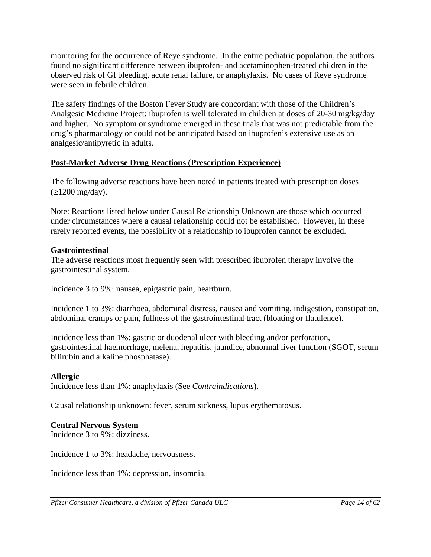monitoring for the occurrence of Reye syndrome. In the entire pediatric population, the authors found no significant difference between ibuprofen- and acetaminophen-treated children in the observed risk of GI bleeding, acute renal failure, or anaphylaxis. No cases of Reye syndrome were seen in febrile children.

The safety findings of the Boston Fever Study are concordant with those of the Children's Analgesic Medicine Project: ibuprofen is well tolerated in children at doses of 20-30 mg/kg/day and higher. No symptom or syndrome emerged in these trials that was not predictable from the drug's pharmacology or could not be anticipated based on ibuprofen's extensive use as an analgesic/antipyretic in adults.

## **Post-Market Adverse Drug Reactions (Prescription Experience)**

The following adverse reactions have been noted in patients treated with prescription doses  $(\geq 1200 \text{ mg/day})$ .

Note: Reactions listed below under Causal Relationship Unknown are those which occurred under circumstances where a causal relationship could not be established. However, in these rarely reported events, the possibility of a relationship to ibuprofen cannot be excluded.

## **Gastrointestinal**

The adverse reactions most frequently seen with prescribed ibuprofen therapy involve the gastrointestinal system.

Incidence 3 to 9%: nausea, epigastric pain, heartburn.

Incidence 1 to 3%: diarrhoea, abdominal distress, nausea and vomiting, indigestion, constipation, abdominal cramps or pain, fullness of the gastrointestinal tract (bloating or flatulence).

Incidence less than 1%: gastric or duodenal ulcer with bleeding and/or perforation, gastrointestinal haemorrhage, melena, hepatitis, jaundice, abnormal liver function (SGOT, serum bilirubin and alkaline phosphatase).

## **Allergic**

Incidence less than 1%: anaphylaxis (See *Contraindications*).

Causal relationship unknown: fever, serum sickness, lupus erythematosus.

## **Central Nervous System**

Incidence 3 to 9%: dizziness.

Incidence 1 to 3%: headache, nervousness.

Incidence less than 1%: depression, insomnia.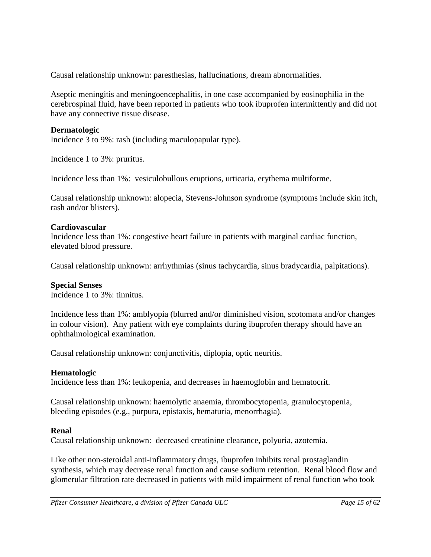Causal relationship unknown: paresthesias, hallucinations, dream abnormalities.

Aseptic meningitis and meningoencephalitis, in one case accompanied by eosinophilia in the cerebrospinal fluid, have been reported in patients who took ibuprofen intermittently and did not have any connective tissue disease.

## **Dermatologic**

Incidence 3 to 9%: rash (including maculopapular type).

Incidence 1 to 3%: pruritus.

Incidence less than 1%: vesiculobullous eruptions, urticaria, erythema multiforme.

Causal relationship unknown: alopecia, Stevens-Johnson syndrome (symptoms include skin itch, rash and/or blisters).

## **Cardiovascular**

Incidence less than 1%: congestive heart failure in patients with marginal cardiac function, elevated blood pressure.

Causal relationship unknown: arrhythmias (sinus tachycardia, sinus bradycardia, palpitations).

## **Special Senses**

Incidence 1 to 3%: tinnitus.

Incidence less than 1%: amblyopia (blurred and/or diminished vision, scotomata and/or changes in colour vision). Any patient with eye complaints during ibuprofen therapy should have an ophthalmological examination.

Causal relationship unknown: conjunctivitis, diplopia, optic neuritis.

## **Hematologic**

Incidence less than 1%: leukopenia, and decreases in haemoglobin and hematocrit.

Causal relationship unknown: haemolytic anaemia, thrombocytopenia, granulocytopenia, bleeding episodes (e.g., purpura, epistaxis, hematuria, menorrhagia).

## **Renal**

Causal relationship unknown: decreased creatinine clearance, polyuria, azotemia.

Like other non-steroidal anti-inflammatory drugs, ibuprofen inhibits renal prostaglandin synthesis, which may decrease renal function and cause sodium retention. Renal blood flow and glomerular filtration rate decreased in patients with mild impairment of renal function who took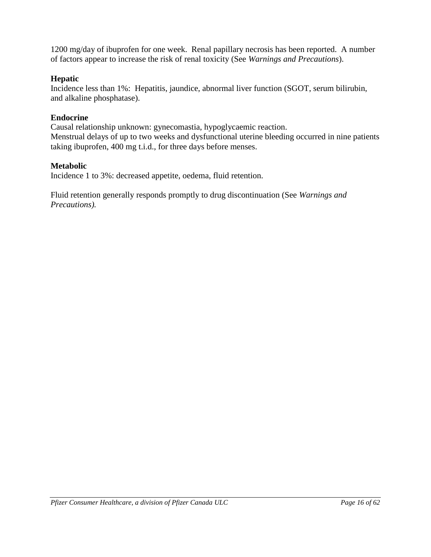1200 mg/day of ibuprofen for one week. Renal papillary necrosis has been reported. A number of factors appear to increase the risk of renal toxicity (See *Warnings and Precautions*).

## **Hepatic**

Incidence less than 1%: Hepatitis, jaundice, abnormal liver function (SGOT, serum bilirubin, and alkaline phosphatase).

## **Endocrine**

Causal relationship unknown: gynecomastia, hypoglycaemic reaction. Menstrual delays of up to two weeks and dysfunctional uterine bleeding occurred in nine patients taking ibuprofen, 400 mg t.i.d., for three days before menses.

## **Metabolic**

Incidence 1 to 3%: decreased appetite, oedema, fluid retention.

Fluid retention generally responds promptly to drug discontinuation (See *Warnings and Precautions).*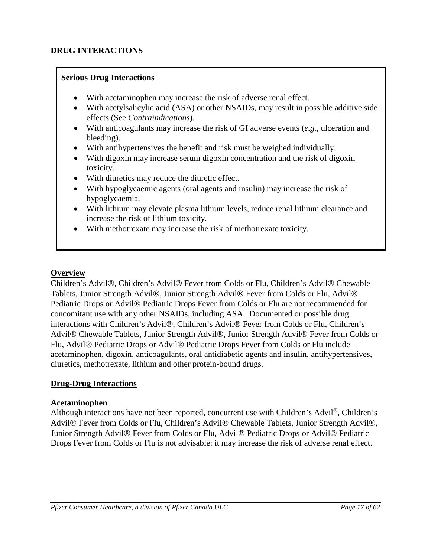## **DRUG INTERACTIONS**

## **Serious Drug Interactions**

- <span id="page-16-0"></span>With acetaminophen may increase the risk of adverse renal effect.
- With acetylsalicylic acid (ASA) or other NSAIDs, may result in possible additive side effects (See *Contraindications*).
- With anticoagulants may increase the risk of GI adverse events (*e.g.,* ulceration and bleeding).
- With antihypertensives the benefit and risk must be weighed individually.
- With digoxin may increase serum digoxin concentration and the risk of digoxin toxicity.
- With diuretics may reduce the diuretic effect.
- With hypoglycaemic agents (oral agents and insulin) may increase the risk of hypoglycaemia.
- With lithium may elevate plasma lithium levels, reduce renal lithium clearance and increase the risk of lithium toxicity.
- With methotrexate may increase the risk of methotrexate toxicity.

## **Overview**

Children's Advil®, Children's Advil® Fever from Colds or Flu, Children's Advil® Chewable Tablets, Junior Strength Advil®, Junior Strength Advil® Fever from Colds or Flu, Advil® Pediatric Drops or Advil<sup>®</sup> Pediatric Drops Fever from Colds or Flu are not recommended for concomitant use with any other NSAIDs, including ASA. Documented or possible drug interactions with Children's Advil®, Children's Advil® Fever from Colds or Flu, Children's Advil<sup>®</sup> Chewable Tablets, Junior Strength Advil<sup>®</sup>, Junior Strength Advil<sup>®</sup> Fever from Colds or Flu, Advil<sup>®</sup> Pediatric Drops or Advil<sup>®</sup> Pediatric Drops Fever from Colds or Flu include acetaminophen, digoxin, anticoagulants, oral antidiabetic agents and insulin, antihypertensives, diuretics, methotrexate, lithium and other protein-bound drugs.

## **Drug-Drug Interactions**

## **Acetaminophen**

Although interactions have not been reported, concurrent use with Children's Advil®, Children's Advil<sup>®</sup> Fever from Colds or Flu, Children's Advil<sup>®</sup> Chewable Tablets, Junior Strength Advil<sup>®</sup>, Junior Strength Advil® Fever from Colds or Flu, Advil® Pediatric Drops or Advil® Pediatric Drops Fever from Colds or Flu is not advisable: it may increase the risk of adverse renal effect.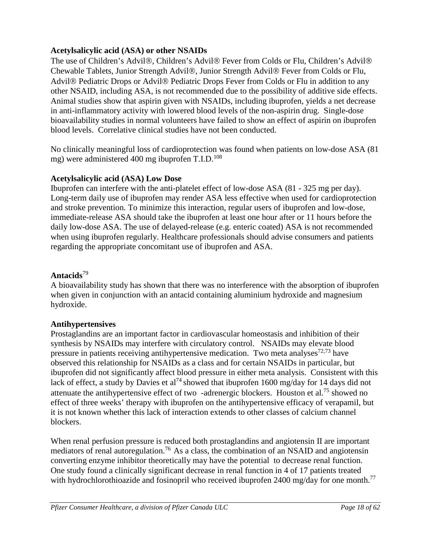## **Acetylsalicylic acid (ASA) or other NSAIDs**

The use of Children's Advil®, Children's Advil® Fever from Colds or Flu, Children's Advil® Chewable Tablets, Junior Strength Advil®, Junior Strength Advil® Fever from Colds or Flu, Advil<sup>®</sup> Pediatric Drops or Advil<sup>®</sup> Pediatric Drops Fever from Colds or Flu in addition to any other NSAID, including ASA, is not recommended due to the possibility of additive side effects. Animal studies show that aspirin given with NSAIDs, including ibuprofen, yields a net decrease in anti-inflammatory activity with lowered blood levels of the non-aspirin drug. Single-dose bioavailability studies in normal volunteers have failed to show an effect of aspirin on ibuprofen blood levels. Correlative clinical studies have not been conducted.

No clinically meaningful loss of cardioprotection was found when patients on low-dose ASA (81 mg) were administered 400 mg ibuprofen  $T.I.D.<sup>108</sup>$ 

## **Acetylsalicylic acid (ASA) Low Dose**

Ibuprofen can interfere with the anti-platelet effect of low-dose ASA (81 - 325 mg per day). Long-term daily use of ibuprofen may render ASA less effective when used for cardioprotection and stroke prevention. To minimize this interaction, regular users of ibuprofen and low-dose, immediate-release ASA should take the ibuprofen at least one hour after or 11 hours before the daily low-dose ASA. The use of delayed-release (e.g. enteric coated) ASA is not recommended when using ibuprofen regularly. Healthcare professionals should advise consumers and patients regarding the appropriate concomitant use of ibuprofen and ASA.

## **Antacids**<sup>79</sup>

A bioavailability study has shown that there was no interference with the absorption of ibuprofen when given in conjunction with an antacid containing aluminium hydroxide and magnesium hydroxide.

## **Antihypertensives**

Prostaglandins are an important factor in cardiovascular homeostasis and inhibition of their synthesis by NSAIDs may interfere with circulatory control. NSAIDs may elevate blood pressure in patients receiving antihypertensive medication. Two meta analyses<sup>72,73</sup> have observed this relationship for NSAIDs as a class and for certain NSAIDs in particular, but ibuprofen did not significantly affect blood pressure in either meta analysis. Consistent with this lack of effect, a study by Davies et al<sup>74</sup> showed that ibuprofen 1600 mg/day for 14 days did not attenuate the antihypertensive effect of two -adrenergic blockers. Houston et al.<sup>75</sup> showed no effect of three weeks' therapy with ibuprofen on the antihypertensive efficacy of verapamil, but it is not known whether this lack of interaction extends to other classes of calcium channel blockers.

When renal perfusion pressure is reduced both prostaglandins and angiotensin II are important mediators of renal autoregulation.<sup>76</sup> As a class, the combination of an NSAID and angiotensin converting enzyme inhibitor theoretically may have the potential to decrease renal function. One study found a clinically significant decrease in renal function in 4 of 17 patients treated with hydrochlorothioazide and fosinopril who received ibuprofen 2400 mg/day for one month.<sup>77</sup>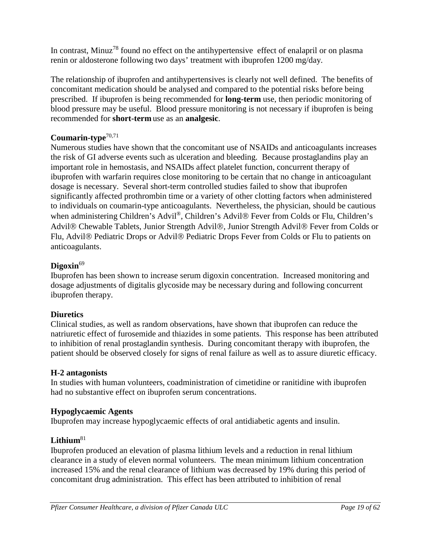In contrast, Minuz<sup>78</sup> found no effect on the antihypertensive effect of enalapril or on plasma renin or aldosterone following two days' treatment with ibuprofen 1200 mg/day.

The relationship of ibuprofen and antihypertensives is clearly not well defined. The benefits of concomitant medication should be analysed and compared to the potential risks before being prescribed. If ibuprofen is being recommended for **long-term** use, then periodic monitoring of blood pressure may be useful. Blood pressure monitoring is not necessary if ibuprofen is being recommended for **short-term** use as an **analgesic**.

## **Coumarin-type**70,71

Numerous studies have shown that the concomitant use of NSAIDs and anticoagulants increases the risk of GI adverse events such as ulceration and bleeding. Because prostaglandins play an important role in hemostasis, and NSAIDs affect platelet function, concurrent therapy of ibuprofen with warfarin requires close monitoring to be certain that no change in anticoagulant dosage is necessary. Several short-term controlled studies failed to show that ibuprofen significantly affected prothrombin time or a variety of other clotting factors when administered to individuals on coumarin-type anticoagulants. Nevertheless, the physician, should be cautious when administering Children's Advil<sup>®</sup>, Children's Advil<sup>®</sup> Fever from Colds or Flu, Children's Advil<sup>®</sup> Chewable Tablets, Junior Strength Advil<sup>®</sup>, Junior Strength Advil<sup>®</sup> Fever from Colds or Flu, Advil<sup>®</sup> Pediatric Drops or Advil<sup>®</sup> Pediatric Drops Fever from Colds or Flu to patients on anticoagulants.

## **Digoxin**<sup>69</sup>

Ibuprofen has been shown to increase serum digoxin concentration. Increased monitoring and dosage adjustments of digitalis glycoside may be necessary during and following concurrent ibuprofen therapy.

## **Diuretics**

Clinical studies, as well as random observations, have shown that ibuprofen can reduce the natriuretic effect of furosemide and thiazides in some patients. This response has been attributed to inhibition of renal prostaglandin synthesis. During concomitant therapy with ibuprofen, the patient should be observed closely for signs of renal failure as well as to assure diuretic efficacy.

## **H-2 antagonists**

In studies with human volunteers, coadministration of cimetidine or ranitidine with ibuprofen had no substantive effect on ibuprofen serum concentrations.

## **Hypoglycaemic Agents**

Ibuprofen may increase hypoglycaemic effects of oral antidiabetic agents and insulin.

## **Lithium**<sup>81</sup>

Ibuprofen produced an elevation of plasma lithium levels and a reduction in renal lithium clearance in a study of eleven normal volunteers. The mean minimum lithium concentration increased 15% and the renal clearance of lithium was decreased by 19% during this period of concomitant drug administration. This effect has been attributed to inhibition of renal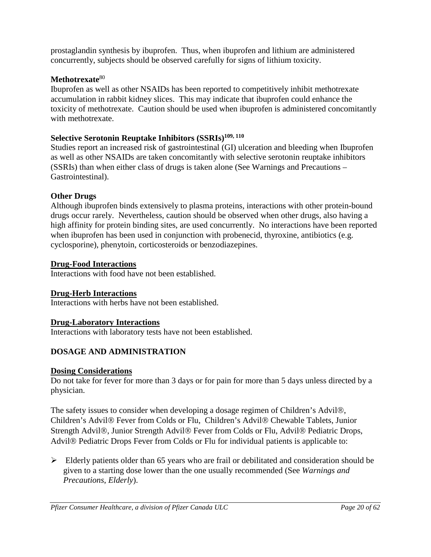prostaglandin synthesis by ibuprofen. Thus, when ibuprofen and lithium are administered concurrently, subjects should be observed carefully for signs of lithium toxicity.

## **Methotrexate**<sup>80</sup>

Ibuprofen as well as other NSAIDs has been reported to competitively inhibit methotrexate accumulation in rabbit kidney slices. This may indicate that ibuprofen could enhance the toxicity of methotrexate. Caution should be used when ibuprofen is administered concomitantly with methotrexate.

## **Selective Serotonin Reuptake Inhibitors (SSRIs)109, 110**

Studies report an increased risk of gastrointestinal (GI) ulceration and bleeding when Ibuprofen as well as other NSAIDs are taken concomitantly with selective serotonin reuptake inhibitors (SSRIs) than when either class of drugs is taken alone (See Warnings and Precautions – Gastrointestinal).

## **Other Drugs**

Although ibuprofen binds extensively to plasma proteins, interactions with other protein-bound drugs occur rarely. Nevertheless, caution should be observed when other drugs, also having a high affinity for protein binding sites, are used concurrently. No interactions have been reported when ibuprofen has been used in conjunction with probenecid, thyroxine, antibiotics (e.g. cyclosporine), phenytoin, corticosteroids or benzodiazepines.

## **Drug-Food Interactions**

Interactions with food have not been established.

## **Drug-Herb Interactions**

Interactions with herbs have not been established.

## **Drug-Laboratory Interactions**

Interactions with laboratory tests have not been established.

## <span id="page-19-0"></span>**DOSAGE AND ADMINISTRATION**

## **Dosing Considerations**

Do not take for fever for more than 3 days or for pain for more than 5 days unless directed by a physician.

The safety issues to consider when developing a dosage regimen of Children's Advil<sup>®</sup>, Children's Advil<sup>®</sup> Fever from Colds or Flu, Children's Advil<sup>®</sup> Chewable Tablets, Junior Strength Advil®, Junior Strength Advil® Fever from Colds or Flu, Advil® Pediatric Drops, Advil<sup>®</sup> Pediatric Drops Fever from Colds or Flu for individual patients is applicable to:

 $\triangleright$  Elderly patients older than 65 years who are frail or debilitated and consideration should be given to a starting dose lower than the one usually recommended (See *Warnings and Precautions*, *Elderly*).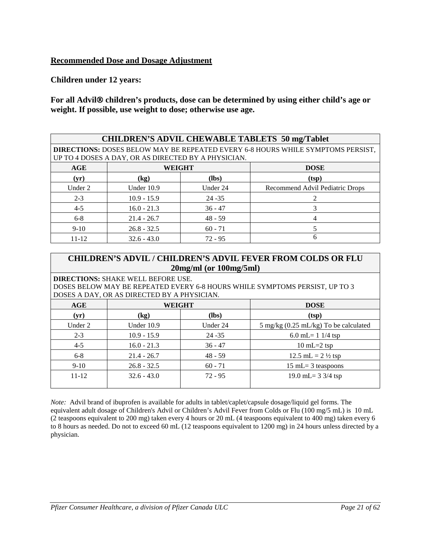## **Recommended Dose and Dosage Adjustment**

**Children under 12 years:**

For all Advil<sup>®</sup> children's products, dose can be determined by using either child's age or **weight. If possible, use weight to dose; otherwise use age.**

| <b>CHILDREN'S ADVIL CHEWABLE TABLETS 50 mg/Tablet</b>                                                                                         |               |           |                                 |  |  |
|-----------------------------------------------------------------------------------------------------------------------------------------------|---------------|-----------|---------------------------------|--|--|
| <b>DIRECTIONS: DOSES BELOW MAY BE REPEATED EVERY 6-8 HOURS WHILE SYMPTOMS PERSIST,</b><br>UP TO 4 DOSES A DAY, OR AS DIRECTED BY A PHYSICIAN. |               |           |                                 |  |  |
| AGE                                                                                                                                           | <b>WEIGHT</b> |           | <b>DOSE</b>                     |  |  |
| (yr)                                                                                                                                          | (kg)          | (lbs)     | (tsp)                           |  |  |
| Under 2                                                                                                                                       | Under 10.9    | Under 24  | Recommend Advil Pediatric Drops |  |  |
| $2 - 3$                                                                                                                                       | $10.9 - 15.9$ | $24 - 35$ | $\mathcal{D}_{\mathcal{L}}$     |  |  |
| $4 - 5$                                                                                                                                       | $16.0 - 21.3$ | $36 - 47$ | 3                               |  |  |
| $6 - 8$                                                                                                                                       | $21.4 - 26.7$ | $48 - 59$ | 4                               |  |  |
| $9-10$                                                                                                                                        | $26.8 - 32.5$ | $60 - 71$ |                                 |  |  |
| $11 - 12$                                                                                                                                     | $32.6 - 43.0$ | $72 - 95$ | 6                               |  |  |

## **CHILDREN'S ADVIL / CHILDREN'S ADVIL FEVER FROM COLDS OR FLU 20mg/ml (or 100mg/5ml)**

**DIRECTIONS:** SHAKE WELL BEFORE USE. DOSES BELOW MAY BE REPEATED EVERY 6-8 HOURS WHILE SYMPTOMS PERSIST, UP TO 3 DOSES A DAY, OR AS DIRECTED BY A PHYSICIAN.

| AGE       | WEIGHT        |           | <b>DOSE</b>                           |  |  |
|-----------|---------------|-----------|---------------------------------------|--|--|
| (yr)      | (kg)          | $(lbs)$   | (tsp)                                 |  |  |
| Under 2   | Under 10.9    | Under 24  | 5 mg/kg (0.25 mL/kg) To be calculated |  |  |
| $2 - 3$   | $10.9 - 15.9$ | $24 - 35$ | 6.0 mL= $1 \frac{1}{4}$ tsp           |  |  |
| $4 - 5$   | $16.0 - 21.3$ | $36 - 47$ | $10 \text{ mL} = 2 \text{ tsp}$       |  |  |
| $6 - 8$   | $21.4 - 26.7$ | $48 - 59$ | 12.5 mL = $2\frac{1}{2}$ tsp          |  |  |
| $9-10$    | $26.8 - 32.5$ | $60 - 71$ | $15$ mL= 3 teaspoons                  |  |  |
| $11 - 12$ | $32.6 - 43.0$ | $72 - 95$ | 19.0 mL= $3\frac{3}{4}$ tsp           |  |  |
|           |               |           |                                       |  |  |

*Note:* Advil brand of ibuprofen is available for adults in tablet/caplet/capsule dosage/liquid gel forms. The equivalent adult dosage of Children's Advil or Children's Advil Fever from Colds or Flu (100 mg/5 mL) is 10 mL (2 teaspoons equivalent to 200 mg) taken every 4 hours or 20 mL (4 teaspoons equivalent to 400 mg) taken every 6 to 8 hours as needed. Do not to exceed 60 mL (12 teaspoons equivalent to 1200 mg) in 24 hours unless directed by a physician.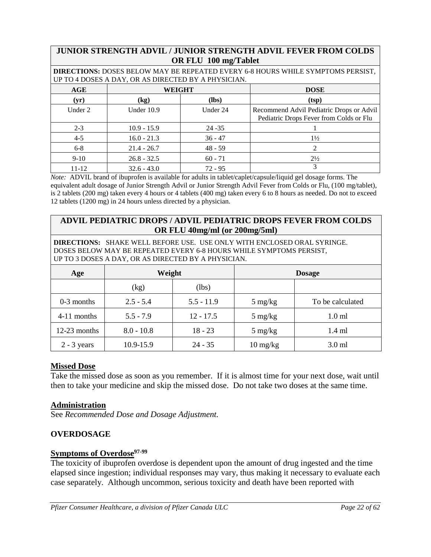## **JUNIOR STRENGTH ADVIL / JUNIOR STRENGTH ADVIL FEVER FROM COLDS OR FLU 100 mg/Tablet**

**DIRECTIONS:** DOSES BELOW MAY BE REPEATED EVERY 6-8 HOURS WHILE SYMPTOMS PERSIST, UP TO 4 DOSES A DAY, OR AS DIRECTED BY A PHYSICIAN.

| AGE     | WEIGHT                     |           | <b>DOSE</b>                                                                         |
|---------|----------------------------|-----------|-------------------------------------------------------------------------------------|
| (yr)    | $\left(\mathbf{kg}\right)$ | (lbs)     | (tsp)                                                                               |
| Under 2 | Under 10.9                 | Under 24  | Recommend Advil Pediatric Drops or Advil<br>Pediatric Drops Fever from Colds or Flu |
| $2 - 3$ | $10.9 - 15.9$              | $24 - 35$ |                                                                                     |
| $4 - 5$ | $16.0 - 21.3$              | $36 - 47$ | $1\frac{1}{2}$                                                                      |
| $6 - 8$ | $21.4 - 26.7$              | $48 - 59$ |                                                                                     |
| $9-10$  | $26.8 - 32.5$              | $60 - 71$ | $2\frac{1}{2}$                                                                      |
| 11-12   | $32.6 - 43.0$              | $72 - 95$ |                                                                                     |

*Note:* ADVIL brand of ibuprofen is available for adults in tablet/caplet/capsule/liquid gel dosage forms. The equivalent adult dosage of Junior Strength Advil or Junior Strength Advil Fever from Colds or Flu, (100 mg/tablet), is 2 tablets (200 mg) taken every 4 hours or 4 tablets (400 mg) taken every 6 to 8 hours as needed. Do not to exceed 12 tablets (1200 mg) in 24 hours unless directed by a physician.

## **ADVIL PEDIATRIC DROPS / ADVIL PEDIATRIC DROPS FEVER FROM COLDS OR FLU 40mg/ml (or 200mg/5ml)**

**DIRECTIONS:** SHAKE WELL BEFORE USE. USE ONLY WITH ENCLOSED ORAL SYRINGE. DOSES BELOW MAY BE REPEATED EVERY 6-8 HOURS WHILE SYMPTOMS PERSIST, UP TO 3 DOSES A DAY, OR AS DIRECTED BY A PHYSICIAN.

| Age            | Weight       |              |                                  | <b>Dosage</b>     |
|----------------|--------------|--------------|----------------------------------|-------------------|
|                | (kg)         | (lbs)        |                                  |                   |
| $0-3$ months   | $2.5 - 5.4$  | $5.5 - 11.9$ | $5 \text{ mg/kg}$                | To be calculated  |
| 4-11 months    | $5.5 - 7.9$  | $12 - 17.5$  | $5 \text{ mg/kg}$                | 1.0 <sub>m1</sub> |
| $12-23$ months | $8.0 - 10.8$ | $18 - 23$    | $5 \text{ mg/kg}$                | $1.4$ ml          |
| $2 - 3$ years  | 10.9-15.9    | $24 - 35$    | $10 \frac{\text{mg}}{\text{kg}}$ | $3.0$ ml          |

## **Missed Dose**

Take the missed dose as soon as you remember. If it is almost time for your next dose, wait until then to take your medicine and skip the missed dose. Do not take two doses at the same time.

## **Administration**

See *Recommended Dose and Dosage Adjustment.*

## <span id="page-21-0"></span>**OVERDOSAGE**

## **Symptoms of Overdose**97-99

The toxicity of ibuprofen overdose is dependent upon the amount of drug ingested and the time elapsed since ingestion; individual responses may vary, thus making it necessary to evaluate each case separately. Although uncommon, serious toxicity and death have been reported with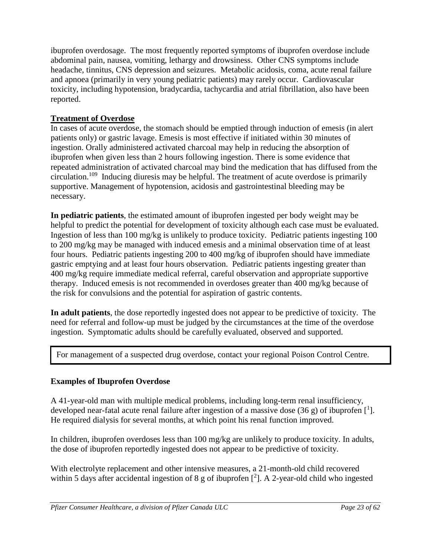ibuprofen overdosage. The most frequently reported symptoms of ibuprofen overdose include abdominal pain, nausea, vomiting, lethargy and drowsiness. Other CNS symptoms include headache, tinnitus, CNS depression and seizures. Metabolic acidosis, coma, acute renal failure and apnoea (primarily in very young pediatric patients) may rarely occur. Cardiovascular toxicity, including hypotension, bradycardia, tachycardia and atrial fibrillation, also have been reported.

## **Treatment of Overdose**

In cases of acute overdose, the stomach should be emptied through induction of emesis (in alert patients only) or gastric lavage. Emesis is most effective if initiated within 30 minutes of ingestion. Orally administered activated charcoal may help in reducing the absorption of ibuprofen when given less than 2 hours following ingestion. There is some evidence that repeated administration of activated charcoal may bind the medication that has diffused from the circulation. 109 Inducing diuresis may be helpful. The treatment of acute overdose is primarily supportive. Management of hypotension, acidosis and gastrointestinal bleeding may be necessary.

**In pediatric patients**, the estimated amount of ibuprofen ingested per body weight may be helpful to predict the potential for development of toxicity although each case must be evaluated. Ingestion of less than 100 mg/kg is unlikely to produce toxicity. Pediatric patients ingesting 100 to 200 mg/kg may be managed with induced emesis and a minimal observation time of at least four hours. Pediatric patients ingesting 200 to 400 mg/kg of ibuprofen should have immediate gastric emptying and at least four hours observation. Pediatric patients ingesting greater than 400 mg/kg require immediate medical referral, careful observation and appropriate supportive therapy. Induced emesis is not recommended in overdoses greater than 400 mg/kg because of the risk for convulsions and the potential for aspiration of gastric contents.

**In adult patients**, the dose reportedly ingested does not appear to be predictive of toxicity. The need for referral and follow-up must be judged by the circumstances at the time of the overdose ingestion. Symptomatic adults should be carefully evaluated, observed and supported.

For management of a suspected drug overdose, contact your regional Poison Control Centre.

## **Examples of Ibuprofen Overdose**

A 41-year-old man with multiple medical problems, including long-term renal insufficiency, developed near-fatal acute renal failure after ingestion of a massive dose  $(36 g)$  of ibuprofen [<sup>1</sup>]. He required dialysis for several months, at which point his renal function improved.

In children, ibuprofen overdoses less than 100 mg/kg are unlikely to produce toxicity. In adults, the dose of ibuprofen reportedly ingested does not appear to be predictive of toxicity.

With electrolyte replacement and other intensive measures, a 21-month-old child recovered within 5 days after accidental ingestion of 8 g of ibuprofen  $[^2]$ . A 2-year-old child who ingested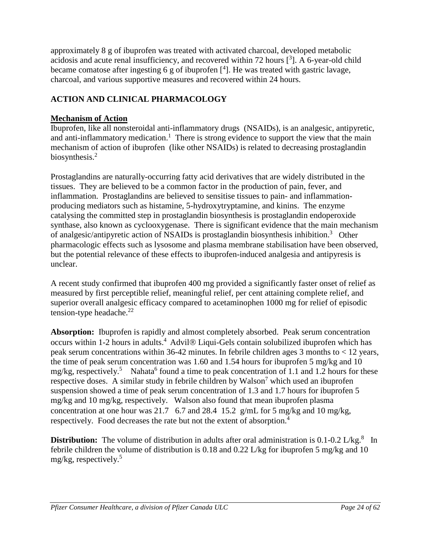approximately 8 g of ibuprofen was treated with activated charcoal, developed metabolic acidosis and acute renal insufficiency, and recovered within 72 hours  $[^3]$ . A 6-year-old child became comatose after ingesting 6 g of ibuprofen  $[4]$ . He was treated with gastric lavage, charcoal, and various supportive measures and recovered within 24 hours.

## <span id="page-23-0"></span>**ACTION AND CLINICAL PHARMACOLOGY**

## **Mechanism of Action**

Ibuprofen, like all nonsteroidal anti-inflammatory drugs (NSAIDs), is an analgesic, antipyretic, and anti-inflammatory medication.<sup>1</sup> There is strong evidence to support the view that the main mechanism of action of ibuprofen (like other NSAIDs) is related to decreasing prostaglandin biosynthesis.<sup>2</sup>

Prostaglandins are naturally-occurring fatty acid derivatives that are widely distributed in the tissues. They are believed to be a common factor in the production of pain, fever, and inflammation. Prostaglandins are believed to sensitise tissues to pain- and inflammationproducing mediators such as histamine, 5-hydroxytryptamine, and kinins. The enzyme catalysing the committed step in prostaglandin biosynthesis is prostaglandin endoperoxide synthase, also known as cyclooxygenase. There is significant evidence that the main mechanism of analgesic/antipyretic action of NSAIDs is prostaglandin biosynthesis inhibition.<sup>3</sup> Other pharmacologic effects such as lysosome and plasma membrane stabilisation have been observed, but the potential relevance of these effects to ibuprofen-induced analgesia and antipyresis is unclear.

A recent study confirmed that ibuprofen 400 mg provided a significantly faster onset of relief as measured by first perceptible relief, meaningful relief, per cent attaining complete relief, and superior overall analgesic efficacy compared to acetaminophen 1000 mg for relief of episodic tension-type headache. $^{22}$ 

**Absorption:** Ibuprofen is rapidly and almost completely absorbed. Peak serum concentration occurs within 1-2 hours in adults.<sup>4</sup> Advil $\otimes$  Liqui-Gels contain solubilized ibuprofen which has peak serum concentrations within 36-42 minutes. In febrile children ages 3 months to < 12 years, the time of peak serum concentration was 1.60 and 1.54 hours for ibuprofen 5 mg/kg and 10 mg/kg, respectively.<sup>5</sup> Nahata<sup>6</sup> found a time to peak concentration of 1.1 and 1.2 hours for these respective doses. A similar study in febrile children by Walson<sup>7</sup> which used an ibuprofen suspension showed a time of peak serum concentration of 1.3 and 1.7 hours for ibuprofen 5 mg/kg and 10 mg/kg, respectively. Walson also found that mean ibuprofen plasma concentration at one hour was 21.7 6.7 and 28.4 15.2 g/mL for 5 mg/kg and 10 mg/kg, respectively. Food decreases the rate but not the extent of absorption.4

**Distribution:** The volume of distribution in adults after oral administration is 0.1-0.2 L/kg.<sup>8</sup> In febrile children the volume of distribution is 0.18 and 0.22 L/kg for ibuprofen 5 mg/kg and 10 mg/kg, respectively.<sup>5</sup>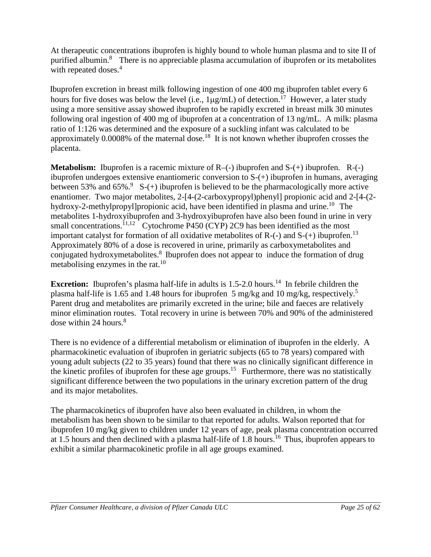At therapeutic concentrations ibuprofen is highly bound to whole human plasma and to site II of purified albumin.<sup>8</sup> There is no appreciable plasma accumulation of ibuprofen or its metabolites with repeated doses.<sup>4</sup>

 Ibuprofen excretion in breast milk following ingestion of one 400 mg ibuprofen tablet every 6 hours for five doses was below the level (i.e.,  $1\mu\text{g/mL}$ ) of detection.<sup>17</sup> However, a later study using a more sensitive assay showed ibuprofen to be rapidly excreted in breast milk 30 minutes following oral ingestion of 400 mg of ibuprofen at a concentration of 13 ng/mL. A milk: plasma ratio of 1:126 was determined and the exposure of a suckling infant was calculated to be approximately 0.0008% of the maternal dose.<sup>18</sup> It is not known whether ibuprofen crosses the placenta.

**Metabolism:** Ibuprofen is a racemic mixture of R–(-) ibuprofen and S-(+) ibuprofen. R-(-) ibuprofen undergoes extensive enantiomeric conversion to S-(+) ibuprofen in humans, averaging between 53% and 65%.<sup>9</sup> S-(+) ibuprofen is believed to be the pharmacologically more active enantiomer. Two major metabolites, 2-[4-(2-carboxypropyl)phenyl] propionic acid and 2-[4-(2hydroxy-2-methylpropyl]propionic acid, have been identified in plasma and urine.<sup>10</sup> The metabolites 1-hydroxyibuprofen and 3-hydroxyibuprofen have also been found in urine in very small concentrations.<sup>11,12</sup> Cytochrome P450 (CYP) 2C9 has been identified as the most important catalyst for formation of all oxidative metabolites of  $R$ -(-) and  $S$ -(+) ibuprofen.<sup>13</sup> Approximately 80% of a dose is recovered in urine, primarily as carboxymetabolites and conjugated hydroxymetabolites.<sup>8</sup> Ibuprofen does not appear to induce the formation of drug metabolising enzymes in the rat. $^{10}$ 

**Excretion:** Ibuprofen's plasma half-life in adults is 1.5-2.0 hours.<sup>14</sup> In febrile children the plasma half-life is 1.65 and 1.48 hours for ibuprofen 5 mg/kg and 10 mg/kg, respectively.5 Parent drug and metabolites are primarily excreted in the urine; bile and faeces are relatively minor elimination routes. Total recovery in urine is between 70% and 90% of the administered dose within  $24$  hours.<sup>8</sup>

There is no evidence of a differential metabolism or elimination of ibuprofen in the elderly. A pharmacokinetic evaluation of ibuprofen in geriatric subjects (65 to 78 years) compared with young adult subjects (22 to 35 years) found that there was no clinically significant difference in the kinetic profiles of ibuprofen for these age groups.<sup>15</sup> Furthermore, there was no statistically significant difference between the two populations in the urinary excretion pattern of the drug and its major metabolites.

The pharmacokinetics of ibuprofen have also been evaluated in children, in whom the metabolism has been shown to be similar to that reported for adults. Walson reported that for ibuprofen 10 mg/kg given to children under 12 years of age, peak plasma concentration occurred at 1.5 hours and then declined with a plasma half-life of 1.8 hours.<sup>16</sup> Thus, ibuprofen appears to exhibit a similar pharmacokinetic profile in all age groups examined.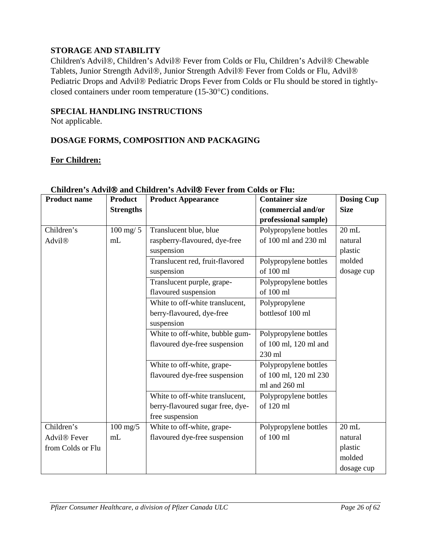## <span id="page-25-0"></span>**STORAGE AND STABILITY**

Children's Advil®, Children's Advil® Fever from Colds or Flu, Children's Advil® Chewable Tablets, Junior Strength Advil®, Junior Strength Advil® Fever from Colds or Flu, Advil® Pediatric Drops and Advil® Pediatric Drops Fever from Colds or Flu should be stored in tightlyclosed containers under room temperature (15-30°C) conditions.

## <span id="page-25-1"></span>**SPECIAL HANDLING INSTRUCTIONS**

Not applicable.

## <span id="page-25-2"></span>**DOSAGE FORMS, COMPOSITION AND PACKAGING**

## **For Children:**

| <b>Product name</b>      | <b>Product</b>     | Chharen s Aavn® and Chharen s Aavn® fever from Colas of Fia.<br><b>Product Appearance</b> | <b>Container size</b> | <b>Dosing Cup</b> |
|--------------------------|--------------------|-------------------------------------------------------------------------------------------|-----------------------|-------------------|
|                          | <b>Strengths</b>   |                                                                                           | (commercial and/or    | <b>Size</b>       |
|                          |                    |                                                                                           | professional sample)  |                   |
| Children's               | $100$ mg/ $5$      | Translucent blue, blue                                                                    | Polypropylene bottles | $20$ mL           |
| Advil®                   | mL                 | raspberry-flavoured, dye-free                                                             | of 100 ml and 230 ml  | natural           |
|                          |                    | suspension                                                                                |                       | plastic           |
|                          |                    | Translucent red, fruit-flavored                                                           | Polypropylene bottles | molded            |
|                          |                    | suspension                                                                                | of 100 ml             | dosage cup        |
|                          |                    | Translucent purple, grape-                                                                | Polypropylene bottles |                   |
|                          |                    | flavoured suspension                                                                      | of 100 ml             |                   |
|                          |                    | White to off-white translucent,                                                           | Polypropylene         |                   |
|                          |                    | berry-flavoured, dye-free                                                                 | bottlesof 100 ml      |                   |
|                          |                    | suspension                                                                                |                       |                   |
|                          |                    | White to off-white, bubble gum-                                                           | Polypropylene bottles |                   |
|                          |                    | flavoured dye-free suspension                                                             | of 100 ml, 120 ml and |                   |
|                          |                    |                                                                                           | 230 ml                |                   |
|                          |                    | White to off-white, grape-                                                                | Polypropylene bottles |                   |
|                          |                    | flavoured dye-free suspension                                                             | of 100 ml, 120 ml 230 |                   |
|                          |                    |                                                                                           | ml and 260 ml         |                   |
|                          |                    | White to off-white translucent,                                                           | Polypropylene bottles |                   |
|                          |                    | berry-flavoured sugar free, dye-                                                          | of 120 ml             |                   |
|                          |                    | free suspension                                                                           |                       |                   |
| Children's               | $100 \text{ mg}/5$ | White to off-white, grape-                                                                | Polypropylene bottles | $20$ mL           |
| Advil <sup>®</sup> Fever | mL                 | flavoured dye-free suspension                                                             | of 100 ml             | natural           |
| from Colds or Flu        |                    |                                                                                           |                       | plastic           |
|                          |                    |                                                                                           |                       | molded            |
|                          |                    |                                                                                           |                       | dosage cup        |

## **Children's Advil and Children's Advil Fever from Colds or Flu:**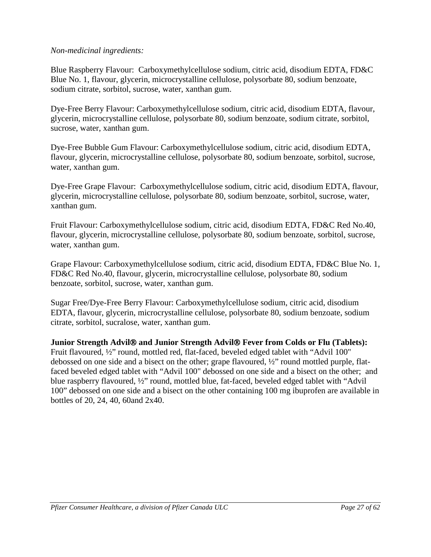## *Non-medicinal ingredients:*

Blue Raspberry Flavour: Carboxymethylcellulose sodium, citric acid, disodium EDTA, FD&C Blue No. 1, flavour, glycerin, microcrystalline cellulose, polysorbate 80, sodium benzoate, sodium citrate, sorbitol, sucrose, water, xanthan gum.

Dye-Free Berry Flavour: Carboxymethylcellulose sodium, citric acid, disodium EDTA, flavour, glycerin, microcrystalline cellulose, polysorbate 80, sodium benzoate, sodium citrate, sorbitol, sucrose, water, xanthan gum.

Dye-Free Bubble Gum Flavour: Carboxymethylcellulose sodium, citric acid, disodium EDTA, flavour, glycerin, microcrystalline cellulose, polysorbate 80, sodium benzoate, sorbitol, sucrose, water, xanthan gum.

Dye-Free Grape Flavour: Carboxymethylcellulose sodium, citric acid, disodium EDTA, flavour, glycerin, microcrystalline cellulose, polysorbate 80, sodium benzoate, sorbitol, sucrose, water, xanthan gum.

Fruit Flavour: Carboxymethylcellulose sodium, citric acid, disodium EDTA, FD&C Red No.40, flavour, glycerin, microcrystalline cellulose, polysorbate 80, sodium benzoate, sorbitol, sucrose, water, xanthan gum.

Grape Flavour: Carboxymethylcellulose sodium, citric acid, disodium EDTA, FD&C Blue No. 1, FD&C Red No.40, flavour, glycerin, microcrystalline cellulose, polysorbate 80, sodium benzoate, sorbitol, sucrose, water, xanthan gum.

Sugar Free/Dye-Free Berry Flavour: Carboxymethylcellulose sodium, citric acid, disodium EDTA, flavour, glycerin, microcrystalline cellulose, polysorbate 80, sodium benzoate, sodium citrate, sorbitol, sucralose, water, xanthan gum.

**Junior Strength Advil and Junior Strength Advil Fever from Colds or Flu (Tablets):** Fruit flavoured, ½" round, mottled red, flat-faced, beveled edged tablet with "Advil 100" debossed on one side and a bisect on the other; grape flavoured, ½" round mottled purple, flatfaced beveled edged tablet with "Advil 100" debossed on one side and a bisect on the other; and blue raspberry flavoured, ½" round, mottled blue, fat-faced, beveled edged tablet with "Advil 100" debossed on one side and a bisect on the other containing 100 mg ibuprofen are available in bottles of 20, 24, 40, 60and 2x40.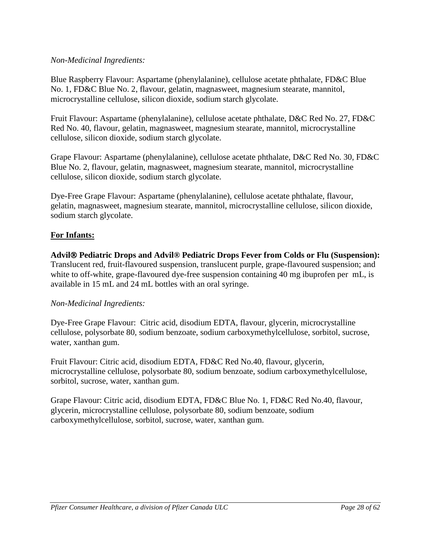## *Non-Medicinal Ingredients:*

Blue Raspberry Flavour: Aspartame (phenylalanine), cellulose acetate phthalate, FD&C Blue No. 1, FD&C Blue No. 2, flavour, gelatin, magnasweet, magnesium stearate, mannitol, microcrystalline cellulose, silicon dioxide, sodium starch glycolate.

Fruit Flavour: Aspartame (phenylalanine), cellulose acetate phthalate, D&C Red No. 27, FD&C Red No. 40, flavour, gelatin, magnasweet, magnesium stearate, mannitol, microcrystalline cellulose, silicon dioxide, sodium starch glycolate.

Grape Flavour: Aspartame (phenylalanine), cellulose acetate phthalate, D&C Red No. 30, FD&C Blue No. 2, flavour, gelatin, magnasweet, magnesium stearate, mannitol, microcrystalline cellulose, silicon dioxide, sodium starch glycolate.

Dye-Free Grape Flavour: Aspartame (phenylalanine), cellulose acetate phthalate, flavour, gelatin, magnasweet, magnesium stearate, mannitol, microcrystalline cellulose, silicon dioxide, sodium starch glycolate.

## **For Infants:**

**Advil Pediatric Drops and Advil® Pediatric Drops Fever from Colds or Flu (Suspension):** Translucent red, fruit-flavoured suspension, translucent purple, grape-flavoured suspension; and white to off-white, grape-flavoured dye-free suspension containing 40 mg ibuprofen per mL, is available in 15 mL and 24 mL bottles with an oral syringe.

## *Non-Medicinal Ingredients:*

Dye-Free Grape Flavour: Citric acid, disodium EDTA, flavour, glycerin, microcrystalline cellulose, polysorbate 80, sodium benzoate, sodium carboxymethylcellulose, sorbitol, sucrose, water, xanthan gum.

Fruit Flavour: Citric acid, disodium EDTA, FD&C Red No.40, flavour, glycerin, microcrystalline cellulose, polysorbate 80, sodium benzoate, sodium carboxymethylcellulose, sorbitol, sucrose, water, xanthan gum.

Grape Flavour: Citric acid, disodium EDTA, FD&C Blue No. 1, FD&C Red No.40, flavour, glycerin, microcrystalline cellulose, polysorbate 80, sodium benzoate, sodium carboxymethylcellulose, sorbitol, sucrose, water, xanthan gum.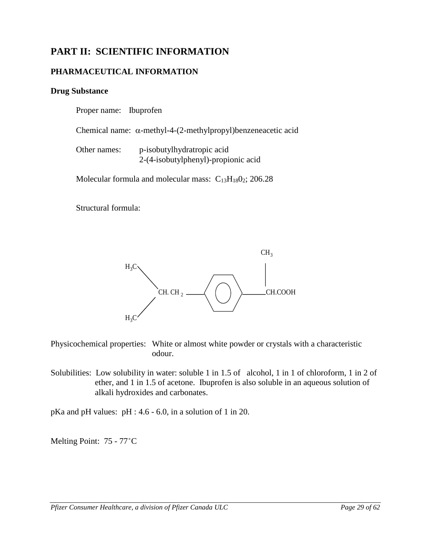## **PART II: SCIENTIFIC INFORMATION**

## **PHARMACEUTICAL INFORMATION**

## **Drug Substance**

<span id="page-28-1"></span><span id="page-28-0"></span>Proper name: Ibuprofen

Chemical name: α-methyl-4-(2-methylpropyl)benzeneacetic acid

| Other names: | p-isobutylhydratropic acid          |
|--------------|-------------------------------------|
|              | 2-(4-isobutylphenyl)-propionic acid |

Molecular formula and molecular mass:  $C_{13}H_{18}O_2$ ; 206.28

Structural formula:



Physicochemical properties: White or almost white powder or crystals with a characteristic odour.

Solubilities: Low solubility in water: soluble 1 in 1.5 of alcohol, 1 in 1 of chloroform, 1 in 2 of ether, and 1 in 1.5 of acetone. Ibuprofen is also soluble in an aqueous solution of alkali hydroxides and carbonates.

pKa and pH values: pH : 4.6 - 6.0, in a solution of 1 in 20.

Melting Point: 75 - 77°C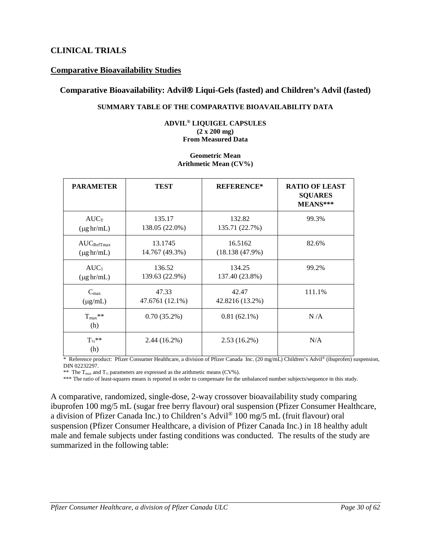## **CLINICAL TRIALS**

## **Comparative Bioavailability Studies**

## **Comparative Bioavailability: Advil Liqui-Gels (fasted) and Children's Advil (fasted)**

#### <span id="page-29-0"></span>**SUMMARY TABLE OF THE COMPARATIVE BIOAVAILABILITY DATA**

#### **ADVIL® LIQUIGEL CAPSULES (2 x 200 mg) From Measured Data**

#### **Geometric Mean Arithmetic Mean (CV%)**

| <b>PARAMETER</b>        | <b>TEST</b>     | <b>REFERENCE*</b> | <b>RATIO OF LEAST</b><br><b>SQUARES</b><br>MEANS*** |
|-------------------------|-----------------|-------------------|-----------------------------------------------------|
| $AUC_T$                 | 135.17          | 132.82            | 99.3%                                               |
| $(\mu g \cdot hr/mL)$   | 138.05 (22.0%)  | 135.71 (22.7%)    |                                                     |
| $AUC_{RefTmax}$         | 13.1745         | 16.5162           | 82.6%                                               |
| $(\mu g \cdot hr/mL)$   | 14.767 (49.3%)  | (18.138(47.9%)    |                                                     |
| $AUC_1$                 | 136.52          | 134.25            | 99.2%                                               |
| $(\mu g \, hr/mL)$      | 139.63 (22.9%)  | 137.40 (23.8%)    |                                                     |
| $C_{\text{max}}$        | 47.33           | 42.47             | 111.1%                                              |
| $(\mu g/mL)$            | 47.6761 (12.1%) | 42.8216 (13.2%)   |                                                     |
| $T_{\rm max}$ **<br>(h) | $0.70(35.2\%)$  | $0.81(62.1\%)$    | N/A                                                 |
| $T_{1/2}$ **<br>(h)     | $2.44(16.2\%)$  | $2.53(16.2\%)$    | N/A                                                 |

\* Reference product: Pfizer Consumer Healthcare, a division of Pfizer Canada Inc. (20 mg/mL) Children's Advil® (ibuprofen) suspension, DIN 02232297.

\*\* The  $T_{\text{max}}$  and  $T_{\frac{1}{2}}$  parameters are expressed as the arithmetic means (CV%).

\*\*\* The ratio of least-squares means is reported in order to compensate for the unbalanced number subjects/sequence in this study.

A comparative, randomized, single-dose, 2-way crossover bioavailability study comparing ibuprofen 100 mg/5 mL (sugar free berry flavour) oral suspension (Pfizer Consumer Healthcare, a division of Pfizer Canada Inc.) to Children's Advil® 100 mg/5 mL (fruit flavour) oral suspension (Pfizer Consumer Healthcare, a division of Pfizer Canada Inc.) in 18 healthy adult male and female subjects under fasting conditions was conducted. The results of the study are summarized in the following table: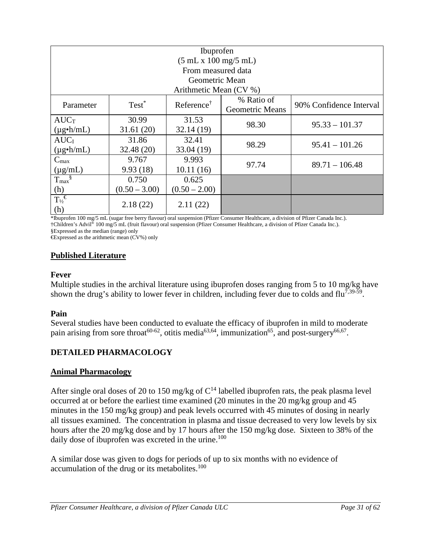| <b>Ibuprofen</b>           |                 |                        |                                      |                         |
|----------------------------|-----------------|------------------------|--------------------------------------|-------------------------|
|                            |                 | (5 mL x 100 mg/5 mL)   |                                      |                         |
|                            |                 | From measured data     |                                      |                         |
|                            |                 | Geometric Mean         |                                      |                         |
|                            |                 | Arithmetic Mean (CV %) |                                      |                         |
| Parameter                  | $Test^*$        | Reference <sup>†</sup> | % Ratio of<br><b>Geometric Means</b> | 90% Confidence Interval |
| AUC                        | 30.99           | 31.53                  | 98.30                                | $95.33 - 101.37$        |
| $(\mu g \cdot h/mL)$       | 31.61(20)       | 32.14(19)              |                                      |                         |
| AUC <sub>I</sub>           | 31.86           | 32.41                  | 98.29                                | $95.41 - 101.26$        |
| $(\mu g \cdot h/mL)$       | 32.48(20)       | 33.04 (19)             |                                      |                         |
| $C_{\text{max}}$           | 9.767           | 9.993                  |                                      |                         |
| $(\mu g/mL)$               | 9.93(18)        | 10.11(16)              | 97.74                                | $89.71 - 106.48$        |
| $T_{\rm max}$ <sup>§</sup> | 0.750           | 0.625                  |                                      |                         |
| (h)                        | $(0.50 - 3.00)$ | $(0.50 - 2.00)$        |                                      |                         |
| $T_{\frac{1}{2}}$<br>(h)   | 2.18(22)        | 2.11(22)               |                                      |                         |

\*Ibuprofen 100 mg/5 mL (sugar free berry flavour) oral suspension (Pfizer Consumer Healthcare, a division of Pfizer Canada Inc.). †Children's Advil® 100 mg/5 mL (fruit flavour) oral suspension (Pfizer Consumer Healthcare, a division of Pfizer Canada Inc.). §Expressed as the median (range) only

€Expressed as the arithmetic mean (CV%) only

## **Published Literature**

## **Fever**

Multiple studies in the archival literature using ibuprofen doses ranging from 5 to 10 mg/kg have shown the drug's ability to lower fever in children, including fever due to colds and  $flu<sup>7,39-59</sup>$ .

## **Pain**

Several studies have been conducted to evaluate the efficacy of ibuprofen in mild to moderate pain arising from sore throat<sup>60-62</sup>, otitis media<sup>63,64</sup>, immunization<sup>65</sup>, and post-surgery<sup>66,67</sup>.

## <span id="page-30-0"></span>**DETAILED PHARMACOLOGY**

## **Animal Pharmacology**

After single oral doses of 20 to 150 mg/kg of  $C^{14}$  labelled ibuprofen rats, the peak plasma level occurred at or before the earliest time examined (20 minutes in the 20 mg/kg group and 45 minutes in the 150 mg/kg group) and peak levels occurred with 45 minutes of dosing in nearly all tissues examined. The concentration in plasma and tissue decreased to very low levels by six hours after the 20 mg/kg dose and by 17 hours after the 150 mg/kg dose. Sixteen to 38% of the daily dose of ibuprofen was excreted in the urine.<sup>100</sup>

A similar dose was given to dogs for periods of up to six months with no evidence of accumulation of the drug or its metabolites.<sup>100</sup>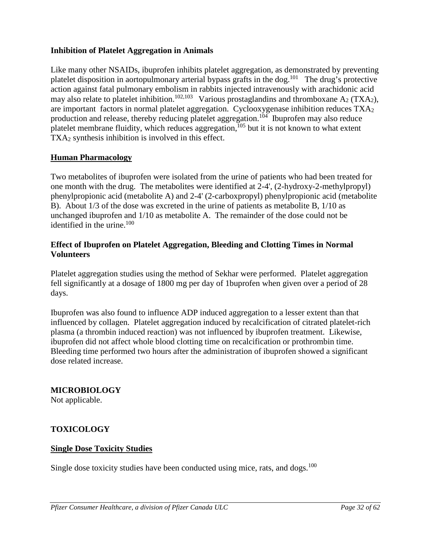## <span id="page-31-1"></span>**Inhibition of Platelet Aggregation in Animals**

Like many other NSAIDs, ibuprofen inhibits platelet aggregation, as demonstrated by preventing platelet disposition in aortopulmonary arterial bypass grafts in the dog.<sup>101</sup> The drug's protective action against fatal pulmonary embolism in rabbits injected intravenously with arachidonic acid may also relate to platelet inhibition.<sup>102,103</sup> Various prostaglandins and thromboxane  $A_2$  (TXA<sub>2</sub>), are important factors in normal platelet aggregation. Cyclooxygenase inhibition reduces TXA2 production and release, thereby reducing platelet aggregation.<sup>104</sup> Ibuprofen may also reduce platelet membrane fluidity, which reduces aggregation,  $^{105}$  but it is not known to what extent TXA<sub>2</sub> synthesis inhibition is involved in this effect.

## **Human Pharmacology**

Two metabolites of ibuprofen were isolated from the urine of patients who had been treated for one month with the drug. The metabolites were identified at 2-4', (2-hydroxy-2-methylpropyl) phenylpropionic acid (metabolite A) and 2-4' (2-carboxpropyl) phenylpropionic acid (metabolite B). About 1/3 of the dose was excreted in the urine of patients as metabolite B, 1/10 as unchanged ibuprofen and 1/10 as metabolite A. The remainder of the dose could not be identified in the urine.<sup>100</sup>

## **Effect of Ibuprofen on Platelet Aggregation, Bleeding and Clotting Times in Normal Volunteers**

Platelet aggregation studies using the method of Sekhar were performed. Platelet aggregation fell significantly at a dosage of 1800 mg per day of 1buprofen when given over a period of 28 days.

Ibuprofen was also found to influence ADP induced aggregation to a lesser extent than that influenced by collagen. Platelet aggregation induced by recalcification of citrated platelet-rich plasma (a thrombin induced reaction) was not influenced by ibuprofen treatment. Likewise, ibuprofen did not affect whole blood clotting time on recalcification or prothrombin time. Bleeding time performed two hours after the administration of ibuprofen showed a significant dose related increase.

## <span id="page-31-0"></span>**MICROBIOLOGY**

Not applicable.

## **TOXICOLOGY**

## **Single Dose Toxicity Studies**

Single dose toxicity studies have been conducted using mice, rats, and dogs.<sup>100</sup>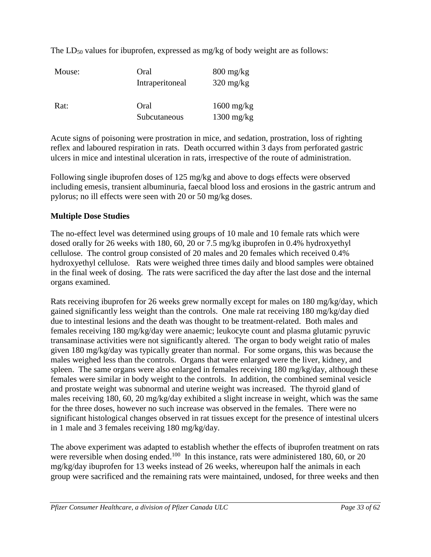The  $LD_{50}$  values for ibuprofen, expressed as mg/kg of body weight are as follows:

| Mouse: | Oral<br>Intraperitoneal | $800 \frac{\text{mg}}{\text{kg}}$<br>$320 \text{ mg/kg}$ |
|--------|-------------------------|----------------------------------------------------------|
| Rat:   | Oral<br>Subcutaneous    | $1600 \text{ mg/kg}$<br>$1300 \text{ mg/kg}$             |

Acute signs of poisoning were prostration in mice, and sedation, prostration, loss of righting reflex and laboured respiration in rats. Death occurred within 3 days from perforated gastric ulcers in mice and intestinal ulceration in rats, irrespective of the route of administration.

Following single ibuprofen doses of 125 mg/kg and above to dogs effects were observed including emesis, transient albuminuria, faecal blood loss and erosions in the gastric antrum and pylorus; no ill effects were seen with 20 or 50 mg/kg doses.

## **Multiple Dose Studies**

The no-effect level was determined using groups of 10 male and 10 female rats which were dosed orally for 26 weeks with 180, 60, 20 or 7.5 mg/kg ibuprofen in 0.4% hydroxyethyl cellulose. The control group consisted of 20 males and 20 females which received 0.4% hydroxyethyl cellulose. Rats were weighed three times daily and blood samples were obtained in the final week of dosing. The rats were sacrificed the day after the last dose and the internal organs examined.

Rats receiving ibuprofen for 26 weeks grew normally except for males on 180 mg/kg/day, which gained significantly less weight than the controls. One male rat receiving 180 mg/kg/day died due to intestinal lesions and the death was thought to be treatment-related. Both males and females receiving 180 mg/kg/day were anaemic; leukocyte count and plasma glutamic pyruvic transaminase activities were not significantly altered. The organ to body weight ratio of males given 180 mg/kg/day was typically greater than normal. For some organs, this was because the males weighed less than the controls. Organs that were enlarged were the liver, kidney, and spleen. The same organs were also enlarged in females receiving 180 mg/kg/day, although these females were similar in body weight to the controls. In addition, the combined seminal vesicle and prostate weight was subnormal and uterine weight was increased. The thyroid gland of males receiving 180, 60, 20 mg/kg/day exhibited a slight increase in weight, which was the same for the three doses, however no such increase was observed in the females. There were no significant histological changes observed in rat tissues except for the presence of intestinal ulcers in 1 male and 3 females receiving 180 mg/kg/day.

The above experiment was adapted to establish whether the effects of ibuprofen treatment on rats were reversible when dosing ended.<sup>100</sup> In this instance, rats were administered 180, 60, or 20 mg/kg/day ibuprofen for 13 weeks instead of 26 weeks, whereupon half the animals in each group were sacrificed and the remaining rats were maintained, undosed, for three weeks and then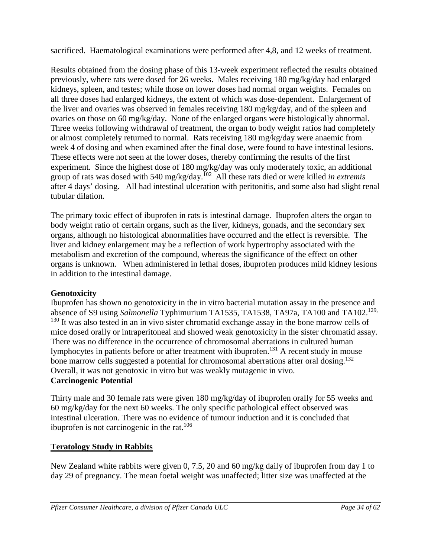sacrificed. Haematological examinations were performed after 4,8, and 12 weeks of treatment.

Results obtained from the dosing phase of this 13-week experiment reflected the results obtained previously, where rats were dosed for 26 weeks. Males receiving 180 mg/kg/day had enlarged kidneys, spleen, and testes; while those on lower doses had normal organ weights. Females on all three doses had enlarged kidneys, the extent of which was dose-dependent. Enlargement of the liver and ovaries was observed in females receiving 180 mg/kg/day, and of the spleen and ovaries on those on 60 mg/kg/day. None of the enlarged organs were histologically abnormal. Three weeks following withdrawal of treatment, the organ to body weight ratios had completely or almost completely returned to normal. Rats receiving 180 mg/kg/day were anaemic from week 4 of dosing and when examined after the final dose, were found to have intestinal lesions. These effects were not seen at the lower doses, thereby confirming the results of the first experiment. Since the highest dose of 180 mg/kg/day was only moderately toxic, an additional group of rats was dosed with 540 mg/kg/day.102 All these rats died or were killed *in extremis* after 4 days' dosing. All had intestinal ulceration with peritonitis, and some also had slight renal tubular dilation.

The primary toxic effect of ibuprofen in rats is intestinal damage. Ibuprofen alters the organ to body weight ratio of certain organs, such as the liver, kidneys, gonads, and the secondary sex organs, although no histological abnormalities have occurred and the effect is reversible. The liver and kidney enlargement may be a reflection of work hypertrophy associated with the metabolism and excretion of the compound, whereas the significance of the effect on other organs is unknown. When administered in lethal doses, ibuprofen produces mild kidney lesions in addition to the intestinal damage.

## **Genotoxicity**

Ibuprofen has shown no genotoxicity in the in vitro bacterial mutation assay in the presence and absence of S9 using *Salmonella* Typhimurium TA1535, TA1538, TA97a, TA100 and TA102.<sup>129,</sup> <sup>130</sup> It was also tested in an in vivo sister chromatid exchange assay in the bone marrow cells of mice dosed orally or intraperitoneal and showed weak genotoxicity in the sister chromatid assay. There was no difference in the occurrence of chromosomal aberrations in cultured human lymphocytes in patients before or after treatment with ibuprofen.131 A recent study in mouse bone marrow cells suggested a potential for chromosomal aberrations after oral dosing.<sup>132</sup> Overall, it was not genotoxic in vitro but was weakly mutagenic in vivo. **Carcinogenic Potential**

Thirty male and 30 female rats were given 180 mg/kg/day of ibuprofen orally for 55 weeks and 60 mg/kg/day for the next 60 weeks. The only specific pathological effect observed was intestinal ulceration. There was no evidence of tumour induction and it is concluded that ibuprofen is not carcinogenic in the rat. $106$ 

## **Teratology Study in Rabbits**

New Zealand white rabbits were given 0, 7.5, 20 and 60 mg/kg daily of ibuprofen from day 1 to day 29 of pregnancy. The mean foetal weight was unaffected; litter size was unaffected at the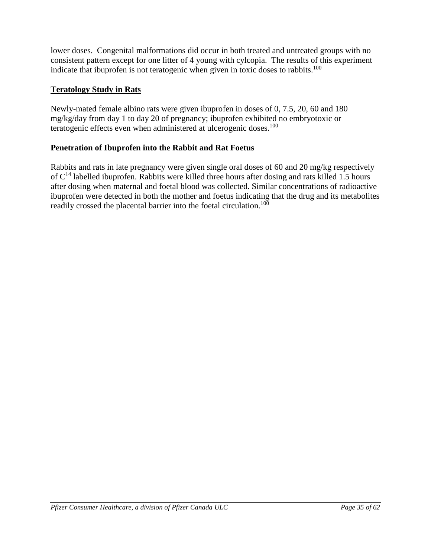lower doses. Congenital malformations did occur in both treated and untreated groups with no consistent pattern except for one litter of 4 young with cylcopia. The results of this experiment indicate that ibuprofen is not teratogenic when given in toxic doses to rabbits.<sup>100</sup>

## **Teratology Study in Rats**

Newly-mated female albino rats were given ibuprofen in doses of 0, 7.5, 20, 60 and 180 mg/kg/day from day 1 to day 20 of pregnancy; ibuprofen exhibited no embryotoxic or teratogenic effects even when administered at ulcerogenic doses.<sup>100</sup>

## **Penetration of Ibuprofen into the Rabbit and Rat Foetus**

Rabbits and rats in late pregnancy were given single oral doses of 60 and 20 mg/kg respectively of C<sup>14</sup> labelled ibuprofen. Rabbits were killed three hours after dosing and rats killed 1.5 hours after dosing when maternal and foetal blood was collected. Similar concentrations of radioactive ibuprofen were detected in both the mother and foetus indicating that the drug and its metabolites readily crossed the placental barrier into the foetal circulation.<sup>100</sup>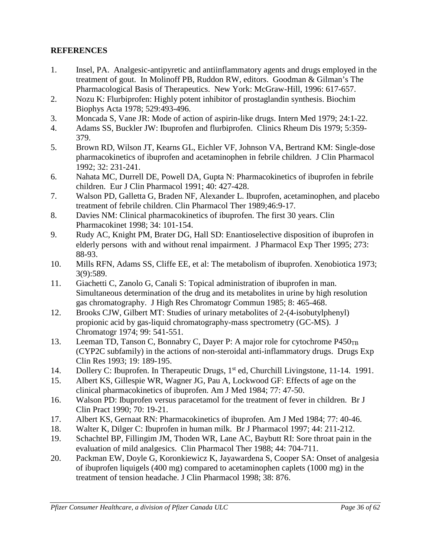## **REFERENCES**

- 1. Insel, PA. Analgesic-antipyretic and antiinflammatory agents and drugs employed in the treatment of gout. In Molinoff PB, Ruddon RW, editors. Goodman & Gilman's The Pharmacological Basis of Therapeutics. New York: McGraw-Hill, 1996: 617-657.
- 2. Nozu K: Flurbiprofen: Highly potent inhibitor of prostaglandin synthesis. Biochim Biophys Acta 1978; 529:493-496.
- 3. Moncada S, Vane JR: Mode of action of aspirin-like drugs. Intern Med 1979; 24:1-22.
- 4. Adams SS, Buckler JW: Ibuprofen and flurbiprofen. Clinics Rheum Dis 1979; 5:359- 379.
- 5. Brown RD, Wilson JT, Kearns GL, Eichler VF, Johnson VA, Bertrand KM: Single-dose pharmacokinetics of ibuprofen and acetaminophen in febrile children. J Clin Pharmacol 1992; 32: 231-241.
- 6. Nahata MC, Durrell DE, Powell DA, Gupta N: Pharmacokinetics of ibuprofen in febrile children. Eur J Clin Pharmacol 1991; 40: 427-428.
- 7. Walson PD, Galletta G, Braden NF, Alexander L. Ibuprofen, acetaminophen, and placebo treatment of febrile children. Clin Pharmacol Ther 1989;46:9-17.
- 8. Davies NM: Clinical pharmacokinetics of ibuprofen. The first 30 years. Clin Pharmacokinet 1998; 34: 101-154.
- 9. Rudy AC, Knight PM, Brater DG, Hall SD: Enantioselective disposition of ibuprofen in elderly persons with and without renal impairment. J Pharmacol Exp Ther 1995; 273: 88-93.
- 10. Mills RFN, Adams SS, Cliffe EE, et al: The metabolism of ibuprofen. Xenobiotica 1973; 3(9):589.
- 11. Giachetti C, Zanolo G, Canali S: Topical administration of ibuprofen in man. Simultaneous determination of the drug and its metabolites in urine by high resolution gas chromatography. J High Res Chromatogr Commun 1985; 8: 465-468.
- 12. Brooks CJW, Gilbert MT: Studies of urinary metabolites of 2-(4-isobutylphenyl) propionic acid by gas-liquid chromatography-mass spectrometry (GC-MS). J Chromatogr 1974; 99: 541-551.
- 13. Leeman TD, Tanson C, Bonnabry C, Dayer P: A major role for cytochrome  $P450_{TB}$ (CYP2C subfamily) in the actions of non-steroidal anti-inflammatory drugs. Drugs Exp Clin Res 1993; 19: 189-195.
- 14. Dollery C: Ibuprofen. In Therapeutic Drugs, 1<sup>st</sup> ed, Churchill Livingstone, 11-14. 1991.
- 15. Albert KS, Gillespie WR, Wagner JG, Pau A, Lockwood GF: Effects of age on the clinical pharmacokinetics of ibuprofen. Am J Med 1984; 77: 47-50.
- 16. Walson PD: Ibuprofen versus paracetamol for the treatment of fever in children. Br J Clin Pract 1990; 70: 19-21.
- 17. Albert KS, Gernaat RN: Pharmacokinetics of ibuprofen. Am J Med 1984; 77: 40-46.
- 18. Walter K, Dilger C: Ibuprofen in human milk. Br J Pharmacol 1997; 44: 211-212.
- 19. Schachtel BP, Fillingim JM, Thoden WR, Lane AC, Baybutt RI: Sore throat pain in the evaluation of mild analgesics. Clin Pharmacol Ther 1988; 44: 704-711.
- 20. Packman EW, Doyle G, Koronkiewicz K, Jayawardena S, Cooper SA: Onset of analgesia of ibuprofen liquigels (400 mg) compared to acetaminophen caplets (1000 mg) in the treatment of tension headache. J Clin Pharmacol 1998; 38: 876.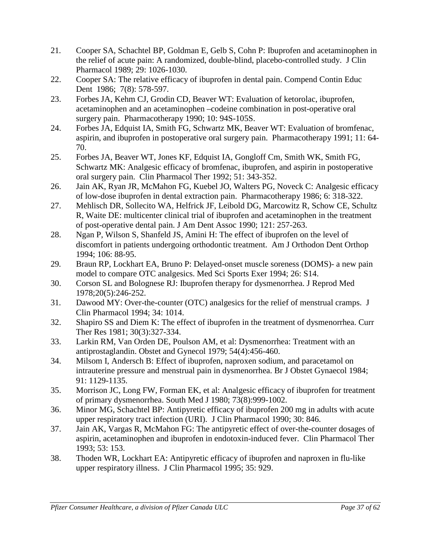- 21*.* Cooper SA, Schachtel BP, Goldman E, Gelb S, Cohn P: Ibuprofen and acetaminophen in the relief of acute pain: A randomized, double-blind, placebo-controlled study. J Clin Pharmacol 1989; 29: 1026-1030.
- 22. Cooper SA: The relative efficacy of ibuprofen in dental pain. Compend Contin Educ Dent 1986; 7(8): 578-597.
- 23. Forbes JA, Kehm CJ, Grodin CD, Beaver WT: Evaluation of ketorolac, ibuprofen, acetaminophen and an acetaminophen –codeine combination in post-operative oral surgery pain. Pharmacotherapy 1990; 10: 94S-105S.
- 24. Forbes JA, Edquist IA, Smith FG, Schwartz MK, Beaver WT: Evaluation of bromfenac, aspirin, and ibuprofen in postoperative oral surgery pain. Pharmacotherapy 1991; 11: 64- 70.
- 25. Forbes JA, Beaver WT, Jones KF, Edquist IA, Gongloff Cm, Smith WK, Smith FG, Schwartz MK: Analgesic efficacy of bromfenac, ibuprofen, and aspirin in postoperative oral surgery pain. Clin Pharmacol Ther 1992; 51: 343-352.
- 26. Jain AK, Ryan JR, McMahon FG, Kuebel JO, Walters PG, Noveck C: Analgesic efficacy of low-dose ibuprofen in dental extraction pain. Pharmacotherapy 1986; 6: 318-322.
- 27. Mehlisch DR, Sollecito WA, Helfrick JF, Leibold DG, Marcowitz R, Schow CE, Schultz R, Waite DE: multicenter clinical trial of ibuprofen and acetaminophen in the treatment of post-operative dental pain. J Am Dent Assoc 1990; 121: 257-263.
- 28. Ngan P, Wilson S, Shanfeld JS, Amini H: The effect of ibuprofen on the level of discomfort in patients undergoing orthodontic treatment. Am J Orthodon Dent Orthop 1994; 106: 88-95.
- 29*.* Braun RP, Lockhart EA, Bruno P: Delayed-onset muscle soreness (DOMS)- a new pain model to compare OTC analgesics. Med Sci Sports Exer 1994; 26: S14.
- 30. Corson SL and Bolognese RJ: Ibuprofen therapy for dysmenorrhea. J Reprod Med 1978;20(5):246-252.
- 31*.* Dawood MY: Over-the-counter (OTC) analgesics for the relief of menstrual cramps. J Clin Pharmacol 1994; 34: 1014.
- 32. Shapiro SS and Diem K: The effect of ibuprofen in the treatment of dysmenorrhea. Curr Ther Res 1981; 30(3):327-334.
- 33. Larkin RM, Van Orden DE, Poulson AM, et al: Dysmenorrhea: Treatment with an antiprostaglandin. Obstet and Gynecol 1979; 54(4):456-460.
- 34. Milsom I, Andersch B: Effect of ibuprofen, naproxen sodium, and paracetamol on intrauterine pressure and menstrual pain in dysmenorrhea. Br J Obstet Gynaecol 1984; 91: 1129-1135.
- 35. Morrison JC, Long FW, Forman EK, et al: Analgesic efficacy of ibuprofen for treatment of primary dysmenorrhea. South Med J 1980; 73(8):999-1002.
- 36. Minor MG, Schachtel BP: Antipyretic efficacy of ibuprofen 200 mg in adults with acute upper respiratory tract infection (URI). J Clin Pharmacol 1990; 30: 846.
- 37. Jain AK, Vargas R, McMahon FG: The antipyretic effect of over-the-counter dosages of aspirin, acetaminophen and ibuprofen in endotoxin-induced fever. Clin Pharmacol Ther 1993; 53: 153.
- 38. Thoden WR, Lockhart EA: Antipyretic efficacy of ibuprofen and naproxen in flu-like upper respiratory illness. J Clin Pharmacol 1995; 35: 929.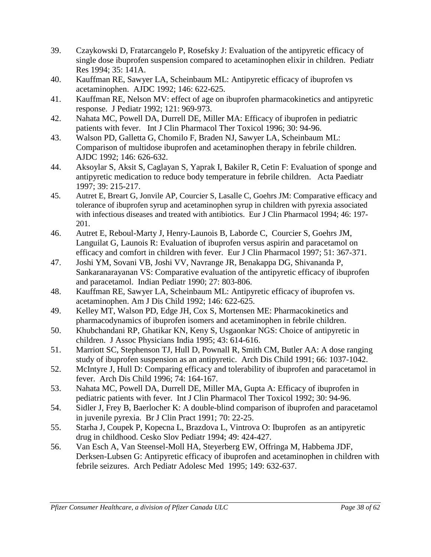- 39. Czaykowski D, Fratarcangelo P, Rosefsky J: Evaluation of the antipyretic efficacy of single dose ibuprofen suspension compared to acetaminophen elixir in children. Pediatr Res 1994; 35: 141A.
- 40. Kauffman RE, Sawyer LA, Scheinbaum ML: Antipyretic efficacy of ibuprofen vs acetaminophen. AJDC 1992; 146: 622-625.
- 41. Kauffman RE, Nelson MV: effect of age on ibuprofen pharmacokinetics and antipyretic response. J Pediatr 1992; 121: 969-973.
- 42. Nahata MC, Powell DA, Durrell DE, Miller MA: Efficacy of ibuprofen in pediatric patients with fever. Int J Clin Pharmacol Ther Toxicol 1996; 30: 94-96.
- 43. Walson PD, Galletta G, Chomilo F, Braden NJ, Sawyer LA, Scheinbaum ML: Comparison of multidose ibuprofen and acetaminophen therapy in febrile children. AJDC 1992; 146: 626-632.
- 44. Aksoylar S, Aksit S, Caglayan S, Yaprak I, Bakiler R, Cetin F: Evaluation of sponge and antipyretic medication to reduce body temperature in febrile children. Acta Paediatr 1997; 39: 215-217.
- 45. Autret E, Breart G, Jonvile AP, Courcier S, Lasalle C, Goehrs JM: Comparative efficacy and tolerance of ibuprofen syrup and acetaminophen syrup in children with pyrexia associated with infectious diseases and treated with antibiotics. Eur J Clin Pharmacol 1994; 46: 197- 201.
- 46. Autret E, Reboul-Marty J, Henry-Launois B, Laborde C, Courcier S, Goehrs JM, Languilat G, Launois R: Evaluation of ibuprofen versus aspirin and paracetamol on efficacy and comfort in children with fever. Eur J Clin Pharmacol 1997; 51: 367-371.
- 47. Joshi YM, Sovani VB, Joshi VV, Navrange JR, Benakappa DG, Shivananda P, Sankaranarayanan VS: Comparative evaluation of the antipyretic efficacy of ibuprofen and paracetamol. Indian Pediatr 1990; 27: 803-806.
- 48. Kauffman RE, Sawyer LA, Scheinbaum ML: Antipyretic efficacy of ibuprofen vs. acetaminophen. Am J Dis Child 1992; 146: 622-625.
- 49. Kelley MT, Walson PD, Edge JH, Cox S, Mortensen ME: Pharmacokinetics and pharmacodynamics of ibuprofen isomers and acetaminophen in febrile children.
- 50. Khubchandani RP, Ghatikar KN, Keny S, Usgaonkar NGS: Choice of antipyretic in children. J Assoc Physicians India 1995; 43: 614-616.
- 51. Marriott SC, Stephenson TJ, Hull D, Pownall R, Smith CM, Butler AA: A dose ranging study of ibuprofen suspension as an antipyretic. Arch Dis Child 1991; 66: 1037-1042.
- 52. McIntyre J, Hull D: Comparing efficacy and tolerability of ibuprofen and paracetamol in fever. Arch Dis Child 1996; 74: 164-167.
- 53. Nahata MC, Powell DA, Durrell DE, Miller MA, Gupta A: Efficacy of ibuprofen in pediatric patients with fever. Int J Clin Pharmacol Ther Toxicol 1992; 30: 94-96.
- 54. Sidler J, Frey B, Baerlocher K: A double-blind comparison of ibuprofen and paracetamol in juvenile pyrexia. Br J Clin Pract 1991; 70: 22-25.
- 55. Starha J, Coupek P, Kopecna L, Brazdova L, Vintrova O: Ibuprofen as an antipyretic drug in childhood. Cesko Slov Pediatr 1994; 49: 424-427.
- 56. Van Esch A, Van Steensel-Moll HA, Steyerberg EW, Offringa M, Habbema JDF, Derksen-Lubsen G: Antipyretic efficacy of ibuprofen and acetaminophen in children with febrile seizures. Arch Pediatr Adolesc Med 1995; 149: 632-637.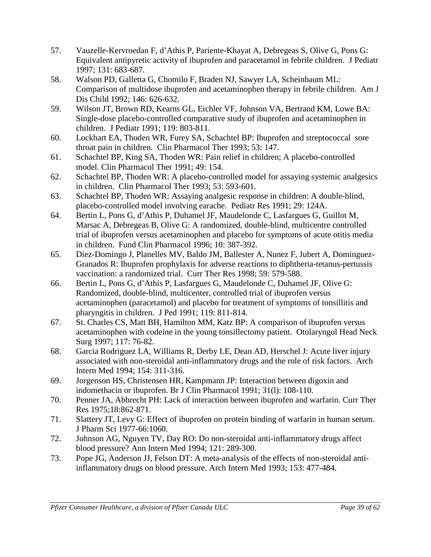- 57. Vauzelle-Kervroedan F, d'Athis P, Pariente-Khayat A, Debregeas S, Olive G, Pons G: Equivalent antipyretic activity of ibuprofen and paracetamol in febrile children. J Pediatr 1997; 131: 683-687.
- 58. Walson PD, Galletta G, Chomilo F, Braden NJ, Sawyer LA, Scheinbaum ML: Comparison of multidose ibuprofen and acetaminophen therapy in febrile children. Am J Dis Child 1992; 146: 626-632.
- 59. Wilson JT, Brown RD, Kearns GL, Eichler VF, Johnson VA, Bertrand KM, Lowe BA: Single-dose placebo-controlled comparative study of ibuprofen and acetaminophen in children. J Pediatr 1991; 119: 803-811.
- 60. Lockhart EA, Thoden WR, Furey SA, Schachtel BP: Ibuprofen and streptococcal sore throat pain in children. Clin Pharmacol Ther 1993; 53: 147.
- 61. Schachtel BP, King SA, Thoden WR: Pain relief in children; A placebo-controlled model. Clin Pharmacol Ther 1991; 49: 154.
- 62. Schachtel BP, Thoden WR: A placebo-controlled model for assaying systemic analgesics in children. Clin Pharmacol Ther 1993; 53: 593-601.
- 63. Schachtel BP, Thoden WR: Assaying analgesic response in children: A double-blind, placebo-controlled model involving earache. Pediatr Res 1991; 29: 124A.
- 64. Bertin L, Pons G, d'Athis P, Duhamel JF, Maudelonde C, Lasfargues G, Guillot M, Marsac A, Debregeas B, Olive G: A randomized, double-blind, multicentre controlled trial of ibuprofen versus acetaminophen and placebo for symptoms of acute otitis media in children. Fund Clin Pharmacol 1996; 10: 387-392.
- 65. Diez-Domingo J, Planelles MV, Baldo JM, Ballester A, Nunez F, Jubert A, Dominguez-Granados R: Ibuprofen prophylaxis for adverse reactions to diphtheria-tetanus-pertussis vaccination: a randomized trial. Curr Ther Res 1998; 59: 579-588.
- 66. Bertin L, Pons G, d'Athis P, Lasfargues G, Maudelonde C, Duhamel JF, Olive G: Randomized, double-blind, multicenter, controlled trial of ibuprofen versus acetaminophen (paracetamol) and placebo for treatment of symptoms of tonsillitis and pharyngitis in children. J Ped 1991; 119: 811-814.
- 67. St. Charles CS, Matt BH, Hamilton MM, Katz BP: A comparison of ibuprofen versus acetaminophen with codeine in the young tonsillectomy patient. Otolaryngol Head Neck Surg 1997; 117: 76-82.
- 68. Garcia Rodriguez LA, Williams R, Derby LE, Dean AD, Herschel J: Acute liver injury associated with non-steroidal anti-inflammatory drugs and the role of risk factors. Arch Intern Med 1994; 154: 311-316.
- 69. Jorgenson HS, Christensen HR, Kampmann JP: Interaction between digoxin and indomethacin or ibuprofen. Br J Clin Pharmacol 1991; 31(l): 108-110.
- 70. Penner JA, Abbrecht PH: Lack of interaction between ibuprofen and warfarin. Curr Ther Res 1975;18:862-871.
- 71. Slattery JT, Levy G: Effect of ibuprofen on protein binding of warfarin in human serum. J Pharm Sci 1977-66:1060.
- 72. Johnson AG, Nguyen TV, Day RO: Do non-steroidal anti-inflammatory drugs affect blood pressure? Ann Intern Med 1994; 121: 289-300.
- 73. Pope JG, Anderson JJ, Felson DT: A meta-analysis of the effects of non-steroidal antiinflammatory drugs on blood pressure. Arch Intern Med 1993; 153: 477-484.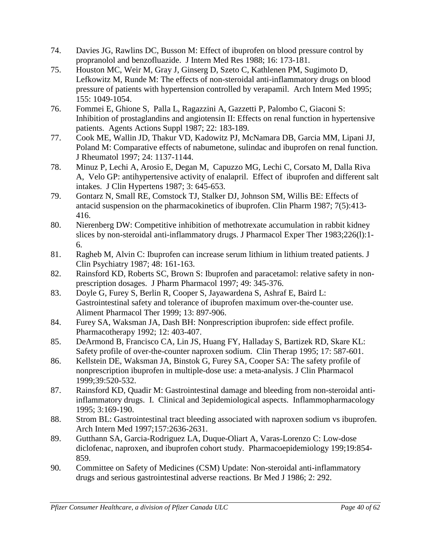- 74. Davies JG, Rawlins DC, Busson M: Effect of ibuprofen on blood pressure control by propranolol and benzofluazide. J Intern Med Res 1988; 16: 173-181.
- 75. Houston MC, Weir M, Gray J, Ginserg D, Szeto C, Kathlenen PM, Sugimoto D, Lefkowitz M, Runde M: The effects of non-steroidal anti-inflammatory drugs on blood pressure of patients with hypertension controlled by verapamil. Arch Intern Med 1995; 155: 1049-1054.
- 76. Fommei E, Ghione S, Palla L, Ragazzini A, Gazzetti P, Palombo C, Giaconi S: Inhibition of prostaglandins and angiotensin II: Effects on renal function in hypertensive patients. Agents Actions Suppl 1987; 22: 183-189.
- 77. Cook ME, Wallin JD, Thakur VD, Kadowitz PJ, McNamara DB, Garcia MM, Lipani JJ, Poland M: Comparative effects of nabumetone, sulindac and ibuprofen on renal function. J Rheumatol 1997; 24: 1137-1144.
- 78. Minuz P, Lechi A, Arosio E, Degan M, Capuzzo MG, Lechi C, Corsato M, Dalla Riva A, Velo GP: antihypertensive activity of enalapril. Effect of ibuprofen and different salt intakes. J Clin Hypertens 1987; 3: 645-653.
- 79. Gontarz N, Small RE, Comstock TJ, Stalker DJ, Johnson SM, Willis BE: Effects of antacid suspension on the pharmacokinetics of ibuprofen. Clin Pharm 1987; 7(5):413- 416.
- 80. Nierenberg DW: Competitive inhibition of methotrexate accumulation in rabbit kidney slices by non-steroidal anti-inflammatory drugs. J Pharmacol Exper Ther 1983;226(l):1- 6.
- 81. Ragheb M, Alvin C: Ibuprofen can increase serum lithium in lithium treated patients. J Clin Psychiatry 1987; 48: 161-163.
- 82. Rainsford KD, Roberts SC, Brown S: Ibuprofen and paracetamol: relative safety in nonprescription dosages. J Pharm Pharmacol 1997; 49: 345-376.
- 83. Doyle G, Furey S, Berlin R, Cooper S, Jayawardena S, Ashraf E, Baird L: Gastrointestinal safety and tolerance of ibuprofen maximum over-the-counter use. Aliment Pharmacol Ther 1999; 13: 897-906.
- 84. Furey SA, Waksman JA, Dash BH: Nonprescription ibuprofen: side effect profile. Pharmacotherapy 1992; 12: 403-407.
- 85. DeArmond B, Francisco CA, Lin JS, Huang FY, Halladay S, Bartizek RD, Skare KL: Safety profile of over-the-counter naproxen sodium. Clin Therap 1995; 17: 587-601.
- 86. Kellstein DE, Waksman JA, Binstok G, Furey SA, Cooper SA: The safety profile of nonprescription ibuprofen in multiple-dose use: a meta-analysis. J Clin Pharmacol 1999;39:520-532.
- 87. Rainsford KD, Quadir M: Gastrointestinal damage and bleeding from non-steroidal antiinflammatory drugs. I. Clinical and 3epidemiological aspects. Inflammopharmacology 1995; 3:169-190.
- 88. Strom BL: Gastrointestinal tract bleeding associated with naproxen sodium vs ibuprofen. Arch Intern Med 1997;157:2636-2631.
- 89. Gutthann SA, Garcia-Rodriguez LA, Duque-Oliart A, Varas-Lorenzo C: Low-dose diclofenac, naproxen, and ibuprofen cohort study. Pharmacoepidemiology 199;19:854- 859.
- 90*.* Committee on Safety of Medicines (CSM) Update: Non-steroidal anti-inflammatory drugs and serious gastrointestinal adverse reactions. Br Med J 1986; 2: 292.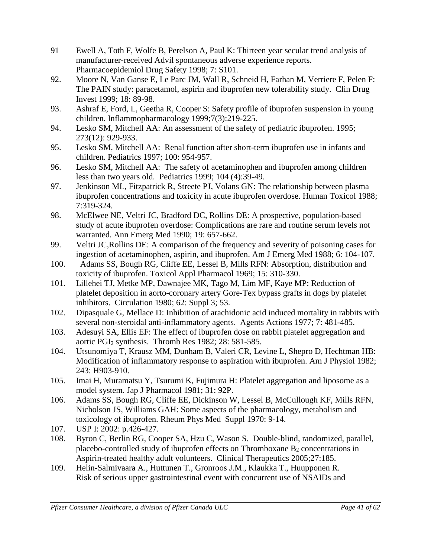- 91 Ewell A, Toth F, Wolfe B, Perelson A, Paul K: Thirteen year secular trend analysis of manufacturer-received Advil spontaneous adverse experience reports. Pharmacoepidemiol Drug Safety 1998; 7: S101.
- 92. Moore N, Van Ganse E, Le Parc JM, Wall R, Schneid H, Farhan M, Verriere F, Pelen F: The PAIN study: paracetamol, aspirin and ibuprofen new tolerability study. Clin Drug Invest 1999; 18: 89-98.
- 93. Ashraf E, Ford, L, Geetha R, Cooper S: Safety profile of ibuprofen suspension in young children. Inflammopharmacology 1999;7(3):219-225.
- 94. Lesko SM, Mitchell AA: An assessment of the safety of pediatric ibuprofen. 1995; 273(12): 929-933.
- 95. Lesko SM, Mitchell AA: Renal function after short-term ibuprofen use in infants and children. Pediatrics 1997; 100: 954-957.
- 96. Lesko SM, Mitchell AA: The safety of acetaminophen and ibuprofen among children less than two years old. Pediatrics 1999; 104 (4):39-49.
- 97. Jenkinson ML, Fitzpatrick R, Streete PJ, Volans GN: The relationship between plasma ibuprofen concentrations and toxicity in acute ibuprofen overdose. Human Toxicol 1988; 7:319-324.
- 98. McElwee NE, Veltri JC, Bradford DC, Rollins DE: A prospective, population-based study of acute ibuprofen overdose: Complications are rare and routine serum levels not warranted. Ann Emerg Med 1990; 19: 657-662.
- 99. Veltri JC,Rollins DE: A comparison of the frequency and severity of poisoning cases for ingestion of acetaminophen, aspirin, and ibuprofen. Am J Emerg Med 1988; 6: 104-107.
- 100. Adams SS, Bough RG, Cliffe EE, Lessel B, Mills RFN: Absorption, distribution and toxicity of ibuprofen. Toxicol Appl Pharmacol 1969; 15: 310-330.
- 101. Lillehei TJ, Metke MP, Dawnajee MK, Tago M, Lim MF, Kaye MP: Reduction of platelet deposition in aorto-coronary artery Gore-Tex bypass grafts in dogs by platelet inhibitors. Circulation 1980; 62: Suppl 3; 53.
- 102. Dipasquale G, Mellace D: Inhibition of arachidonic acid induced mortality in rabbits with several non-steroidal anti-inflammatory agents. Agents Actions 1977; 7: 481-485.
- 103. Adesuyi SA, Ellis EF: The effect of ibuprofen dose on rabbit platelet aggregation and aortic PGI2 synthesis. Thromb Res 1982; 28: 581-585.
- 104. Utsunomiya T, Krausz MM, Dunham B, Valeri CR, Levine L, Shepro D, Hechtman HB: Modification of inflammatory response to aspiration with ibuprofen. Am J Physiol 1982; 243: H903-910.
- 105. Imai H, Muramatsu Y, Tsurumi K, Fujimura H: Platelet aggregation and liposome as a model system. Jap J Pharmacol 1981; 31: 92P.
- 106. Adams SS, Bough RG, Cliffe EE, Dickinson W, Lessel B, McCullough KF, Mills RFN, Nicholson JS, Williams GAH: Some aspects of the pharmacology, metabolism and toxicology of ibuprofen. Rheum Phys Med Suppl 1970: 9-14.
- 107. USP I: 2002: p.426-427.
- 108. Byron C, Berlin RG, Cooper SA, Hzu C, Wason S. Double-blind, randomized, parallel, placebo-controlled study of ibuprofen effects on Thromboxane  $B_2$  concentrations in Aspirin-treated healthy adult volunteers. Clinical Therapeutics 2005;27:185.
- 109. Helin-Salmivaara A., Huttunen T., Gronroos J.M., Klaukka T., Huupponen R. Risk of serious upper gastrointestinal event with concurrent use of NSAIDs and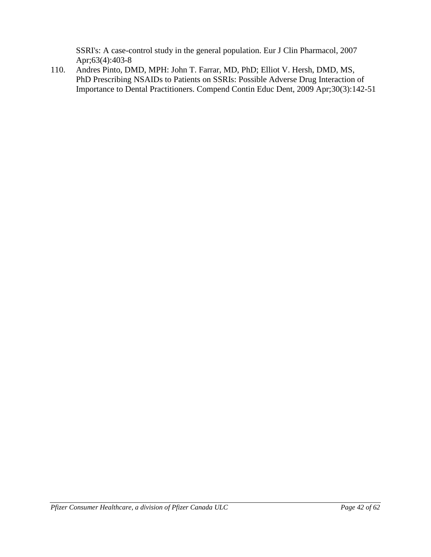SSRI's: A case-control study in the general population. Eur J Clin Pharmacol, 2007 Apr;63(4):403-8

110. Andres Pinto, DMD, MPH: John T. Farrar, MD, PhD; Elliot V. Hersh, DMD, MS, PhD Prescribing NSAIDs to Patients on SSRIs: Possible Adverse Drug Interaction of Importance to Dental Practitioners. Compend Contin Educ Dent, 2009 Apr;30(3):142-51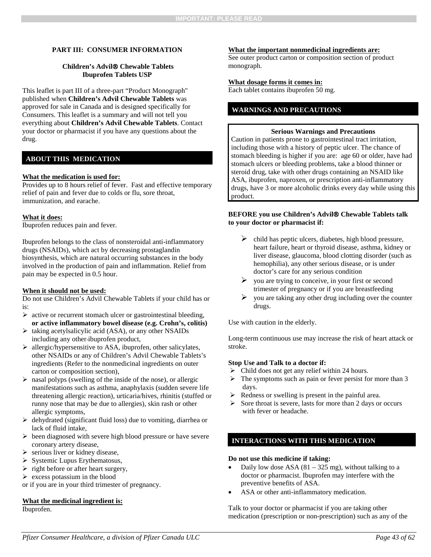#### **PART III: CONSUMER INFORMATION**

#### **Children's Advil Chewable Tablets Ibuprofen Tablets USP**

This leaflet is part III of a three-part "Product Monograph" published when **Children's Advil Chewable Tablets** was approved for sale in Canada and is designed specifically for Consumers. This leaflet is a summary and will not tell you everything about **Children's Advil Chewable Tablets**. Contact your doctor or pharmacist if you have any questions about the drug.

### **ABOUT THIS MEDICATION**

#### **What the medication is used for:**

Provides up to 8 hours relief of fever. Fast and effective temporary relief of pain and fever due to colds or flu, sore throat, immunization, and earache.

#### **What it does:**

Ibuprofen reduces pain and fever.

Ibuprofen belongs to the class of nonsteroidal anti-inflammatory drugs (NSAIDs), which act by decreasing prostaglandin biosynthesis, which are natural occurring substances in the body involved in the production of pain and inflammation. Relief from pain may be expected in 0.5 hour.

#### **When it should not be used:**

Do not use Children's Advil Chewable Tablets if your child has or is:

- $\triangleright$  active or recurrent stomach ulcer or gastrointestinal bleeding, **or active inflammatory bowel disease (e.g. Crohn's, colitis)**
- $\triangleright$  taking acetylsalicylic acid (ASA), or any other NSAIDs including any other ibuprofen product,
- $\triangleright$  allergic/hypersensitive to ASA, ibuprofen, other salicylates, other NSAIDs or any of Children's Advil Chewable Tablets's ingredients (Refer to the nonmedicinal ingredients on outer carton or composition section),
- $\triangleright$  nasal polyps (swelling of the inside of the nose), or allergic manifestations such as asthma, anaphylaxis (sudden severe life threatening allergic reaction), urticaria/hives, rhinitis (stuffed or runny nose that may be due to allergies), skin rash or other allergic symptoms,
- $\triangleright$  dehydrated (significant fluid loss) due to vomiting, diarrhea or lack of fluid intake,
- $\triangleright$  been diagnosed with severe high blood pressure or have severe coronary artery disease,
- $\triangleright$  serious liver or kidney disease,
- $\triangleright$  Systemic Lupus Erythematosus,
- $\triangleright$  right before or after heart surgery,
- $\triangleright$  excess potassium in the blood
- or if you are in your third trimester of pregnancy.

#### **What the medicinal ingredient is:** Ibuprofen.

#### **What the important nonmedicinal ingredients are:**

See outer product carton or composition section of product monograph.

#### **What dosage forms it comes in:**

Each tablet contains ibuprofen 50 mg.

## **WARNINGS AND PRECAUTIONS**

#### **Serious Warnings and Precautions**

Caution in patients prone to gastrointestinal tract irritation, including those with a history of peptic ulcer. The chance of stomach bleeding is higher if you are: age 60 or older, have had stomach ulcers or bleeding problems, take a blood thinner or steroid drug, take with other drugs containing an NSAID like ASA, ibuprofen, naproxen, or prescription anti-inflammatory drugs, have 3 or more alcoholic drinks every day while using this product.

#### **BEFORE you use Children's Advil Chewable Tablets talk to your doctor or pharmacist if:**

- $\triangleright$  child has peptic ulcers, diabetes, high blood pressure, heart failure, heart or thyroid disease, asthma, kidney or liver disease, glaucoma, blood clotting disorder (such as hemophilia), any other serious disease, or is under doctor's care for any serious condition
- $\triangleright$  you are trying to conceive, in your first or second trimester of pregnancy or if you are breastfeeding
- $\triangleright$  you are taking any other drug including over the counter drugs.

Use with caution in the elderly.

Long-term continuous use may increase the risk of heart attack or stroke.

#### **Stop Use and Talk to a doctor if:**

- $\triangleright$  Child does not get any relief within 24 hours.
- $\triangleright$  The symptoms such as pain or fever persist for more than 3 days.
- $\triangleright$  Redness or swelling is present in the painful area.
- $\triangleright$  Sore throat is severe, lasts for more than 2 days or occurs with fever or headache.

#### **INTERACTIONS WITH THIS MEDICATION**

#### **Do not use this medicine if taking:**

- Daily low dose ASA  $(81 325 mg)$ , without talking to a doctor or pharmacist. Ibuprofen may interfere with the preventive benefits of ASA.
- ASA or other anti-inflammatory medication.

Talk to your doctor or pharmacist if you are taking other medication (prescription or non-prescription) such as any of the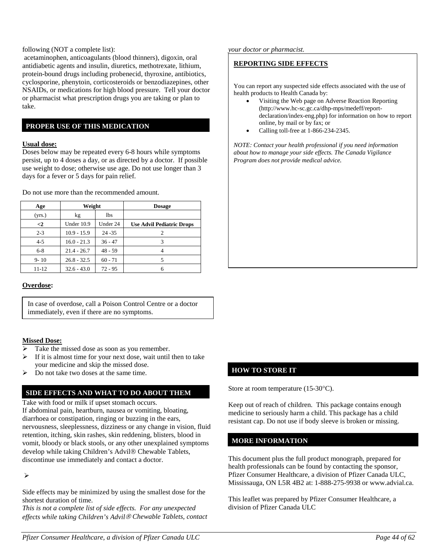#### following (NOT a complete list):

acetaminophen, anticoagulants (blood thinners), digoxin, oral antidiabetic agents and insulin, diuretics, methotrexate, lithium, protein-bound drugs including probenecid, thyroxine, antibiotics, cyclosporine, phenytoin, corticosteroids or benzodiazepines, other NSAIDs, or medications for high blood pressure. Tell your doctor or pharmacist what prescription drugs you are taking or plan to take.

### **PROPER USE OF THIS MEDICATION**

#### **Usual dose:**

Doses below may be repeated every 6-8 hours while symptoms persist, up to 4 doses a day, or as directed by a doctor. If possible use weight to dose; otherwise use age. Do not use longer than 3 days for a fever or 5 days for pain relief.

Do not use more than the recommended amount.

| Age            | Weight        |            | <b>Dosage</b>                    |
|----------------|---------------|------------|----------------------------------|
| (yrs.)         | kg            | <b>lbs</b> |                                  |
| $\mathrel{<}2$ | Under 10.9    | Under 24   | <b>Use Advil Pediatric Drops</b> |
| $2 - 3$        | $10.9 - 15.9$ | $24 - 35$  | 2                                |
| $4 - 5$        | $16.0 - 21.3$ | $36 - 47$  |                                  |
| $6 - 8$        | $21.4 - 26.7$ | $48 - 59$  |                                  |
| $9 - 10$       | $26.8 - 32.5$ | $60 - 71$  | 5                                |
| $11 - 12$      | $32.6 - 43.0$ | $72 - 95$  |                                  |

#### **Overdose:**

In case of overdose, call a Poison Control Centre or a doctor immediately, even if there are no symptoms.

#### **Missed Dose:**

- Take the missed dose as soon as you remember.
- $\triangleright$  If it is almost time for your next dose, wait until then to take your medicine and skip the missed dose.
- Do not take two doses at the same time.

## **SIDE EFFECTS AND WHAT TO DO ABOUT THEM**

Take with food or milk if upset stomach occurs. If abdominal pain, heartburn, nausea or vomiting, bloating, diarrhoea or constipation, ringing or buzzing in the ears, nervousness, sleeplessness, dizziness or any change in vision, fluid retention, itching, skin rashes, skin reddening, blisters, blood in vomit, bloody or black stools, or any other unexplained symptoms develop while taking Children's Advil® Chewable Tablets, discontinue use immediately and contact a doctor.

 $\blacktriangleright$ 

Side effects may be minimized by using the smallest dose for the shortest duration of time.

*This is not a complete list of side effects. For any unexpected effects while taking Children's Advil Chewable Tablets, contact*  *your doctor or pharmacist.*

## **REPORTING SIDE EFFECTS**

You can report any suspected side effects associated with the use of health products to Health Canada by:

- Visiting the Web page on Adverse Reaction Reporting (http://www.hc-sc.gc.ca/dhp-mps/medeff/reportdeclaration/index-eng.php) for information on how to report online, by mail or by fax; or
- Calling toll-free at 1-866-234-2345.

*NOTE: Contact your health professional if you need information about how to manage your side effects. The Canada Vigilance Program does not provide medical advice.*

## **HOW TO STORE IT**

Store at room temperature (15-30°C).

Keep out of reach of children. This package contains enough medicine to seriously harm a child. This package has a child resistant cap. Do not use if body sleeve is broken or missing.

## **MORE INFORMATION**

This document plus the full product monograph, prepared for health professionals can be found by contacting the sponsor, Pfizer Consumer Healthcare, a division of Pfizer Canada ULC, Mississauga, ON L5R 4B2 at: 1-888-275-9938 or www.advial.ca.

This leaflet was prepared by Pfizer Consumer Healthcare, a division of Pfizer Canada ULC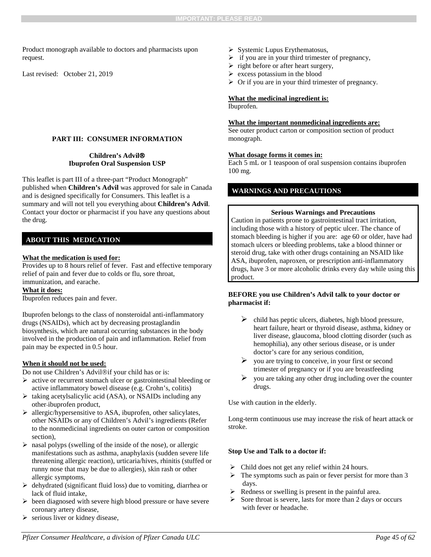Product monograph available to doctors and pharmacists upon request.

Last revised: October 21, 2019

#### **PART III: CONSUMER INFORMATION**

#### **Children's Advil Ibuprofen Oral Suspension USP**

This leaflet is part III of a three-part "Product Monograph" published when **Children's Advil** was approved for sale in Canada and is designed specifically for Consumers. This leaflet is a summary and will not tell you everything about **Children's Advil**. Contact your doctor or pharmacist if you have any questions about the drug.

#### **ABOUT THIS MEDICATION**

#### **What the medication is used for:**

Provides up to 8 hours relief of fever. Fast and effective temporary relief of pain and fever due to colds or flu, sore throat, immunization, and earache.

#### **What it does:**

Ibuprofen reduces pain and fever.

Ibuprofen belongs to the class of nonsteroidal anti-inflammatory drugs (NSAIDs), which act by decreasing prostaglandin biosynthesis, which are natural occurring substances in the body involved in the production of pain and inflammation. Relief from pain may be expected in 0.5 hour.

#### **When it should not be used:**

Do not use Children's Advil®if your child has or is:

- active or recurrent stomach ulcer or gastrointestinal bleeding or active inflammatory bowel disease (e.g. Crohn's, colitis)
- $\triangleright$  taking acetylsalicylic acid (ASA), or NSAIDs including any other ibuprofen product,
- allergic/hypersensitive to ASA, ibuprofen, other salicylates, other NSAIDs or any of Children's Advil's ingredients (Refer to the nonmedicinal ingredients on outer carton or composition section),
- $\triangleright$  nasal polyps (swelling of the inside of the nose), or allergic manifestations such as asthma, anaphylaxis (sudden severe life threatening allergic reaction), urticaria/hives, rhinitis (stuffed or runny nose that may be due to allergies), skin rash or other allergic symptoms,
- $\triangleright$  dehydrated (significant fluid loss) due to vomiting, diarrhea or lack of fluid intake,
- $\triangleright$  been diagnosed with severe high blood pressure or have severe coronary artery disease,
- serious liver or kidney disease,
- $\triangleright$  Systemic Lupus Erythematosus,
- $\triangleright$  if you are in your third trimester of pregnancy,
- $\triangleright$  right before or after heart surgery,
- $\triangleright$  excess potassium in the blood
- $\triangleright$  Or if you are in your third trimester of pregnancy.

#### **What the medicinal ingredient is:**

Ibuprofen.

#### **What the important nonmedicinal ingredients are:**

<span id="page-44-0"></span>See outer product carton or composition section of product monograph.

#### **What dosage forms it comes in:**

Each 5 mL or 1 teaspoon of oral suspension contains ibuprofen 100 mg.

#### **WARNINGS AND PRECAUTIONS**

#### **Serious Warnings and Precautions**

Caution in patients prone to gastrointestinal tract irritation, including those with a history of peptic ulcer. The chance of stomach bleeding is higher if you are: age 60 or older, have had stomach ulcers or bleeding problems, take a blood thinner or steroid drug, take with other drugs containing an NSAID like ASA, ibuprofen, naproxen, or prescription anti-inflammatory drugs, have 3 or more alcoholic drinks every day while using this product.

#### **BEFORE you use Children's Advil talk to your doctor or pharmacist if:**

- $\triangleright$  child has peptic ulcers, diabetes, high blood pressure, heart failure, heart or thyroid disease, asthma, kidney or liver disease, glaucoma, blood clotting disorder (such as hemophilia), any other serious disease, or is under doctor's care for any serious condition,
- $\triangleright$  you are trying to conceive, in your first or second trimester of pregnancy or if you are breastfeeding
- $\triangleright$  you are taking any other drug including over the counter drugs.

Use with caution in the elderly.

Long-term continuous use may increase the risk of heart attack or stroke.

#### **Stop Use and Talk to a doctor if:**

- $\triangleright$  Child does not get any relief within 24 hours.
- $\triangleright$  The symptoms such as pain or fever persist for more than 3 days.
- Redness or swelling is present in the painful area.
- $\triangleright$  Sore throat is severe, lasts for more than 2 days or occurs with fever or headache.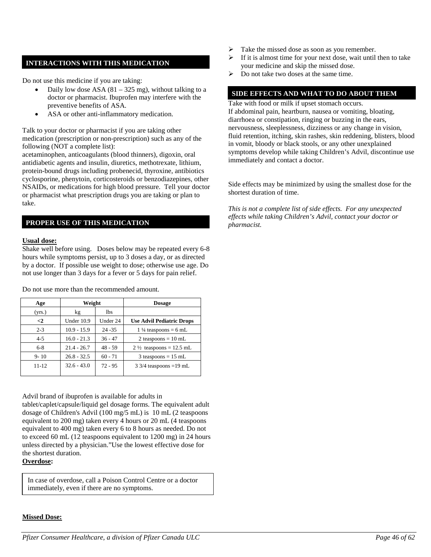## **INTERACTIONS WITH THIS MEDICATION**

Do not use this medicine if you are taking:

- Daily low dose ASA  $(81 325 mg)$ , without talking to a doctor or pharmacist. Ibuprofen may interfere with the preventive benefits of ASA.
- ASA or other anti-inflammatory medication.

Talk to your doctor or pharmacist if you are taking other medication (prescription or non-prescription) such as any of the following (NOT a complete list):

acetaminophen, anticoagulants (blood thinners), digoxin, oral antidiabetic agents and insulin, diuretics, methotrexate, lithium, protein-bound drugs including probenecid, thyroxine, antibiotics cyclosporine, phenytoin, corticosteroids or benzodiazepines, other NSAIDs, or medications for high blood pressure. Tell your doctor or pharmacist what prescription drugs you are taking or plan to take.

## **PROPER USE OF THIS MEDICATION**

#### **Usual dose:**

Shake well before using. Doses below may be repeated every 6-8 hours while symptoms persist, up to 3 doses a day, or as directed by a doctor. If possible use weight to dose; otherwise use age. Do not use longer than 3 days for a fever or 5 days for pain relief.

| Age       | Weight        |           | <b>Dosage</b>                      |
|-----------|---------------|-----------|------------------------------------|
| (yrs.)    | kg            | lbs.      |                                    |
| $\leq$ 2  | Under 10.9    | Under 24  | <b>Use Advil Pediatric Drops</b>   |
| $2 - 3$   | $10.9 - 15.9$ | $24 - 35$ | $1\frac{1}{4}$ teaspoons = 6 mL    |
| $4 - 5$   | $16.0 - 21.3$ | $36 - 47$ | 2 teaspoons = $10$ mL              |
| $6 - 8$   | $21.4 - 26.7$ | $48 - 59$ | $2\frac{1}{2}$ teaspoons = 12.5 mL |
| $9 - 10$  | $26.8 - 32.5$ | $60 - 71$ | $3$ teaspoons = 15 mL              |
| $11 - 12$ | $32.6 - 43.0$ | $72 - 95$ | $3\frac{3}{4}$ teaspoons = 19 mL   |

Do not use more than the recommended amount.

Advil brand of ibuprofen is available for adults in

tablet/caplet/capsule/liquid gel dosage forms. The equivalent adult dosage of Children's Advil (100 mg/5 mL) is 10 mL (2 teaspoons equivalent to 200 mg) taken every 4 hours or 20 mL (4 teaspoons equivalent to 400 mg) taken every 6 to 8 hours as needed. Do not to exceed 60 mL (12 teaspoons equivalent to 1200 mg) in 24 hours unless directed by a physician."Use the lowest effective dose for the shortest duration.

**Overdose:**

In case of overdose, call a Poison Control Centre or a doctor immediately, even if there are no symptoms.

- Take the missed dose as soon as you remember.
- If it is almost time for your next dose, wait until then to take your medicine and skip the missed dose.
- Do not take two doses at the same time.

## **SIDE EFFECTS AND WHAT TO DO ABOUT THEM**

Take with food or milk if upset stomach occurs. If abdominal pain, heartburn, nausea or vomiting, bloating, diarrhoea or constipation, ringing or buzzing in the ears, nervousness, sleeplessness, dizziness or any change in vision, fluid retention, itching, skin rashes, skin reddening, blisters, blood in vomit, bloody or black stools, or any other unexplained symptoms develop while taking Children's Advil, discontinue use immediately and contact a doctor.

Side effects may be minimized by using the smallest dose for the shortest duration of time.

*This is not a complete list of side effects. For any unexpected effects while taking Children's Advil, contact your doctor or pharmacist.*

## **Missed Dose:**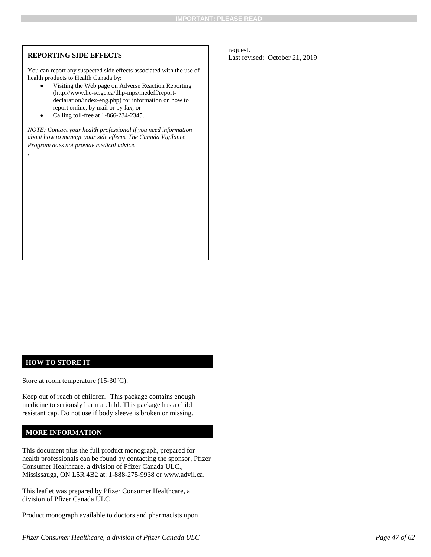.

You can report any suspected side effects associated with the use of health products to Health Canada by:

- Visiting the Web page on Adverse Reaction Reporting (http://www.hc-sc.gc.ca/dhp-mps/medeff/reportdeclaration/index-eng.php) for information on how to report online, by mail or by fax; or
- Calling toll-free at 1-866-234-2345.

*NOTE: Contact your health professional if you need information about how to manage your side effects. The Canada Vigilance Program does not provide medical advice.*

**REPORTING SIDE EFFECTS** request.<br>
Last revised: October 21, 2019

## **HOW TO STORE IT**

Store at room temperature (15-30°C).

Keep out of reach of children. This package contains enough medicine to seriously harm a child. This package has a child resistant cap. Do not use if body sleeve is broken or missing.

#### **MORE INFORMATION**

This document plus the full product monograph, prepared for health professionals can be found by contacting the sponsor, Pfizer Consumer Healthcare, a division of Pfizer Canada ULC., Mississauga, ON L5R 4B2 at: 1-888-275-9938 or www.advil.ca.

This leaflet was prepared by Pfizer Consumer Healthcare, a division of Pfizer Canada ULC

Product monograph available to doctors and pharmacists upon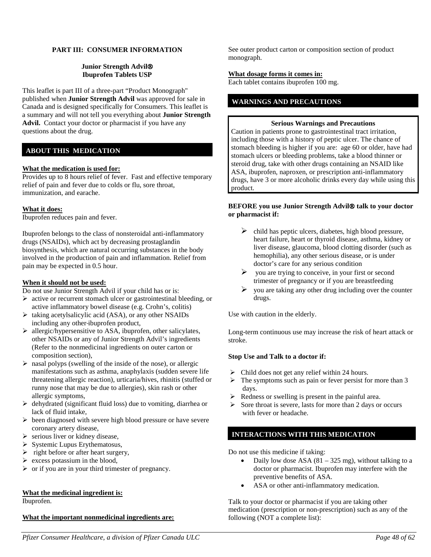#### **PART III: CONSUMER INFORMATION**

#### **Junior Strength Advil Ibuprofen Tablets USP**

This leaflet is part III of a three-part "Product Monograph" published when **Junior Strength Advil** was approved for sale in Canada and is designed specifically for Consumers. This leaflet is a summary and will not tell you everything about **Junior Strength Advil.** Contact your doctor or pharmacist if you have any questions about the drug.

## **ABOUT THIS MEDICATION**

#### **What the medication is used for:**

Provides up to 8 hours relief of fever. Fast and effective temporary relief of pain and fever due to colds or flu, sore throat, immunization, and earache.

#### **What it does:**

Ibuprofen reduces pain and fever.

Ibuprofen belongs to the class of nonsteroidal anti-inflammatory drugs (NSAIDs), which act by decreasing prostaglandin biosynthesis, which are natural occurring substances in the body involved in the production of pain and inflammation. Relief from pain may be expected in 0.5 hour.

#### **When it should not be used:**

Do not use Junior Strength Advil if your child has or is:

- $\triangleright$  active or recurrent stomach ulcer or gastrointestinal bleeding, or active inflammatory bowel disease (e.g. Crohn's, colitis)
- $\triangleright$  taking acetylsalicylic acid (ASA), or any other NSAIDs including any other ibuprofen product,
- allergic/hypersensitive to ASA, ibuprofen, other salicylates, other NSAIDs or any of Junior Strength Advil's ingredients (Refer to the nonmedicinal ingredients on outer carton or composition section),
- $\triangleright$  nasal polyps (swelling of the inside of the nose), or allergic manifestations such as asthma, anaphylaxis (sudden severe life threatening allergic reaction), urticaria/hives, rhinitis (stuffed or runny nose that may be due to allergies), skin rash or other allergic symptoms,
- $\triangleright$  dehydrated (significant fluid loss) due to vomiting, diarrhea or lack of fluid intake,
- $\triangleright$  been diagnosed with severe high blood pressure or have severe coronary artery disease,
- $\triangleright$  serious liver or kidney disease,
- $\triangleright$  Systemic Lupus Erythematosus,
- $\triangleright$  right before or after heart surgery,
- $\triangleright$  excess potassium in the blood,
- $\triangleright$  or if you are in your third trimester of pregnancy.

#### **What the medicinal ingredient is:**

Ibuprofen.

#### **What the important nonmedicinal ingredients are:**

See outer product carton or composition section of product monograph.

#### **What dosage forms it comes in:**

Each tablet contains ibuprofen 100 mg.

### **WARNINGS AND PRECAUTIONS**

#### **Serious Warnings and Precautions**

Caution in patients prone to gastrointestinal tract irritation, including those with a history of peptic ulcer. The chance of stomach bleeding is higher if you are: age 60 or older, have had stomach ulcers or bleeding problems, take a blood thinner or steroid drug, take with other drugs containing an NSAID like ASA, ibuprofen, naproxen, or prescription anti-inflammatory drugs, have 3 or more alcoholic drinks every day while using this product.

#### **BEFORE** you use Junior Strength Advil<sup>®</sup> talk to your doctor **or pharmacist if:**

- $\triangleright$  child has peptic ulcers, diabetes, high blood pressure, heart failure, heart or thyroid disease, asthma, kidney or liver disease, glaucoma, blood clotting disorder (such as hemophilia), any other serious disease, or is under doctor's care for any serious condition
- $\triangleright$  you are trying to conceive, in your first or second trimester of pregnancy or if you are breastfeeding
- $\triangleright$  you are taking any other drug including over the counter drugs.

Use with caution in the elderly.

Long-term continuous use may increase the risk of heart attack or stroke.

#### **Stop Use and Talk to a doctor if:**

- $\triangleright$  Child does not get any relief within 24 hours.
- $\triangleright$  The symptoms such as pain or fever persist for more than 3 days.
- $\triangleright$  Redness or swelling is present in the painful area.
- $\triangleright$  Sore throat is severe, lasts for more than 2 days or occurs with fever or headache.

#### **INTERACTIONS WITH THIS MEDICATION**

Do not use this medicine if taking:

- Daily low dose ASA  $(81 325 mg)$ , without talking to a doctor or pharmacist. Ibuprofen may interfere with the preventive benefits of ASA.
- ASA or other anti-inflammatory medication.

Talk to your doctor or pharmacist if you are taking other medication (prescription or non-prescription) such as any of the following (NOT a complete list):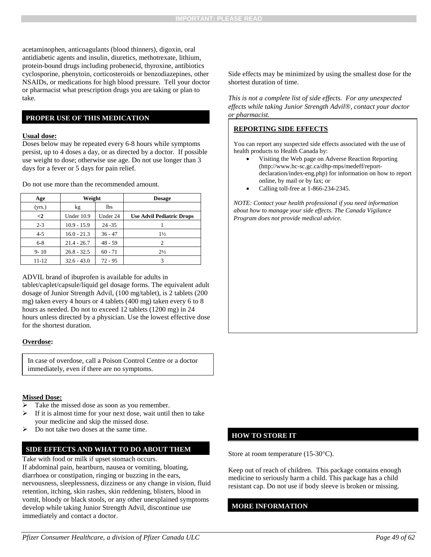acetaminophen, anticoagulants (blood thinners), digoxin, oral antidiabetic agents and insulin, diuretics, methotrexate, lithium, protein-bound drugs including probenecid, thyroxine, antibiotics cyclosporine, phenytoin, corticosteroids or benzodiazepines, other NSAIDs, or medications for high blood pressure. Tell your doctor or pharmacist what prescription drugs you are taking or plan to take.

### **PROPER USE OF THIS MEDICATION**

#### **Usual dose:**

Doses below may be repeated every 6-8 hours while symptoms persist, up to 4 doses a day, or as directed by a doctor. If possible use weight to dose; otherwise use age. Do not use longer than 3 days for a fever or 5 days for pain relief.

Do not use more than the recommended amount.

| Age      | Weight        |            | <b>Dosage</b>                    |
|----------|---------------|------------|----------------------------------|
| (yrs.)   | kg            | <b>lbs</b> |                                  |
| $\leq$   | Under 10.9    | Under 24   | <b>Use Advil Pediatric Drops</b> |
| $2 - 3$  | $10.9 - 15.9$ | $24 - 35$  |                                  |
| $4 - 5$  | $16.0 - 21.3$ | $36 - 47$  | $1\frac{1}{2}$                   |
| $6 - 8$  | $21.4 - 26.7$ | $48 - 59$  | $\overline{c}$                   |
| $9 - 10$ | $26.8 - 32.5$ | $60 - 71$  | $2\frac{1}{2}$                   |
| 11-12    | $32.6 - 43.0$ | $72 - 95$  | 3                                |

ADVIL brand of ibuprofen is available for adults in

tablet/caplet/capsule/liquid gel dosage forms. The equivalent adult dosage of Junior Strength Advil, (100 mg/tablet), is 2 tablets (200 mg) taken every 4 hours or 4 tablets (400 mg) taken every 6 to 8 hours as needed. Do not to exceed 12 tablets (1200 mg) in 24 hours unless directed by a physician. Use the lowest effective dose for the shortest duration.

#### **Overdose:**

In case of overdose, call a Poison Control Centre or a doctor immediately, even if there are no symptoms.

#### **Missed Dose:**

- Take the missed dose as soon as you remember.
- If it is almost time for your next dose, wait until then to take your medicine and skip the missed dose.
- Do not take two doses at the same time.

#### **SIDE EFFECTS AND WHAT TO DO ABOUT THEM**

Take with food or milk if upset stomach occurs.

If abdominal pain, heartburn, nausea or vomiting, bloating, diarrhoea or constipation, ringing or buzzing in the ears, nervousness, sleeplessness, dizziness or any change in vision, fluid retention, itching, skin rashes, skin reddening, blisters, blood in vomit, bloody or black stools, or any other unexplained symptoms develop while taking Junior Strength Advil, discontinue use immediately and contact a doctor.

Side effects may be minimized by using the smallest dose for the shortest duration of time.

*This is not a complete list of side effects. For any unexpected effects while taking Junior Strength Advil, contact your doctor or pharmacist.*

#### **REPORTING SIDE EFFECTS**

You can report any suspected side effects associated with the use of health products to Health Canada by:

- Visiting the Web page on Adverse Reaction Reporting (http://www.hc-sc.gc.ca/dhp-mps/medeff/reportdeclaration/index-eng.php) for information on how to report online, by mail or by fax; or
- Calling toll-free at 1-866-234-2345.

*NOTE: Contact your health professional if you need information about how to manage your side effects. The Canada Vigilance Program does not provide medical advice.*

## **HOW TO STORE IT**

Store at room temperature (15-30°C).

Keep out of reach of children. This package contains enough medicine to seriously harm a child. This package has a child resistant cap. Do not use if body sleeve is broken or missing.

#### **MORE INFORMATION**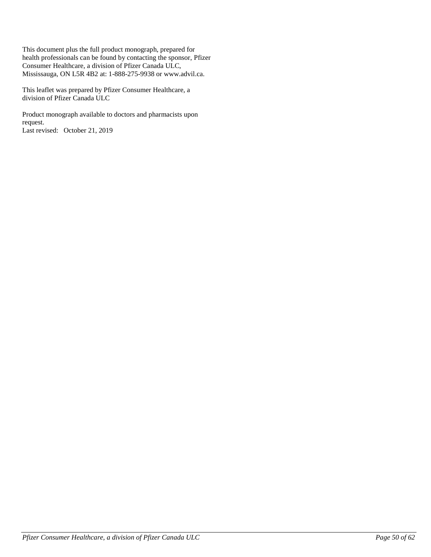This document plus the full product monograph, prepared for health professionals can be found by contacting the sponsor, Pfizer Consumer Healthcare, a division of Pfizer Canada ULC, Mississauga, ON L5R 4B2 at: 1-888-275-9938 or www.advil.ca.

This leaflet was prepared by Pfizer Consumer Healthcare, a division of Pfizer Canada ULC

Product monograph available to doctors and pharmacists upon request. Last revised: October 21, 2019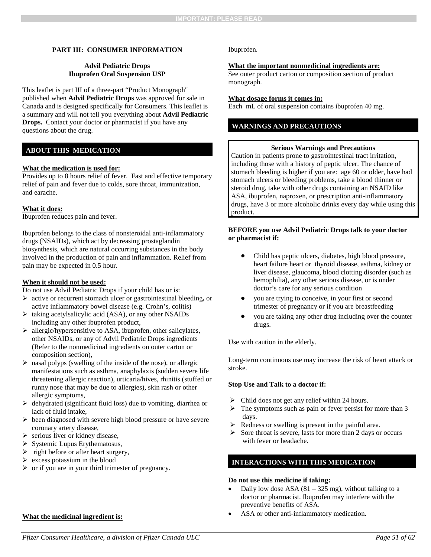#### **PART III: CONSUMER INFORMATION**

#### **Advil Pediatric Drops Ibuprofen Oral Suspension USP**

This leaflet is part III of a three-part "Product Monograph" published when **Advil Pediatric Drops** was approved for sale in Canada and is designed specifically for Consumers. This leaflet is a summary and will not tell you everything about **Advil Pediatric Drops.** Contact your doctor or pharmacist if you have any questions about the drug.

#### **ABOUT THIS MEDICATION**

#### **What the medication is used for:**

Provides up to 8 hours relief of fever. Fast and effective temporary relief of pain and fever due to colds, sore throat, immunization, and earache.

#### **What it does:**

Ibuprofen reduces pain and fever.

Ibuprofen belongs to the class of nonsteroidal anti-inflammatory drugs (NSAIDs), which act by decreasing prostaglandin biosynthesis, which are natural occurring substances in the body involved in the production of pain and inflammation. Relief from pain may be expected in 0.5 hour.

#### **When it should not be used:**

Do not use Advil Pediatric Drops if your child has or is:

- active or recurrent stomach ulcer or gastrointestinal bleeding**,** or active inflammatory bowel disease (e.g. Crohn's, colitis)
- $\triangleright$  taking acetylsalicylic acid (ASA), or any other NSAIDs including any other ibuprofen product,
- $\triangleright$  allergic/hypersensitive to ASA, ibuprofen, other salicylates, other NSAIDs, or any of Advil Pediatric Drops ingredients (Refer to the nonmedicinal ingredients on outer carton or composition section),
- $\triangleright$  nasal polyps (swelling of the inside of the nose), or allergic manifestations such as asthma, anaphylaxis (sudden severe life threatening allergic reaction), urticaria/hives, rhinitis (stuffed or runny nose that may be due to allergies), skin rash or other allergic symptoms,
- $\triangleright$  dehydrated (significant fluid loss) due to vomiting, diarrhea or lack of fluid intake,
- $\triangleright$  been diagnosed with severe high blood pressure or have severe coronary artery disease,
- $\triangleright$  serious liver or kidney disease,
- $\triangleright$  Systemic Lupus Erythematosus,
- $\triangleright$  right before or after heart surgery,
- $\triangleright$  excess potassium in the blood
- $\triangleright$  or if you are in your third trimester of pregnancy.

#### **What the medicinal ingredient is:**

Ibuprofen.

#### **What the important nonmedicinal ingredients are:**

See outer product carton or composition section of product monograph.

#### **What dosage forms it comes in:**

Each mL of oral suspension contains ibuprofen 40 mg.

## **WARNINGS AND PRECAUTIONS**

#### **Serious Warnings and Precautions**

Caution in patients prone to gastrointestinal tract irritation, including those with a history of peptic ulcer. The chance of stomach bleeding is higher if you are: age 60 or older, have had stomach ulcers or bleeding problems, take a blood thinner or steroid drug, take with other drugs containing an NSAID like ASA, ibuprofen, naproxen, or prescription anti-inflammatory drugs, have 3 or more alcoholic drinks every day while using this product.

#### **BEFORE you use Advil Pediatric Drops talk to your doctor or pharmacist if:**

- Child has peptic ulcers, diabetes, high blood pressure, heart failure heart or thyroid disease, asthma, kidney or liver disease, glaucoma, blood clotting disorder (such as hemophilia), any other serious disease, or is under doctor's care for any serious condition
- you are trying to conceive, in your first or second trimester of pregnancy or if you are breastfeeding
- you are taking any other drug including over the counter drugs.

Use with caution in the elderly.

Long-term continuous use may increase the risk of heart attack or stroke.

#### **Stop Use and Talk to a doctor if:**

- $\triangleright$  Child does not get any relief within 24 hours.
- $\triangleright$  The symptoms such as pain or fever persist for more than 3 days.
- Redness or swelling is present in the painful area.
- $\triangleright$  Sore throat is severe, lasts for more than 2 days or occurs with fever or headache.

#### **INTERACTIONS WITH THIS MEDICATION**

#### **Do not use this medicine if taking:**

- Daily low dose ASA  $(81 325 mg)$ , without talking to a doctor or pharmacist. Ibuprofen may interfere with the preventive benefits of ASA.
- ASA or other anti-inflammatory medication.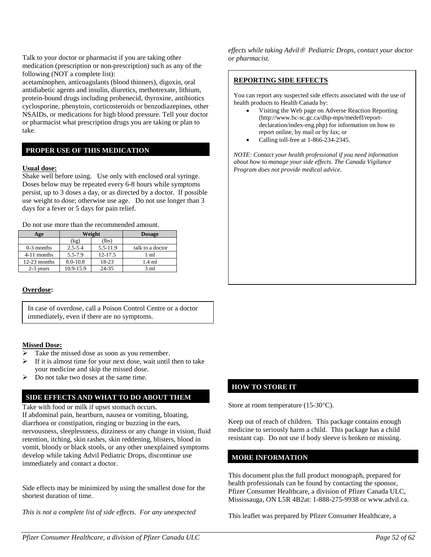Talk to your doctor or pharmacist if you are taking other medication (prescription or non-prescription) such as any of the following (NOT a complete list):

acetaminophen, anticoagulants (blood thinners), digoxin, oral antidiabetic agents and insulin, diuretics, methotrexate, lithium, protein-bound drugs including probenecid, thyroxine, antibiotics cyclosporine, phenytoin, corticosteroids or benzodiazepines, other NSAIDs, or medications for high blood pressure. Tell your doctor or pharmacist what prescription drugs you are taking or plan to take.

### **PROPER USE OF THIS MEDICATION**

#### **Usual dose:**

Shake well before using. Use only with enclosed oral syringe. Doses below may be repeated every 6-8 hours while symptoms persist, up to 3 doses a day, or as directed by a doctor. If possible use weight to dose; otherwise use age. Do not use longer than 3 days for a fever or 5 days for pain relief.

Do not use more than the recommended amount.

| Age            |             | Weight   | <b>Dosage</b>    |
|----------------|-------------|----------|------------------|
|                | (kg)        | (lbs)    |                  |
| $0-3$ months   | $2.5 - 5.4$ | 5.5-11.9 | talk to a doctor |
| 4-11 months    | 5.5-7.9     | 12-17.5  | 1 ml             |
| $12-23$ months | 8.0-10.8    | 18-23    | 1.4 ml           |
| 2-3 years      | 10.9-15.9   | 24-35    | $3 \text{ ml}$   |

#### **Overdose:**

In case of overdose, call a Poison Control Centre or a doctor immediately, even if there are no symptoms.

#### **Missed Dose:**

- Take the missed dose as soon as you remember.
- If it is almost time for your next dose, wait until then to take your medicine and skip the missed dose.
- $\triangleright$  Do not take two doses at the same time.

#### **SIDE EFFECTS AND WHAT TO DO ABOUT THEM**

Take with food or milk if upset stomach occurs. If abdominal pain, heartburn, nausea or vomiting, bloating, diarrhoea or constipation, ringing or buzzing in the ears, nervousness, sleeplessness, dizziness or any change in vision, fluid retention, itching, skin rashes, skin reddening, blisters, blood in vomit, bloody or black stools, or any other unexplained symptoms develop while taking Advil Pediatric Drops, discontinue use immediately and contact a doctor.

Side effects may be minimized by using the smallest dose for the shortest duration of time.

*This is not a complete list of side effects. For any unexpected* 

*effects while taking Advil Pediatric Drops, contact your doctor or pharmacist.*

#### **REPORTING SIDE EFFECTS**

You can report any suspected side effects associated with the use of health products to Health Canada by:

- Visiting the Web page on Adverse Reaction Reporting (http://www.hc-sc.gc.ca/dhp-mps/medeff/reportdeclaration/index-eng.php) for information on how to report online, by mail or by fax; or
- Calling toll-free at 1-866-234-2345.

*NOTE: Contact your health professional if you need information about how to manage your side effects. The Canada Vigilance Program does not provide medical advice.*

#### **HOW TO STORE IT**

Store at room temperature (15-30°C).

Keep out of reach of children. This package contains enough medicine to seriously harm a child. This package has a child resistant cap. Do not use if body sleeve is broken or missing.

#### **MORE INFORMATION**

This document plus the full product monograph, prepared for health professionals can be found by contacting the sponsor, Pfizer Consumer Healthcare, a division of Pfizer Canada ULC, Mississauga, ON L5R 4B2at: 1-888-275-9938 or www.advil.ca.

This leaflet was prepared by Pfizer Consumer Healthcare, a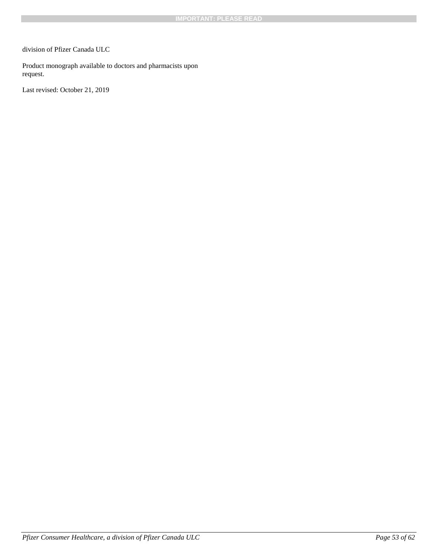division of Pfizer Canada ULC

Product monograph available to doctors and pharmacists upon request.

Last revised: October 21, 2019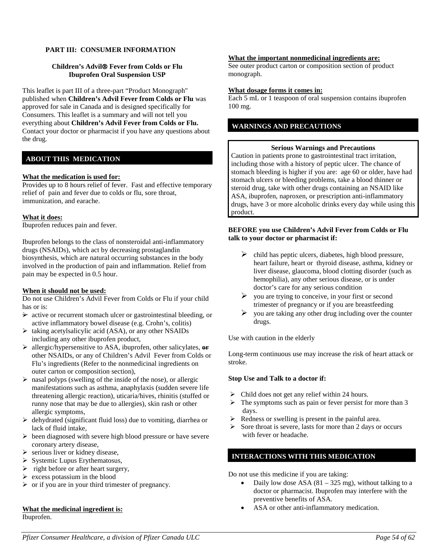#### **PART III: CONSUMER INFORMATION**

#### **Children's Advil Fever from Colds or Flu Ibuprofen Oral Suspension USP**

This leaflet is part III of a three-part "Product Monograph" published when **Children's Advil Fever from Colds or Flu** was approved for sale in Canada and is designed specifically for Consumers. This leaflet is a summary and will not tell you everything about **Children's Advil Fever from Colds or Flu.** Contact your doctor or pharmacist if you have any questions about the drug.

## **ABOUT THIS MEDICATION**

#### **What the medication is used for:**

Provides up to 8 hours relief of fever. Fast and effective temporary relief of pain and fever due to colds or flu, sore throat, immunization, and earache.

#### **What it does:**

Ibuprofen reduces pain and fever.

Ibuprofen belongs to the class of nonsteroidal anti-inflammatory drugs (NSAIDs), which act by decreasing prostaglandin biosynthesis, which are natural occurring substances in the body involved in the production of pain and inflammation. Relief from pain may be expected in 0.5 hour.

#### **When it should not be used:**

Do not use Children's Advil Fever from Colds or Flu if your child has or is:

- $\rightarrow$  active or recurrent stomach ulcer or gastrointestinal bleeding, or active inflammatory bowel disease (e.g. Crohn's, colitis)
- $\triangleright$  taking acetylsalicylic acid (ASA), or any other NSAIDs including any other ibuprofen product,
- allergic/hypersensitive to ASA, ibuprofen, other salicylates, **or** other NSAIDs, or any of Children's Advil Fever from Colds or Flu's ingredients (Refer to the nonmedicinal ingredients on outer carton or composition section),
- $\triangleright$  nasal polyps (swelling of the inside of the nose), or allergic manifestations such as asthma, anaphylaxis (sudden severe life threatening allergic reaction), uticaria/hives, rhinitis (stuffed or runny nose that may be due to allergies), skin rash or other allergic symptoms,
- $\triangleright$  dehydrated (significant fluid loss) due to vomiting, diarrhea or lack of fluid intake,
- $\triangleright$  been diagnosed with severe high blood pressure or have severe coronary artery disease,
- $\triangleright$  serious liver or kidney disease,
- $\triangleright$  Systemic Lupus Erythematosus,
- $\triangleright$  right before or after heart surgery,
- $\triangleright$  excess potassium in the blood
- $\triangleright$  or if you are in your third trimester of pregnancy.

#### **What the medicinal ingredient is:**

Ibuprofen.

#### **What the important nonmedicinal ingredients are:**

See outer product carton or composition section of product monograph.

#### **What dosage forms it comes in:**

Each 5 mL or 1 teaspoon of oral suspension contains ibuprofen 100 mg.

#### **WARNINGS AND PRECAUTIONS**

#### **Serious Warnings and Precautions**

Caution in patients prone to gastrointestinal tract irritation, including those with a history of peptic ulcer. The chance of stomach bleeding is higher if you are: age 60 or older, have had stomach ulcers or bleeding problems, take a blood thinner or steroid drug, take with other drugs containing an NSAID like ASA, ibuprofen, naproxen, or prescription anti-inflammatory drugs, have 3 or more alcoholic drinks every day while using this product.

#### **BEFORE you use Children's Advil Fever from Colds or Flu talk to your doctor or pharmacist if:**

- $\triangleright$  child has peptic ulcers, diabetes, high blood pressure, heart failure, heart or thyroid disease, asthma, kidney or liver disease, glaucoma, blood clotting disorder (such as hemophilia), any other serious disease, or is under doctor's care for any serious condition
- $\triangleright$  you are trying to conceive, in your first or second trimester of pregnancy or if you are breastfeeding
- $\triangleright$  you are taking any other drug including over the counter drugs.

Use with caution in the elderly

Long-term continuous use may increase the risk of heart attack or stroke.

#### **Stop Use and Talk to a doctor if:**

- $\triangleright$  Child does not get any relief within 24 hours.
- $\triangleright$  The symptoms such as pain or fever persist for more than 3 days.
- $\triangleright$  Redness or swelling is present in the painful area.
- $\triangleright$  Sore throat is severe, lasts for more than 2 days or occurs with fever or headache.

#### **INTERACTIONS WITH THIS MEDICATION**

Do not use this medicine if you are taking:

- Daily low dose ASA  $(81 325 mg)$ , without talking to a doctor or pharmacist. Ibuprofen may interfere with the preventive benefits of ASA.
- ASA or other anti-inflammatory medication.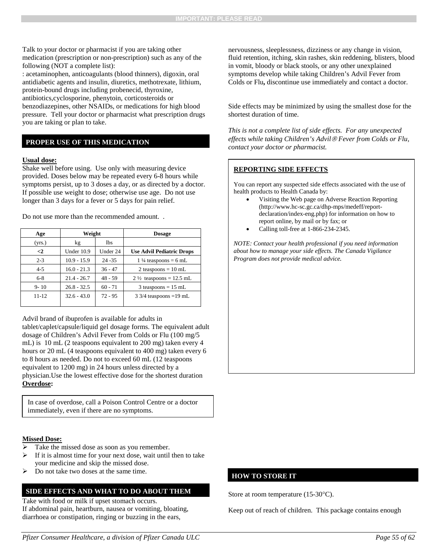Talk to your doctor or pharmacist if you are taking other medication (prescription or non-prescription) such as any of the following (NOT a complete list):

: acetaminophen, anticoagulants (blood thinners), digoxin, oral antidiabetic agents and insulin, diuretics, methotrexate, lithium, protein-bound drugs including probenecid, thyroxine, antibiotics,cyclosporine, phenytoin, corticosteroids or benzodiazepines, other NSAIDs, or medications for high blood pressure. Tell your doctor or pharmacist what prescription drugs you are taking or plan to take.

#### **PROPER USE OF THIS MEDICATION**

#### **Usual dose:**

Shake well before using. Use only with measuring device provided. Doses below may be repeated every 6-8 hours while symptoms persist, up to 3 doses a day, or as directed by a doctor. If possible use weight to dose; otherwise use age. Do not use longer than 3 days for a fever or 5 days for pain relief.

Do not use more than the recommended amount. .

| Age       | Weight        |           | <b>Dosage</b>                      |
|-----------|---------------|-----------|------------------------------------|
| (yrs.)    | kg            | lbs       |                                    |
| $\leq$    | Under 10.9    | Under 24  | <b>Use Advil Pediatric Drops</b>   |
| $2 - 3$   | $10.9 - 15.9$ | $24 - 35$ | $1\frac{1}{4}$ teaspoons = 6 mL    |
| $4 - 5$   | $16.0 - 21.3$ | $36 - 47$ | 2 teaspoons = $10 \text{ mL}$      |
| $6 - 8$   | $21.4 - 26.7$ | $48 - 59$ | $2\frac{1}{2}$ teaspoons = 12.5 mL |
| $9 - 10$  | $26.8 - 32.5$ | $60 - 71$ | $3$ teaspoons = 15 mL              |
| $11 - 12$ | $32.6 - 43.0$ | $72 - 95$ | $3\frac{3}{4}$ teaspoons = 19 mL   |

Advil brand of ibuprofen is available for adults in tablet/caplet/capsule/liquid gel dosage forms. The equivalent adult dosage of Children's Advil Fever from Colds or Flu (100 mg/5 mL) is 10 mL (2 teaspoons equivalent to 200 mg) taken every 4 hours or 20 mL (4 teaspoons equivalent to 400 mg) taken every 6 to 8 hours as needed. Do not to exceed 60 mL (12 teaspoons equivalent to 1200 mg) in 24 hours unless directed by a physician.Use the lowest effective dose for the shortest duration **Overdose:**

In case of overdose, call a Poison Control Centre or a doctor immediately, even if there are no symptoms.

#### **Missed Dose:**

- Take the missed dose as soon as you remember.
- If it is almost time for your next dose, wait until then to take your medicine and skip the missed dose.
- Do not take two doses at the same time.

#### **SIDE EFFECTS AND WHAT TO DO ABOUT THEM**

Take with food or milk if upset stomach occurs. If abdominal pain, heartburn, nausea or vomiting, bloating, diarrhoea or constipation, ringing or buzzing in the ears,

nervousness, sleeplessness, dizziness or any change in vision, fluid retention, itching, skin rashes, skin reddening, blisters, blood in vomit, bloody or black stools, or any other unexplained symptoms develop while taking Children's Advil Fever from Colds or Flu**,** discontinue use immediately and contact a doctor.

Side effects may be minimized by using the smallest dose for the shortest duration of time.

*This is not a complete list of side effects. For any unexpected effects while taking Children's Advil Fever from Colds or Flu, contact your doctor or pharmacist.*

#### **REPORTING SIDE EFFECTS**

You can report any suspected side effects associated with the use of health products to Health Canada by:

- Visiting the Web page on Adverse Reaction Reporting (http://www.hc-sc.gc.ca/dhp-mps/medeff/reportdeclaration/index-eng.php) for information on how to report online, by mail or by fax; or
- Calling toll-free at 1-866-234-2345.

*NOTE: Contact your health professional if you need information about how to manage your side effects. The Canada Vigilance Program does not provide medical advice.*

#### **HOW TO STORE IT**

Store at room temperature (15-30°C).

Keep out of reach of children. This package contains enough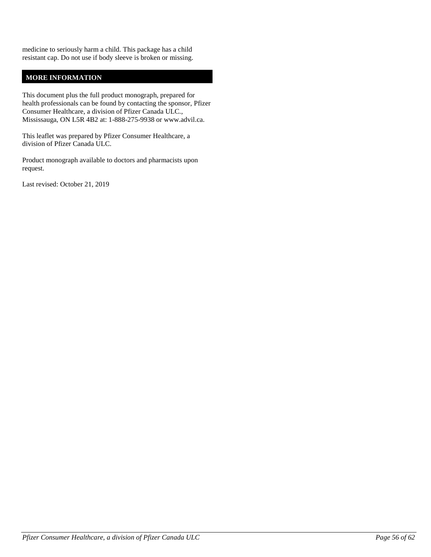medicine to seriously harm a child. This package has a child resistant cap. Do not use if body sleeve is broken or missing.

## **MORE INFORMATION**

This document plus the full product monograph, prepared for health professionals can be found by contacting the sponsor, Pfizer Consumer Healthcare, a division of Pfizer Canada ULC., Mississauga, ON L5R 4B2 at: 1-888-275-9938 or www.advil.ca.

This leaflet was prepared by Pfizer Consumer Healthcare, a division of Pfizer Canada ULC.

Product monograph available to doctors and pharmacists upon request.

Last revised: October 21, 2019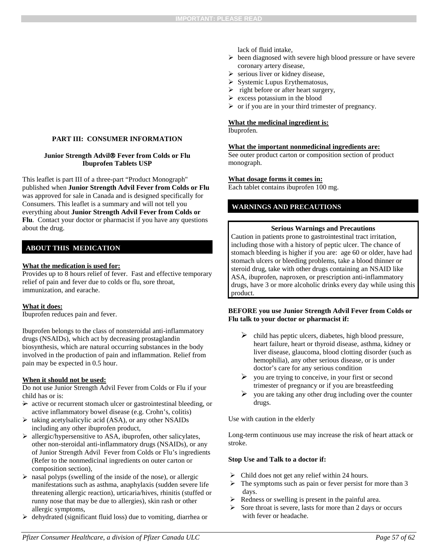## **PART III: CONSUMER INFORMATION**

### **Junior Strength Advil Fever from Colds or Flu Ibuprofen Tablets USP**

This leaflet is part III of a three-part "Product Monograph" published when **Junior Strength Advil Fever from Colds or Flu** was approved for sale in Canada and is designed specifically for Consumers. This leaflet is a summary and will not tell you everything about **Junior Strength Advil Fever from Colds or Flu**. Contact your doctor or pharmacist if you have any questions about the drug.

## **ABOUT THIS MEDICATION**

## **What the medication is used for:**

Provides up to 8 hours relief of fever. Fast and effective temporary relief of pain and fever due to colds or flu, sore throat, immunization, and earache.

## **What it does:**

Ibuprofen reduces pain and fever.

Ibuprofen belongs to the class of nonsteroidal anti-inflammatory drugs (NSAIDs), which act by decreasing prostaglandin biosynthesis, which are natural occurring substances in the body involved in the production of pain and inflammation. Relief from pain may be expected in 0.5 hour.

## **When it should not be used:**

Do not use Junior Strength Advil Fever from Colds or Flu if your child has or is:

- $\rightarrow$  active or recurrent stomach ulcer or gastrointestinal bleeding, or active inflammatory bowel disease (e.g. Crohn's, colitis)
- $\triangleright$  taking acetylsalicylic acid (ASA), or any other NSAIDs including any other ibuprofen product,
- allergic/hypersensitive to ASA, ibuprofen, other salicylates, other non-steroidal anti-inflammatory drugs (NSAIDs), or any of Junior Strength Advil Fever from Colds or Flu's ingredients (Refer to the nonmedicinal ingredients on outer carton or composition section),
- $\triangleright$  nasal polyps (swelling of the inside of the nose), or allergic manifestations such as asthma, anaphylaxis (sudden severe life threatening allergic reaction), urticaria/hives, rhinitis (stuffed or runny nose that may be due to allergies), skin rash or other allergic symptoms,
- dehydrated (significant fluid loss) due to vomiting, diarrhea or

lack of fluid intake,

- $\triangleright$  been diagnosed with severe high blood pressure or have severe coronary artery disease,
- $\triangleright$  serious liver or kidney disease,
- $\triangleright$  Systemic Lupus Erythematosus,
- $\triangleright$  right before or after heart surgery,
- $\triangleright$  excess potassium in the blood
- $\triangleright$  or if you are in your third trimester of pregnancy.

## **What the medicinal ingredient is:**

Ibuprofen.

## **What the important nonmedicinal ingredients are:**

See outer product carton or composition section of product monograph.

## **What dosage forms it comes in:**

Each tablet contains ibuprofen 100 mg.

## **WARNINGS AND PRECAUTIONS**

## **Serious Warnings and Precautions**

Caution in patients prone to gastrointestinal tract irritation, including those with a history of peptic ulcer. The chance of stomach bleeding is higher if you are: age 60 or older, have had stomach ulcers or bleeding problems, take a blood thinner or steroid drug, take with other drugs containing an NSAID like ASA, ibuprofen, naproxen, or prescription anti-inflammatory drugs, have 3 or more alcoholic drinks every day while using this product.

#### **BEFORE you use Junior Strength Advil Fever from Colds or Flu talk to your doctor or pharmacist if:**

- $\triangleright$  child has peptic ulcers, diabetes, high blood pressure, heart failure, heart or thyroid disease, asthma, kidney or liver disease, glaucoma, blood clotting disorder (such as hemophilia), any other serious disease, or is under doctor's care for any serious condition
- $\triangleright$  you are trying to conceive, in your first or second trimester of pregnancy or if you are breastfeeding
- $\triangleright$  you are taking any other drug including over the counter drugs.

Use with caution in the elderly

Long-term continuous use may increase the risk of heart attack or stroke.

## **Stop Use and Talk to a doctor if:**

- $\triangleright$  Child does not get any relief within 24 hours.
- $\triangleright$  The symptoms such as pain or fever persist for more than 3 days.
- $\triangleright$  Redness or swelling is present in the painful area.
- $\triangleright$  Sore throat is severe, lasts for more than 2 days or occurs with fever or headache.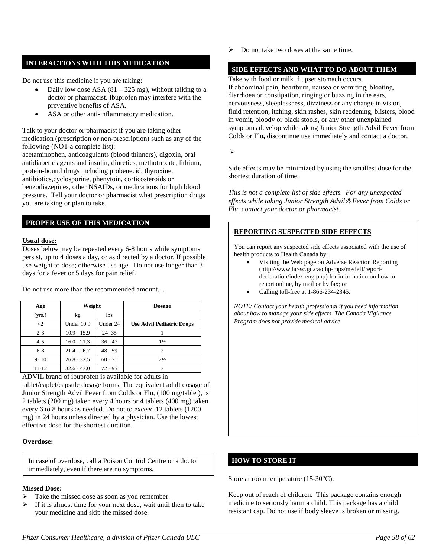## **INTERACTIONS WITH THIS MEDICATION**

Do not use this medicine if you are taking:

- Daily low dose ASA  $(81 325 mg)$ , without talking to a doctor or pharmacist. Ibuprofen may interfere with the preventive benefits of ASA.
- ASA or other anti-inflammatory medication.

Talk to your doctor or pharmacist if you are taking other medication (prescription or non-prescription) such as any of the following (NOT a complete list):

acetaminophen, anticoagulants (blood thinners), digoxin, oral antidiabetic agents and insulin, diuretics, methotrexate, lithium, protein-bound drugs including probenecid, thyroxine, antibiotics,cyclosporine, phenytoin, corticosteroids or benzodiazepines, other NSAIDs, or medications for high blood pressure. Tell your doctor or pharmacist what prescription drugs you are taking or plan to take.

## **PROPER USE OF THIS MEDICATION**

#### **Usual dose:**

Doses below may be repeated every 6-8 hours while symptoms persist, up to 4 doses a day, or as directed by a doctor. If possible use weight to dose; otherwise use age. Do not use longer than 3 days for a fever or 5 days for pain relief.

| Age      | Weight        |            | <b>Dosage</b>                    |
|----------|---------------|------------|----------------------------------|
| (yrs.)   | kg            | <b>lbs</b> |                                  |
| $\leq$   | Under 10.9    | Under 24   | <b>Use Advil Pediatric Drops</b> |
| $2 - 3$  | $10.9 - 15.9$ | $24 - 35$  |                                  |
| $4 - 5$  | $16.0 - 21.3$ | $36 - 47$  | $1\frac{1}{2}$                   |
| $6 - 8$  | $21.4 - 26.7$ | $48 - 59$  | 2                                |
| $9 - 10$ | $26.8 - 32.5$ | $60 - 71$  | $2\frac{1}{2}$                   |
| 11-12    | $32.6 - 43.0$ | $72 - 95$  | 3                                |

Do not use more than the recommended amount. .

ADVIL brand of ibuprofen is available for adults in tablet/caplet/capsule dosage forms. The equivalent adult dosage of Junior Strength Advil Fever from Colds or Flu, (100 mg/tablet), is 2 tablets (200 mg) taken every 4 hours or 4 tablets (400 mg) taken every 6 to 8 hours as needed. Do not to exceed 12 tablets (1200 mg) in 24 hours unless directed by a physician. Use the lowest effective dose for the shortest duration.

#### **Overdose:**

In case of overdose, call a Poison Control Centre or a doctor immediately, even if there are no symptoms.

## **Missed Dose:**

- Take the missed dose as soon as you remember.
- $\triangleright$  If it is almost time for your next dose, wait until then to take your medicine and skip the missed dose.

 $\triangleright$  Do not take two doses at the same time.

## **SIDE EFFECTS AND WHAT TO DO ABOUT THEM**

Take with food or milk if upset stomach occurs. If abdominal pain, heartburn, nausea or vomiting, bloating, diarrhoea or constipation, ringing or buzzing in the ears, nervousness, sleeplessness, dizziness or any change in vision, fluid retention, itching, skin rashes, skin reddening, blisters, blood in vomit, bloody or black stools, or any other unexplained symptoms develop while taking Junior Strength Advil Fever from Colds or Flu**,** discontinue use immediately and contact a doctor.

 $\blacktriangleright$ 

Side effects may be minimized by using the smallest dose for the shortest duration of time.

*This is not a complete list of side effects. For any unexpected effects while taking Junior Strength Advil Fever from Colds or Flu, contact your doctor or pharmacist.*

## **REPORTING SUSPECTED SIDE EFFECTS**

You can report any suspected side effects associated with the use of health products to Health Canada by:

- Visiting the Web page on Adverse Reaction Reporting (http://www.hc-sc.gc.ca/dhp-mps/medeff/reportdeclaration/index-eng.php) for information on how to report online, by mail or by fax; or
- Calling toll-free at 1-866-234-2345.

*NOTE: Contact your health professional if you need information about how to manage your side effects. The Canada Vigilance Program does not provide medical advice.*

#### **HOW TO STORE IT**

Store at room temperature (15-30°C).

Keep out of reach of children. This package contains enough medicine to seriously harm a child. This package has a child resistant cap. Do not use if body sleeve is broken or missing.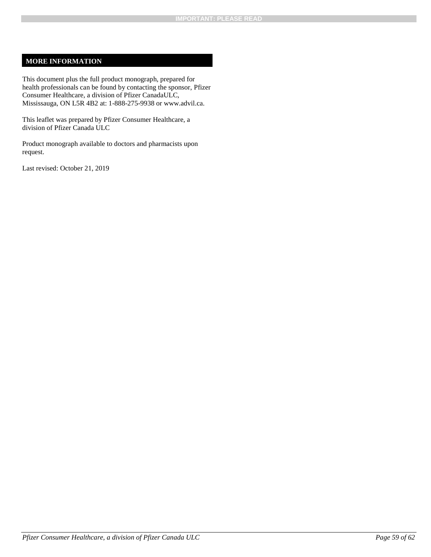## **MORE INFORMATION**

This document plus the full product monograph, prepared for health professionals can be found by contacting the sponsor, Pfizer Consumer Healthcare, a division of Pfizer CanadaULC, Mississauga, ON L5R 4B2 at: 1-888-275-9938 or www.advil.ca.

This leaflet was prepared by Pfizer Consumer Healthcare, a division of Pfizer Canada ULC

Product monograph available to doctors and pharmacists upon request.

Last revised: October 21, 2019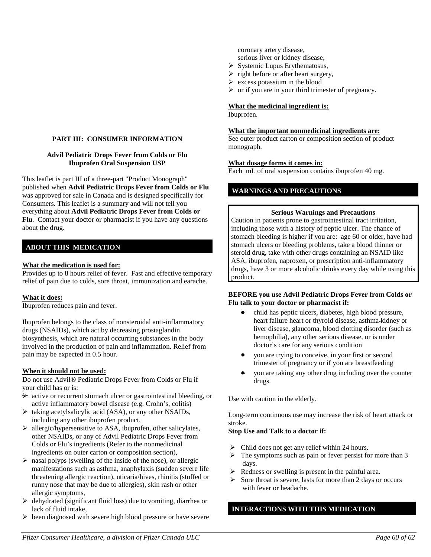#### **PART III: CONSUMER INFORMATION**

#### **Advil Pediatric Drops Fever from Colds or Flu Ibuprofen Oral Suspension USP**

This leaflet is part III of a three-part "Product Monograph" published when **Advil Pediatric Drops Fever from Colds or Flu** was approved for sale in Canada and is designed specifically for Consumers. This leaflet is a summary and will not tell you everything about **Advil Pediatric Drops Fever from Colds or Flu**. Contact your doctor or pharmacist if you have any questions about the drug.

## **ABOUT THIS MEDICATION**

#### **What the medication is used for:**

Provides up to 8 hours relief of fever. Fast and effective temporary relief of pain due to colds, sore throat, immunization and earache.

#### **What it does:**

Ibuprofen reduces pain and fever.

Ibuprofen belongs to the class of nonsteroidal anti-inflammatory drugs (NSAIDs), which act by decreasing prostaglandin biosynthesis, which are natural occurring substances in the body involved in the production of pain and inflammation. Relief from pain may be expected in 0.5 hour.

#### **When it should not be used:**

Do not use Advil® Pediatric Drops Fever from Colds or Flu if your child has or is:

- $\rightarrow$  active or recurrent stomach ulcer or gastrointestinal bleeding, or active inflammatory bowel disease (e.g. Crohn's, colitis)
- $\triangleright$  taking acetylsalicylic acid (ASA), or any other NSAIDs, including any other ibuprofen product,
- allergic/hypersensitive to ASA, ibuprofen, other salicylates, other NSAIDs, or any of Advil Pediatric Drops Fever from Colds or Flu's ingredients (Refer to the nonmedicinal ingredients on outer carton or composition section),
- $\triangleright$  nasal polyps (swelling of the inside of the nose), or allergic manifestations such as asthma, anaphylaxis (sudden severe life threatening allergic reaction), uticaria/hives, rhinitis (stuffed or runny nose that may be due to allergies), skin rash or other allergic symptoms,
- $\triangleright$  dehydrated (significant fluid loss) due to vomiting, diarrhea or lack of fluid intake,
- $\triangleright$  been diagnosed with severe high blood pressure or have severe

coronary artery disease, serious liver or kidney disease,

- $\triangleright$  Systemic Lupus Erythematosus,
- $\triangleright$  right before or after heart surgery,
- $\triangleright$  excess potassium in the blood
- $\triangleright$  or if you are in your third trimester of pregnancy.

## **What the medicinal ingredient is:**

Ibuprofen.

#### **What the important nonmedicinal ingredients are:**

See outer product carton or composition section of product monograph.

#### **What dosage forms it comes in:**

Each mL of oral suspension contains ibuprofen 40 mg.

### **WARNINGS AND PRECAUTIONS**

#### **Serious Warnings and Precautions**

Caution in patients prone to gastrointestinal tract irritation, including those with a history of peptic ulcer. The chance of stomach bleeding is higher if you are: age 60 or older, have had stomach ulcers or bleeding problems, take a blood thinner or steroid drug, take with other drugs containing an NSAID like ASA, ibuprofen, naproxen, or prescription anti-inflammatory drugs, have 3 or more alcoholic drinks every day while using this product.

#### **BEFORE you use Advil Pediatric Drops Fever from Colds or Flu talk to your doctor or pharmacist if:**

- child has peptic ulcers, diabetes, high blood pressure, heart failure heart or thyroid disease, asthma kidney or liver disease, glaucoma, blood clotting disorder (such as hemophilia), any other serious disease, or is under doctor's care for any serious condition
- you are trying to conceive, in your first or second trimester of pregnancy or if you are breastfeeding
- you are taking any other drug including over the counter drugs.

Use with caution in the elderly.

Long-term continuous use may increase the risk of heart attack or stroke.

## **Stop Use and Talk to a doctor if:**

- $\triangleright$  Child does not get any relief within 24 hours.
- $\triangleright$  The symptoms such as pain or fever persist for more than 3 days.
- $\triangleright$  Redness or swelling is present in the painful area.
- $\triangleright$  Sore throat is severe, lasts for more than 2 days or occurs with fever or headache.

## **INTERACTIONS WITH THIS MEDICATION**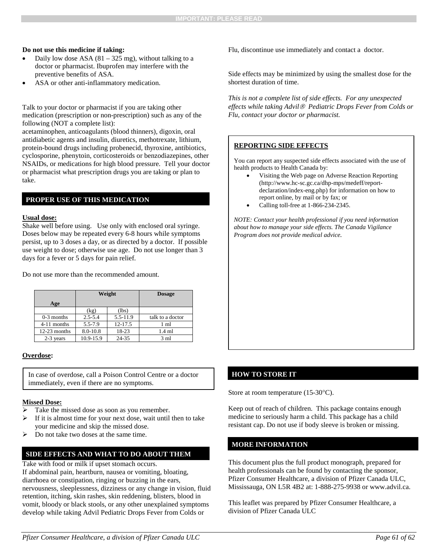#### **Do not use this medicine if taking:**

- Daily low dose ASA  $(81 325 mg)$ , without talking to a doctor or pharmacist. Ibuprofen may interfere with the preventive benefits of ASA.
- ASA or other anti-inflammatory medication.

Talk to your doctor or pharmacist if you are taking other medication (prescription or non-prescription) such as any of the following (NOT a complete list):

acetaminophen, anticoagulants (blood thinners), digoxin, oral antidiabetic agents and insulin, diuretics, methotrexate, lithium, protein-bound drugs including probenecid, thyroxine, antibiotics, cyclosporine, phenytoin, corticosteroids or benzodiazepines, other NSAIDs, or medications for high blood pressure. Tell your doctor or pharmacist what prescription drugs you are taking or plan to take.

#### **PROPER USE OF THIS MEDICATION**

#### **Usual dose:**

Shake well before using. Use only with enclosed oral syringe. Doses below may be repeated every 6-8 hours while symptoms persist, up to 3 doses a day, or as directed by a doctor. If possible use weight to dose; otherwise use age. Do not use longer than 3 days for a fever or 5 days for pain relief.

Do not use more than the recommended amount.

|               |             | Weight   | <b>Dosage</b>    |
|---------------|-------------|----------|------------------|
| Age           |             |          |                  |
|               | (kg)        | (lbs)    |                  |
| $0-3$ months  | $2.5 - 5.4$ | 5.5-11.9 | talk to a doctor |
| $4-11$ months | $5.5 - 7.9$ | 12-17.5  | 1 ml             |
| 12-23 months  | 8.0-10.8    | 18-23    | $1.4 \text{ ml}$ |
| 2-3 years     | 10.9-15.9   | 24-35    | $3 \text{ ml}$   |

#### **Overdose:**

In case of overdose, call a Poison Control Centre or a doctor immediately, even if there are no symptoms.

#### **Missed Dose:**

- Take the missed dose as soon as you remember.
- If it is almost time for your next dose, wait until then to take your medicine and skip the missed dose.
- Do not take two doses at the same time.

#### **SIDE EFFECTS AND WHAT TO DO ABOUT THEM**

Take with food or milk if upset stomach occurs.

If abdominal pain, heartburn, nausea or vomiting, bloating, diarrhoea or constipation, ringing or buzzing in the ears, nervousness, sleeplessness, dizziness or any change in vision, fluid retention, itching, skin rashes, skin reddening, blisters, blood in vomit, bloody or black stools, or any other unexplained symptoms develop while taking Advil Pediatric Drops Fever from Colds or

Flu, discontinue use immediately and contact a doctor.

Side effects may be minimized by using the smallest dose for the shortest duration of time.

*This is not a complete list of side effects. For any unexpected effects while taking Advil Pediatric Drops Fever from Colds or Flu, contact your doctor or pharmacist.*

#### **REPORTING SIDE EFFECTS**

You can report any suspected side effects associated with the use of health products to Health Canada by:

- Visiting the Web page on Adverse Reaction Reporting (http://www.hc-sc.gc.ca/dhp-mps/medeff/reportdeclaration/index-eng.php) for information on how to report online, by mail or by fax; or
- Calling toll-free at 1-866-234-2345.

*NOTE: Contact your health professional if you need information about how to manage your side effects. The Canada Vigilance Program does not provide medical advice.*

#### **HOW TO STORE IT**

Store at room temperature (15-30°C).

Keep out of reach of children. This package contains enough medicine to seriously harm a child. This package has a child resistant cap. Do not use if body sleeve is broken or missing.

#### **MORE INFORMATION**

This document plus the full product monograph, prepared for health professionals can be found by contacting the sponsor, Pfizer Consumer Healthcare, a division of Pfizer Canada ULC, Mississauga, ON L5R 4B2 at: 1-888-275-9938 or www.advil.ca.

This leaflet was prepared by Pfizer Consumer Healthcare, a division of Pfizer Canada ULC